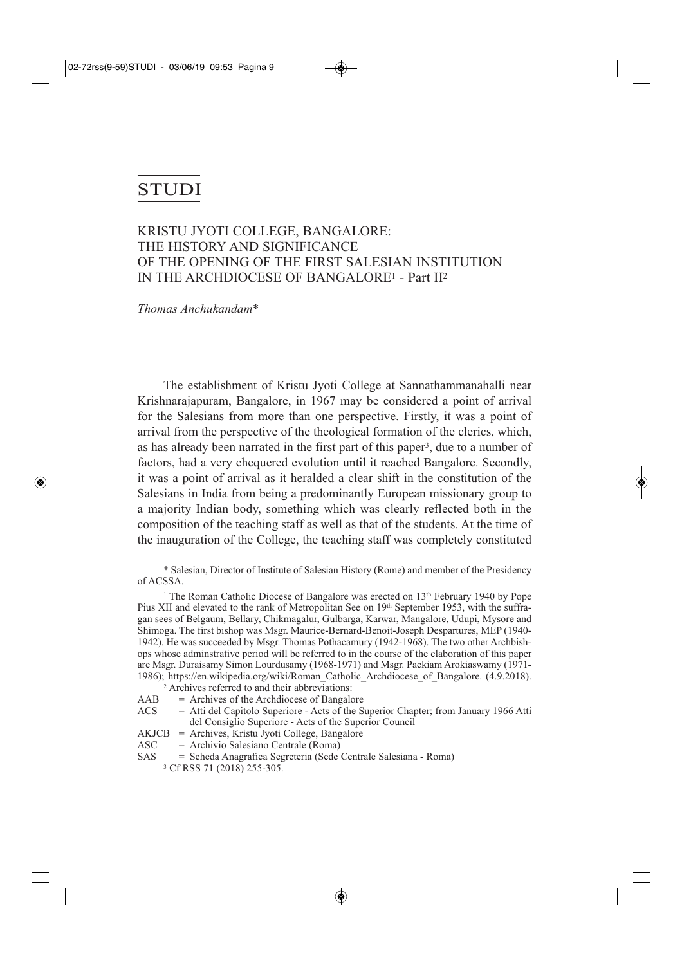# **STUDI**

## KRISTU JYOTI COLLEGE, BANGALORE: THE HISTORY AND SIGNIFICANCE OF THE OPENING OF THE FIRST SALESIAN INSTITUTION IN THE ARCHDIOCESE OF BANGALORE1 - Part II2

*Thomas Anchukandam*\*

The establishment of Kristu Jyoti College at Sannathammanahalli near Krishnarajapuram, Bangalore, in 1967 may be considered a point of arrival for the Salesians from more than one perspective. Firstly, it was a point of arrival from the perspective of the theological formation of the clerics, which, as has already been narrated in the first part of this paper3, due to a number of factors, had a very chequered evolution until it reached Bangalore. Secondly, it was a point of arrival as it heralded a clear shift in the constitution of the Salesians in India from being a predominantly European missionary group to a majority Indian body, something which was clearly reflected both in the composition of the teaching staff as well as that of the students. At the time of the inauguration of the College, the teaching staff was completely constituted

\* Salesian, Director of Institute of Salesian History (Rome) and member of the Presidency of ACSSA.

<sup>1</sup> The Roman Catholic Diocese of Bangalore was erected on 13<sup>th</sup> February 1940 by Pope Pius XII and elevated to the rank of Metropolitan See on 19<sup>th</sup> September 1953, with the suffragan sees of Belgaum, Bellary, Chikmagalur, Gulbarga, Karwar, Mangalore, Udupi, Mysore and Shimoga. The first bishop was Msgr. Maurice-Bernard-Benoit-Joseph Despartures, MEP (1940- 1942). He was succeeded by Msgr. Thomas Pothacamury (1942-1968). The two other Archbishops whose adminstrative period will be referred to in the course of the elaboration of this paper are Msgr. Duraisamy Simon Lourdusamy (1968-1971) and Msgr. Packiam Arokiaswamy (1971- 1986); https://en.wikipedia.org/wiki/Roman\_Catholic\_Archdiocese\_of\_Bangalore. (4.9.2018).

- <sup>2</sup> Archives referred to and their abbreviations:
- $AAB$  = Archives of the Archdiocese of Bangalore
- ACS = Atti del Capitolo Superiore Acts of the Superior Chapter; from January 1966 Atti del Consiglio Superiore - Acts of the Superior Council
- AKJCB = Archives, Kristu Jyoti College, Bangalore
- ASC = Archivio Salesiano Centrale (Roma)
- SAS = Scheda Anagrafica Segreteria (Sede Centrale Salesiana Roma)
	- <sup>3</sup> Cf RSS 71 (2018) 255-305.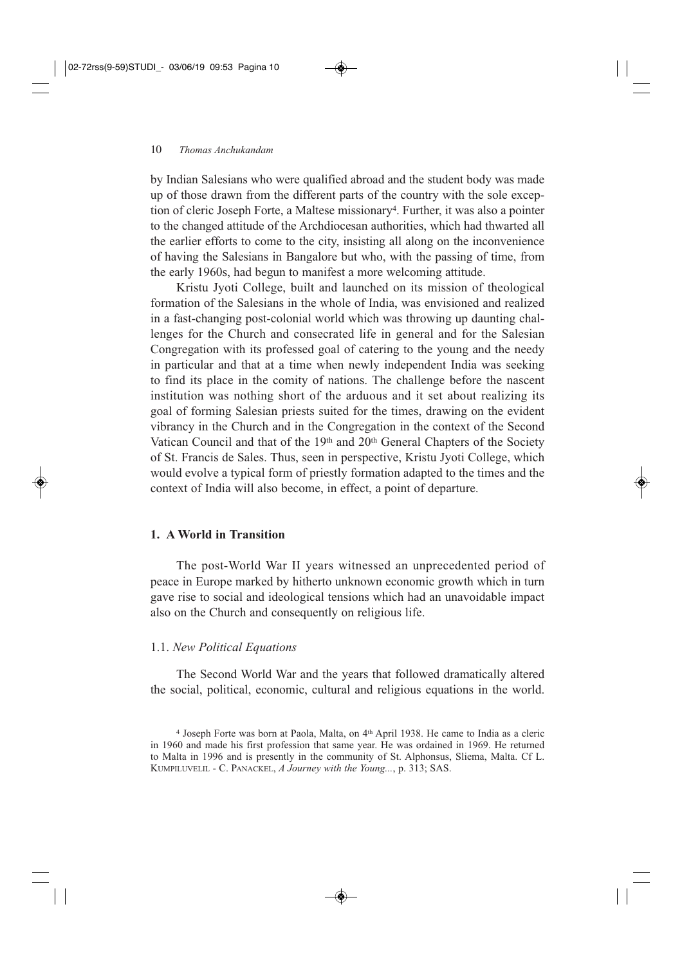by Indian Salesians who were qualified abroad and the student body was made up of those drawn from the different parts of the country with the sole exception of cleric Joseph Forte, a Maltese missionary<sup>4</sup>. Further, it was also a pointer to the changed attitude of the Archdiocesan authorities, which had thwarted all the earlier efforts to come to the city, insisting all along on the inconvenience of having the Salesians in Bangalore but who, with the passing of time, from the early 1960s, had begun to manifest a more welcoming attitude.

Kristu Jyoti College, built and launched on its mission of theological formation of the Salesians in the whole of India, was envisioned and realized in a fast-changing post-colonial world which was throwing up daunting challenges for the Church and consecrated life in general and for the Salesian Congregation with its professed goal of catering to the young and the needy in particular and that at a time when newly independent India was seeking to find its place in the comity of nations. The challenge before the nascent institution was nothing short of the arduous and it set about realizing its goal of forming Salesian priests suited for the times, drawing on the evident vibrancy in the Church and in the Congregation in the context of the Second Vatican Council and that of the 19th and 20th General Chapters of the Society of St. Francis de Sales. Thus, seen in perspective, Kristu Jyoti College, which would evolve a typical form of priestly formation adapted to the times and the context of India will also become, in effect, a point of departure.

#### **1. A World in Transition**

The post-World War II years witnessed an unprecedented period of peace in Europe marked by hitherto unknown economic growth which in turn gave rise to social and ideological tensions which had an unavoidable impact also on the Church and consequently on religious life.

#### 1.1. *New Political Equations*

The Second World War and the years that followed dramatically altered the social, political, economic, cultural and religious equations in the world.

<sup>4</sup> Joseph Forte was born at Paola, Malta, on 4th April 1938. He came to India as a cleric in 1960 and made his first profession that same year. He was ordained in 1969. He returned to Malta in 1996 and is presently in the community of St. Alphonsus, Sliema, Malta. Cf L. KUMPILUVELIL - C. PANACKEL, *A Journey with the Young...*, p. 313; SAS.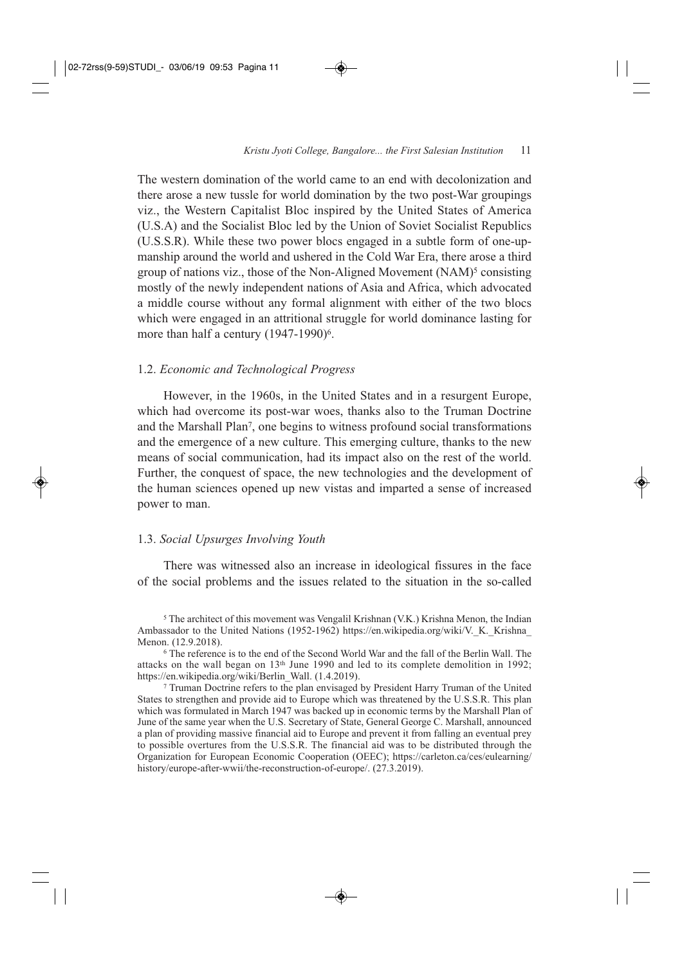The western domination of the world came to an end with decolonization and there arose a new tussle for world domination by the two post-War groupings viz., the Western Capitalist Bloc inspired by the United States of America (U.S.A) and the Socialist Bloc led by the Union of Soviet Socialist Republics (U.S.S.R). While these two power blocs engaged in a subtle form of one-upmanship around the world and ushered in the Cold War Era, there arose a third group of nations viz., those of the Non-Aligned Movement (NAM)<sup>5</sup> consisting mostly of the newly independent nations of Asia and Africa, which advocated a middle course without any formal alignment with either of the two blocs which were engaged in an attritional struggle for world dominance lasting for more than half a century (1947-1990)<sup>6</sup>.

#### 1.2. *Economic and Technological Progress*

However, in the 1960s, in the United States and in a resurgent Europe, which had overcome its post-war woes, thanks also to the Truman Doctrine and the Marshall Plan7, one begins to witness profound social transformations and the emergence of a new culture. This emerging culture, thanks to the new means of social communication, had its impact also on the rest of the world. Further, the conquest of space, the new technologies and the development of the human sciences opened up new vistas and imparted a sense of increased power to man.

#### 1.3. *Social Upsurges Involving Youth*

There was witnessed also an increase in ideological fissures in the face of the social problems and the issues related to the situation in the so-called

<sup>5</sup> The architect of this movement was Vengalil Krishnan (V.K.) Krishna Menon, the Indian Ambassador to the United Nations (1952-1962) https://en.wikipedia.org/wiki/V.\_K.\_Krishna\_ Menon. (12.9.2018).

<sup>6</sup> The reference is to the end of the Second World War and the fall of the Berlin Wall. The attacks on the wall began on  $13<sup>th</sup>$  June 1990 and led to its complete demolition in 1992; https://en.wikipedia.org/wiki/Berlin\_Wall. (1.4.2019).

<sup>7</sup> Truman Doctrine refers to the plan envisaged by President Harry Truman of the United States to strengthen and provide aid to Europe which was threatened by the U.S.S.R. This plan which was formulated in March 1947 was backed up in economic terms by the Marshall Plan of June of the same year when the U.S. Secretary of State, General George C. Marshall, announced a plan of providing massive financial aid to Europe and prevent it from falling an eventual prey to possible overtures from the U.S.S.R. The financial aid was to be distributed through the Organization for European Economic Cooperation (OEEC); https://carleton.ca/ces/eulearning/ history/europe-after-wwii/the-reconstruction-of-europe/. (27.3.2019).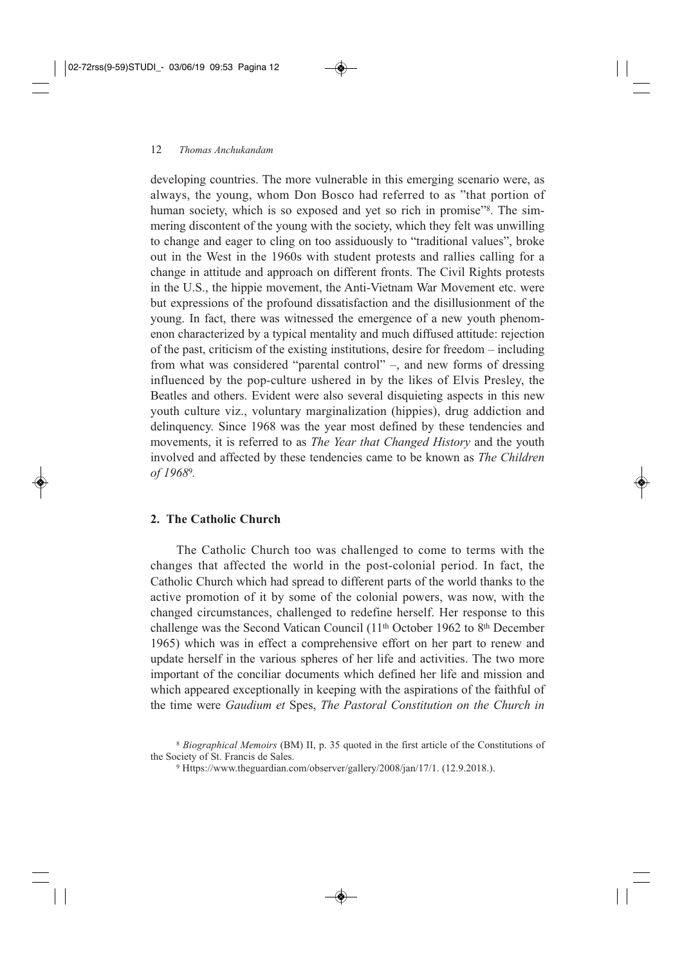developing countries. The more vulnerable in this emerging scenario were, as always, the young, whom Don Bosco had referred to as "that portion of human society, which is so exposed and yet so rich in promise<sup>38</sup>. The simmering discontent of the young with the society, which they felt was unwilling to change and eager to cling on too assiduously to "traditional values", broke out in the West in the 1960s with student protests and rallies calling for a change in attitude and approach on different fronts. The Civil Rights protests in the U.S., the hippie movement, the Anti-Vietnam War Movement etc. were but expressions of the profound dissatisfaction and the disillusionment of the young. In fact, there was witnessed the emergence of a new youth phenomenon characterized by a typical mentality and much diffused attitude: rejection of the past, criticism of the existing institutions, desire for freedom – including from what was considered "parental control" –, and new forms of dressing influenced by the pop-culture ushered in by the likes of Elvis Presley, the Beatles and others. Evident were also several disquieting aspects in this new youth culture viz., voluntary marginalization (hippies), drug addiction and delinquency. Since 1968 was the year most defined by these tendencies and movements, it is referred to as *The Year that Changed History* and the youth involved and affected by these tendencies came to be known as *The Children of 1968*9*.*

## **2. The Catholic Church**

The Catholic Church too was challenged to come to terms with the changes that affected the world in the post-colonial period. In fact, the Catholic Church which had spread to different parts of the world thanks to the active promotion of it by some of the colonial powers, was now, with the changed circumstances, challenged to redefine herself. Her response to this challenge was the Second Vatican Council (11th October 1962 to 8th December 1965) which was in effect a comprehensive effort on her part to renew and update herself in the various spheres of her life and activities. The two more important of the conciliar documents which defined her life and mission and which appeared exceptionally in keeping with the aspirations of the faithful of the time were *Gaudium et* Spes, *The Pastoral Constitution on the Church in*

<sup>8</sup> *Biographical Memoirs* (BM) II, p. 35 quoted in the first article of the Constitutions of the Society of St. Francis de Sales.

<sup>9</sup> Https://www.theguardian.com/observer/gallery/2008/jan/17/1. (12.9.2018.).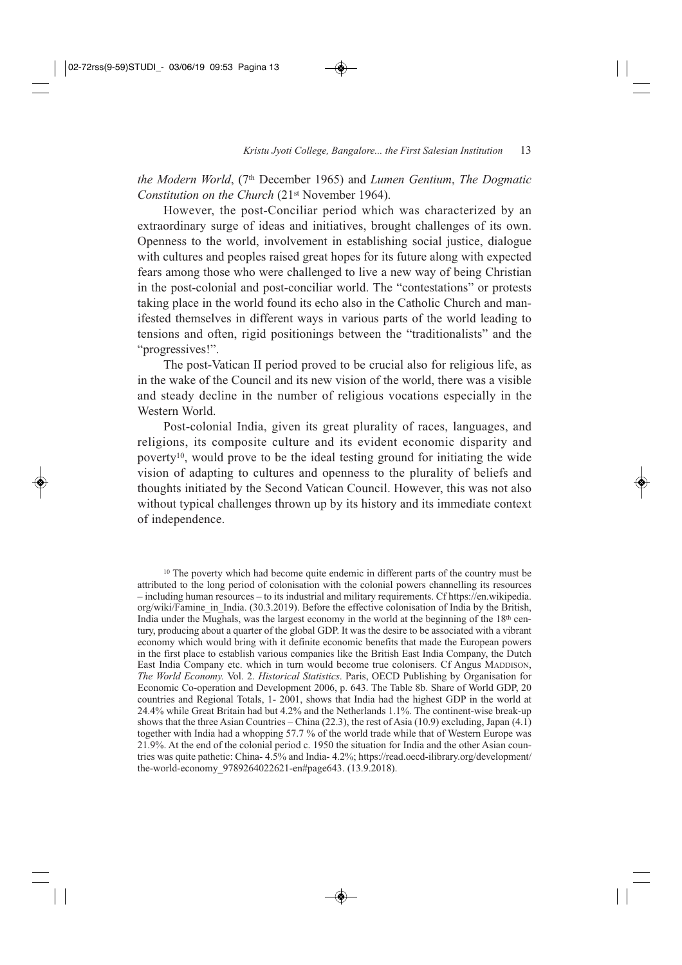*the Modern World*, (7th December 1965) and *Lumen Gentium*, *The Dogmatic Constitution on the Church* (21st November 1964).

However, the post-Conciliar period which was characterized by an extraordinary surge of ideas and initiatives, brought challenges of its own. Openness to the world, involvement in establishing social justice, dialogue with cultures and peoples raised great hopes for its future along with expected fears among those who were challenged to live a new way of being Christian in the post-colonial and post-conciliar world. The "contestations" or protests taking place in the world found its echo also in the Catholic Church and manifested themselves in different ways in various parts of the world leading to tensions and often, rigid positionings between the "traditionalists" and the "progressives!".

The post-Vatican II period proved to be crucial also for religious life, as in the wake of the Council and its new vision of the world, there was a visible and steady decline in the number of religious vocations especially in the Western World.

Post-colonial India, given its great plurality of races, languages, and religions, its composite culture and its evident economic disparity and poverty10, would prove to be the ideal testing ground for initiating the wide vision of adapting to cultures and openness to the plurality of beliefs and thoughts initiated by the Second Vatican Council. However, this was not also without typical challenges thrown up by its history and its immediate context of independence.

<sup>10</sup> The poverty which had become quite endemic in different parts of the country must be attributed to the long period of colonisation with the colonial powers channelling its resources – including human resources – to its industrial and military requirements. Cf https://en.wikipedia. org/wiki/Famine\_in\_India. (30.3.2019). Before the effective colonisation of India by the British, India under the Mughals, was the largest economy in the world at the beginning of the  $18<sup>th</sup>$  century, producing about a quarter of the global GDP. It was the desire to be associated with a vibrant economy which would bring with it definite economic benefits that made the European powers in the first place to establish various companies like the British East India Company, the Dutch East India Company etc. which in turn would become true colonisers. Cf Angus MADDISON, *The World Economy.* Vol. 2. *Historical Statistics*. Paris, OECD Publishing by Organisation for Economic Co-operation and Development 2006, p. 643. The Table 8b. Share of World GDP, 20 countries and Regional Totals, 1- 2001, shows that India had the highest GDP in the world at 24.4% while Great Britain had but 4.2% and the Netherlands 1.1%. The continent-wise break-up shows that the three Asian Countries – China (22.3), the rest of Asia (10.9) excluding, Japan (4.1) together with India had a whopping 57.7 % of the world trade while that of Western Europe was 21.9%. At the end of the colonial period c. 1950 the situation for India and the other Asian countries was quite pathetic: China- 4.5% and India- 4.2%; https://read.oecd-ilibrary.org/development/ the-world-economy\_9789264022621-en#page643. (13.9.2018).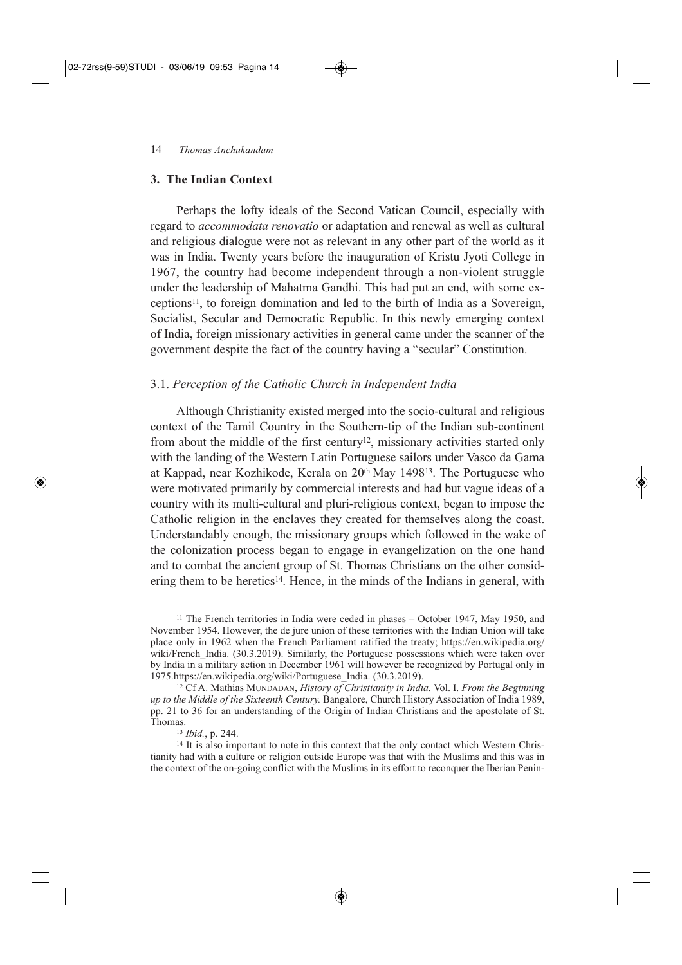#### **3. The Indian Context**

Perhaps the lofty ideals of the Second Vatican Council, especially with regard to *accommodata renovatio* or adaptation and renewal as well as cultural and religious dialogue were not as relevant in any other part of the world as it was in India. Twenty years before the inauguration of Kristu Jyoti College in 1967, the country had become independent through a non-violent struggle under the leadership of Mahatma Gandhi. This had put an end, with some exceptions11, to foreign domination and led to the birth of India as a Sovereign, Socialist, Secular and Democratic Republic. In this newly emerging context of India, foreign missionary activities in general came under the scanner of the government despite the fact of the country having a "secular" Constitution.

#### 3.1. *Perception of the Catholic Church in Independent India*

Although Christianity existed merged into the socio-cultural and religious context of the Tamil Country in the Southern-tip of the Indian sub-continent from about the middle of the first century12, missionary activities started only with the landing of the Western Latin Portuguese sailors under Vasco da Gama at Kappad, near Kozhikode, Kerala on 20<sup>th</sup> May 1498<sup>13</sup>. The Portuguese who were motivated primarily by commercial interests and had but vague ideas of a country with its multi-cultural and pluri-religious context, began to impose the Catholic religion in the enclaves they created for themselves along the coast. Understandably enough, the missionary groups which followed in the wake of the colonization process began to engage in evangelization on the one hand and to combat the ancient group of St. Thomas Christians on the other considering them to be heretics<sup>14</sup>. Hence, in the minds of the Indians in general, with

<sup>11</sup> The French territories in India were ceded in phases – October 1947, May 1950, and November 1954. However, the de jure union of these territories with the Indian Union will take place only in 1962 when the French Parliament ratified the treaty; https://en.wikipedia.org/ wiki/French India. (30.3.2019). Similarly, the Portuguese possessions which were taken over by India in a military action in December 1961 will however be recognized by Portugal only in 1975.https://en.wikipedia.org/wiki/Portuguese\_India. (30.3.2019).

<sup>12</sup> Cf A. Mathias MUNDADAN, *History of Christianity in India.* Vol. I. *From the Beginning up to the Middle of the Sixteenth Century.* Bangalore, Church History Association of India 1989, pp. 21 to 36 for an understanding of the Origin of Indian Christians and the apostolate of St. Thomas.

#### <sup>13</sup> *Ibid.*, p. 244.

<sup>14</sup> It is also important to note in this context that the only contact which Western Christianity had with a culture or religion outside Europe was that with the Muslims and this was in the context of the on-going conflict with the Muslims in its effort to reconquer the Iberian Penin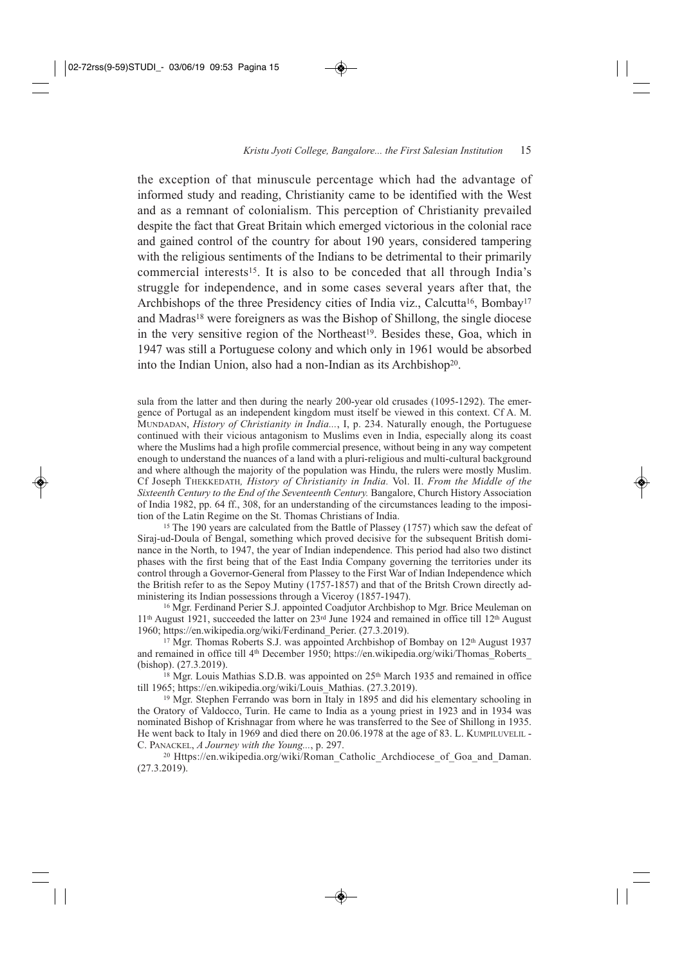the exception of that minuscule percentage which had the advantage of informed study and reading, Christianity came to be identified with the West and as a remnant of colonialism. This perception of Christianity prevailed despite the fact that Great Britain which emerged victorious in the colonial race and gained control of the country for about 190 years, considered tampering with the religious sentiments of the Indians to be detrimental to their primarily commercial interests<sup>15</sup>. It is also to be conceded that all through India's struggle for independence, and in some cases several years after that, the Archbishops of the three Presidency cities of India viz., Calcutta<sup>16</sup>, Bombay<sup>17</sup> and Madras<sup>18</sup> were foreigners as was the Bishop of Shillong, the single diocese in the very sensitive region of the Northeast<sup>19</sup>. Besides these, Goa, which in 1947 was still a Portuguese colony and which only in 1961 would be absorbed into the Indian Union, also had a non-Indian as its Archbishop20.

sula from the latter and then during the nearly 200-year old crusades (1095-1292). The emergence of Portugal as an independent kingdom must itself be viewed in this context. Cf A. M. MUNDADAN, *History of Christianity in India...*, I, p. 234. Naturally enough, the Portuguese continued with their vicious antagonism to Muslims even in India, especially along its coast where the Muslims had a high profile commercial presence, without being in any way competent enough to understand the nuances of a land with a pluri-religious and multi-cultural background and where although the majority of the population was Hindu, the rulers were mostly Muslim. Cf Joseph THEKKEDATH*, History of Christianity in India.* Vol. II. *From the Middle of the Sixteenth Century to the End of the Seventeenth Century.* Bangalore, Church History Association of India 1982, pp. 64 ff., 308, for an understanding of the circumstances leading to the imposition of the Latin Regime on the St. Thomas Christians of India.

<sup>15</sup> The 190 years are calculated from the Battle of Plassey (1757) which saw the defeat of Siraj-ud-Doula of Bengal, something which proved decisive for the subsequent British dominance in the North, to 1947, the year of Indian independence. This period had also two distinct phases with the first being that of the East India Company governing the territories under its control through a Governor-General from Plassey to the First War of Indian Independence which the British refer to as the Sepoy Mutiny (1757-1857) and that of the Britsh Crown directly administering its Indian possessions through a Viceroy (1857-1947).

<sup>16</sup> Mgr. Ferdinand Perier S.J. appointed Coadjutor Archbishop to Mgr. Brice Meuleman on 11th August 1921, succeeded the latter on 23rd June 1924 and remained in office till 12th August 1960; https://en.wikipedia.org/wiki/Ferdinand\_Perier. (27.3.2019).

<sup>17</sup> Mgr. Thomas Roberts S.J. was appointed Archbishop of Bombay on 12<sup>th</sup> August 1937 and remained in office till 4<sup>th</sup> December 1950; https://en.wikipedia.org/wiki/Thomas Roberts (bishop). (27.3.2019).

 $18$  Mgr. Louis Mathias S.D.B. was appointed on  $25<sup>th</sup>$  March 1935 and remained in office till 1965; https://en.wikipedia.org/wiki/Louis\_Mathias. (27.3.2019).

<sup>19</sup> Mgr. Stephen Ferrando was born in Italy in 1895 and did his elementary schooling in the Oratory of Valdocco, Turin. He came to India as a young priest in 1923 and in 1934 was nominated Bishop of Krishnagar from where he was transferred to the See of Shillong in 1935. He went back to Italy in 1969 and died there on 20.06.1978 at the age of 83. L. KUMPILUVELIL - C. PANACKEL, *A Journey with the Young...*, p. 297.

<sup>20</sup> Https://en.wikipedia.org/wiki/Roman\_Catholic\_Archdiocese\_of\_Goa\_and\_Daman. (27.3.2019).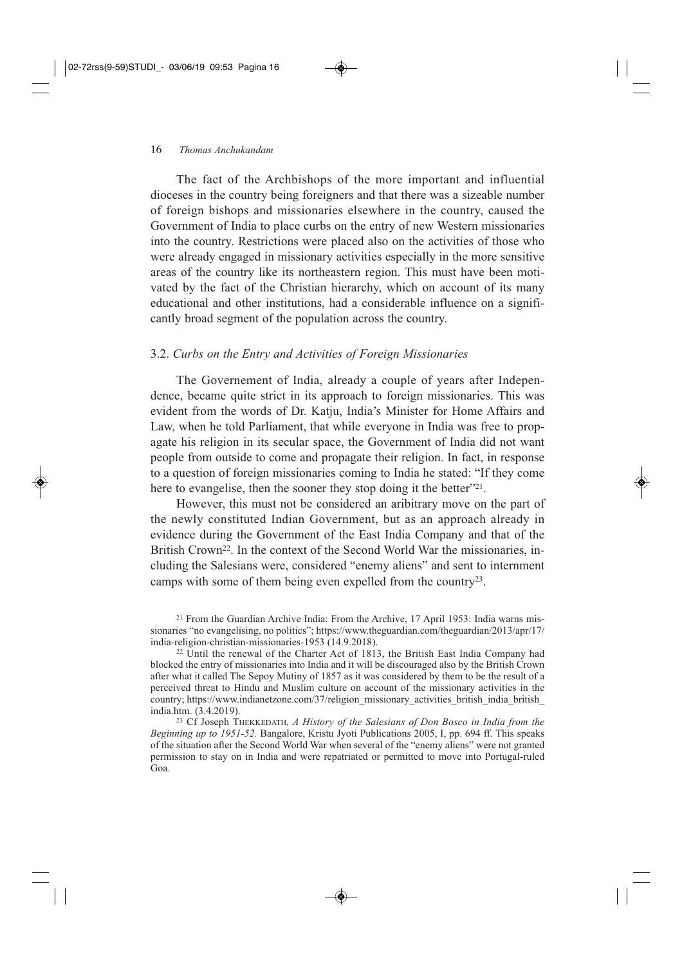#### 16 *Thomas Anchukandam*

The fact of the Archbishops of the more important and influential dioceses in the country being foreigners and that there was a sizeable number of foreign bishops and missionaries elsewhere in the country, caused the Government of India to place curbs on the entry of new Western missionaries into the country. Restrictions were placed also on the activities of those who were already engaged in missionary activities especially in the more sensitive areas of the country like its northeastern region. This must have been motivated by the fact of the Christian hierarchy, which on account of its many educational and other institutions, had a considerable influence on a significantly broad segment of the population across the country.

#### 3.2. *Curbs on the Entry and Activities of Foreign Missionaries*

The Governement of India, already a couple of years after Independence, became quite strict in its approach to foreign missionaries. This was evident from the words of Dr. Katju, India's Minister for Home Affairs and Law, when he told Parliament, that while everyone in India was free to propagate his religion in its secular space, the Government of India did not want people from outside to come and propagate their religion. In fact, in response to a question of foreign missionaries coming to India he stated: "If they come here to evangelise, then the sooner they stop doing it the better"<sup>21</sup>.

However, this must not be considered an aribitrary move on the part of the newly constituted Indian Government, but as an approach already in evidence during the Government of the East India Company and that of the British Crown<sup>22</sup>. In the context of the Second World War the missionaries, including the Salesians were, considered "enemy aliens" and sent to internment camps with some of them being even expelled from the country23.

<sup>21</sup> From the Guardian Archive India: From the Archive, 17 April 1953: India warns missionaries "no evangelising, no politics"; https://www.theguardian.com/theguardian/2013/apr/17/ india-religion-christian-missionaries-1953 (14.9.2018).

<sup>22</sup> Until the renewal of the Charter Act of 1813, the British East India Company had blocked the entry of missionaries into India and it will be discouraged also by the British Crown after what it called The Sepoy Mutiny of 1857 as it was considered by them to be the result of a perceived threat to Hindu and Muslim culture on account of the missionary activities in the country; https://www.indianetzone.com/37/religion\_missionary\_activities\_british\_india\_british india.htm. (3.4.2019).

<sup>23</sup> Cf Joseph THEKKEDATH*, A History of the Salesians of Don Bosco in India from the Beginning up to 1951-52.* Bangalore, Kristu Jyoti Publications 2005, I, pp. 694 ff. This speaks of the situation after the Second World War when several of the "enemy aliens" were not granted permission to stay on in India and were repatriated or permitted to move into Portugal-ruled Goa.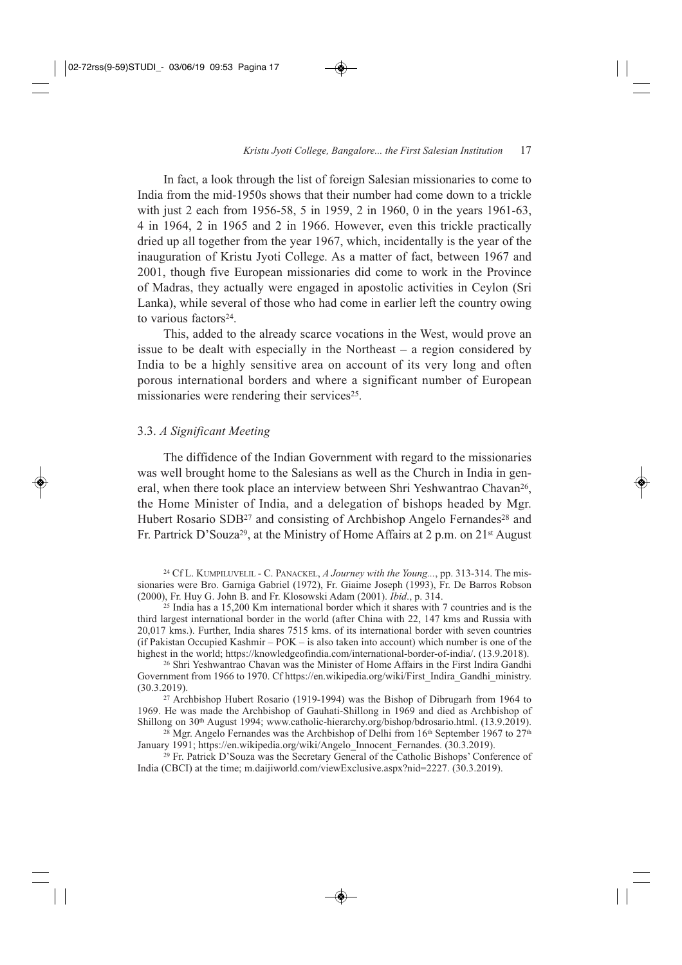In fact, a look through the list of foreign Salesian missionaries to come to India from the mid-1950s shows that their number had come down to a trickle with just 2 each from 1956-58, 5 in 1959, 2 in 1960, 0 in the years 1961-63, 4 in 1964, 2 in 1965 and 2 in 1966. However, even this trickle practically dried up all together from the year 1967, which, incidentally is the year of the inauguration of Kristu Jyoti College. As a matter of fact, between 1967 and 2001, though five European missionaries did come to work in the Province of Madras, they actually were engaged in apostolic activities in Ceylon (Sri Lanka), while several of those who had come in earlier left the country owing to various factors<sup>24</sup>.

This, added to the already scarce vocations in the West, would prove an issue to be dealt with especially in the Northeast – a region considered by India to be a highly sensitive area on account of its very long and often porous international borders and where a significant number of European missionaries were rendering their services<sup>25</sup>.

#### 3.3. *A Significant Meeting*

The diffidence of the Indian Government with regard to the missionaries was well brought home to the Salesians as well as the Church in India in general, when there took place an interview between Shri Yeshwantrao Chavan26, the Home Minister of India, and a delegation of bishops headed by Mgr. Hubert Rosario SDB<sup>27</sup> and consisting of Archbishop Angelo Fernandes<sup>28</sup> and Fr. Partrick D'Souza29, at the Ministry of Home Affairs at 2 p.m. on 21st August

<sup>29</sup> Fr. Patrick D'Souza was the Secretary General of the Catholic Bishops' Conference of India (CBCI) at the time; m.daijiworld.com/viewExclusive.aspx?nid=2227. (30.3.2019).

<sup>24</sup> Cf L. KUMPILUVELIL - C. PANACKEL, *A Journey with the Young...*, pp. 313-314. The missionaries were Bro. Garniga Gabriel (1972), Fr. Giaime Joseph (1993), Fr. De Barros Robson (2000), Fr. Huy G. John B. and Fr. Klosowski Adam (2001). *Ibid*., p. 314.

<sup>25</sup> India has a 15,200 Km international border which it shares with 7 countries and is the third largest international border in the world (after China with 22, 147 kms and Russia with 20,017 kms.). Further, India shares 7515 kms. of its international border with seven countries (if Pakistan Occupied Kashmir – POK – is also taken into account) which number is one of the highest in the world; https://knowledgeofindia.com/international-border-of-india/. (13.9.2018).

<sup>26</sup> Shri Yeshwantrao Chavan was the Minister of Home Affairs in the First Indira Gandhi Government from 1966 to 1970. Cf https://en.wikipedia.org/wiki/First\_Indira\_Gandhi\_ministry. (30.3.2019).

<sup>27</sup> Archbishop Hubert Rosario (1919-1994) was the Bishop of Dibrugarh from 1964 to 1969. He was made the Archbishop of Gauhati-Shillong in 1969 and died as Archbishop of Shillong on 30<sup>th</sup> August 1994; www.catholic-hierarchy.org/bishop/bdrosario.html. (13.9.2019).

<sup>&</sup>lt;sup>28</sup> Mgr. Angelo Fernandes was the Archbishop of Delhi from  $16<sup>th</sup>$  September 1967 to  $27<sup>th</sup>$ January 1991; https://en.wikipedia.org/wiki/Angelo\_Innocent\_Fernandes. (30.3.2019).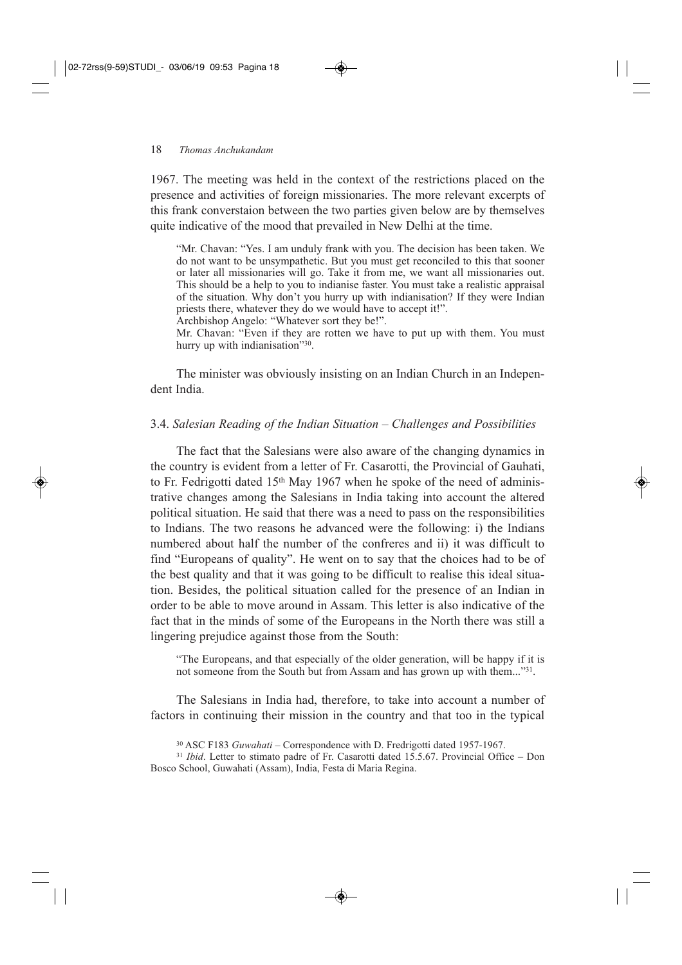1967. The meeting was held in the context of the restrictions placed on the presence and activities of foreign missionaries. The more relevant excerpts of this frank converstaion between the two parties given below are by themselves quite indicative of the mood that prevailed in New Delhi at the time.

"Mr. Chavan: "Yes. I am unduly frank with you. The decision has been taken. We do not want to be unsympathetic. But you must get reconciled to this that sooner or later all missionaries will go. Take it from me, we want all missionaries out. This should be a help to you to indianise faster. You must take a realistic appraisal of the situation. Why don't you hurry up with indianisation? If they were Indian priests there, whatever they do we would have to accept it!".

Archbishop Angelo: "Whatever sort they be!".

Mr. Chavan: "Even if they are rotten we have to put up with them. You must hurry up with indianisation"<sup>30</sup>.

The minister was obviously insisting on an Indian Church in an Independent India.

#### 3.4. *Salesian Reading of the Indian Situation – Challenges and Possibilities*

The fact that the Salesians were also aware of the changing dynamics in the country is evident from a letter of Fr. Casarotti, the Provincial of Gauhati, to Fr. Fedrigotti dated 15th May 1967 when he spoke of the need of administrative changes among the Salesians in India taking into account the altered political situation. He said that there was a need to pass on the responsibilities to Indians. The two reasons he advanced were the following: i) the Indians numbered about half the number of the confreres and ii) it was difficult to find "Europeans of quality". He went on to say that the choices had to be of the best quality and that it was going to be difficult to realise this ideal situation. Besides, the political situation called for the presence of an Indian in order to be able to move around in Assam. This letter is also indicative of the fact that in the minds of some of the Europeans in the North there was still a lingering prejudice against those from the South:

"The Europeans, and that especially of the older generation, will be happy if it is not someone from the South but from Assam and has grown up with them..."31.

The Salesians in India had, therefore, to take into account a number of factors in continuing their mission in the country and that too in the typical

<sup>30</sup> ASC F183 *Guwahati* – Correspondence with D. Fredrigotti dated 1957-1967.

<sup>31</sup> *Ibid*. Letter to stimato padre of Fr. Casarotti dated 15.5.67. Provincial Office – Don Bosco School, Guwahati (Assam), India, Festa di Maria Regina.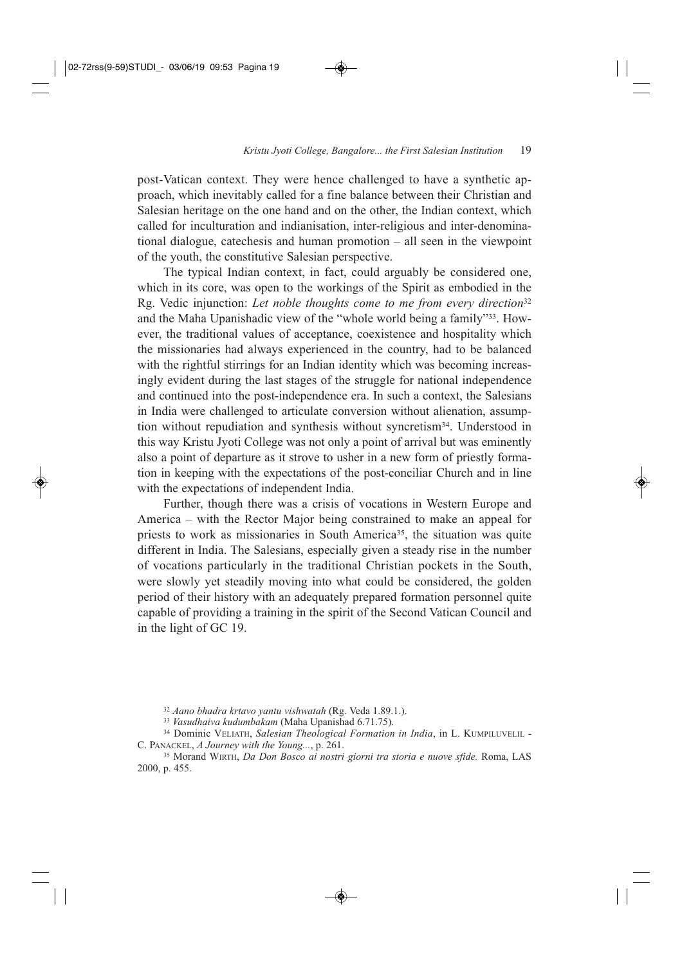post-Vatican context. They were hence challenged to have a synthetic approach, which inevitably called for a fine balance between their Christian and Salesian heritage on the one hand and on the other, the Indian context, which called for inculturation and indianisation, inter-religious and inter-denominational dialogue, catechesis and human promotion – all seen in the viewpoint of the youth, the constitutive Salesian perspective.

The typical Indian context, in fact, could arguably be considered one, which in its core, was open to the workings of the Spirit as embodied in the Rg. Vedic injunction: *Let noble thoughts come to me from every direction*<sup>32</sup> and the Maha Upanishadic view of the "whole world being a family"33. However, the traditional values of acceptance, coexistence and hospitality which the missionaries had always experienced in the country, had to be balanced with the rightful stirrings for an Indian identity which was becoming increasingly evident during the last stages of the struggle for national independence and continued into the post-independence era. In such a context, the Salesians in India were challenged to articulate conversion without alienation, assumption without repudiation and synthesis without syncretism34. Understood in this way Kristu Jyoti College was not only a point of arrival but was eminently also a point of departure as it strove to usher in a new form of priestly formation in keeping with the expectations of the post-conciliar Church and in line with the expectations of independent India.

Further, though there was a crisis of vocations in Western Europe and America – with the Rector Major being constrained to make an appeal for priests to work as missionaries in South America<sup>35</sup>, the situation was quite different in India. The Salesians, especially given a steady rise in the number of vocations particularly in the traditional Christian pockets in the South, were slowly yet steadily moving into what could be considered, the golden period of their history with an adequately prepared formation personnel quite capable of providing a training in the spirit of the Second Vatican Council and in the light of GC 19.

<sup>32</sup> *Aano bhadra krtavo yantu vishwatah* (Rg. Veda 1.89.1.).

<sup>33</sup> *Vasudhaiva kudumbakam* (Maha Upanishad 6.71.75).

<sup>34</sup> Dominic VELIATH, *Salesian Theological Formation in India*, in L. KUMPILUVELIL - C. PANACKEL, *A Journey with the Young...*, p. 261.

<sup>35</sup> Morand WIRTH, *Da Don Bosco ai nostri giorni tra storia e nuove sfide.* Roma, LAS 2000, p. 455.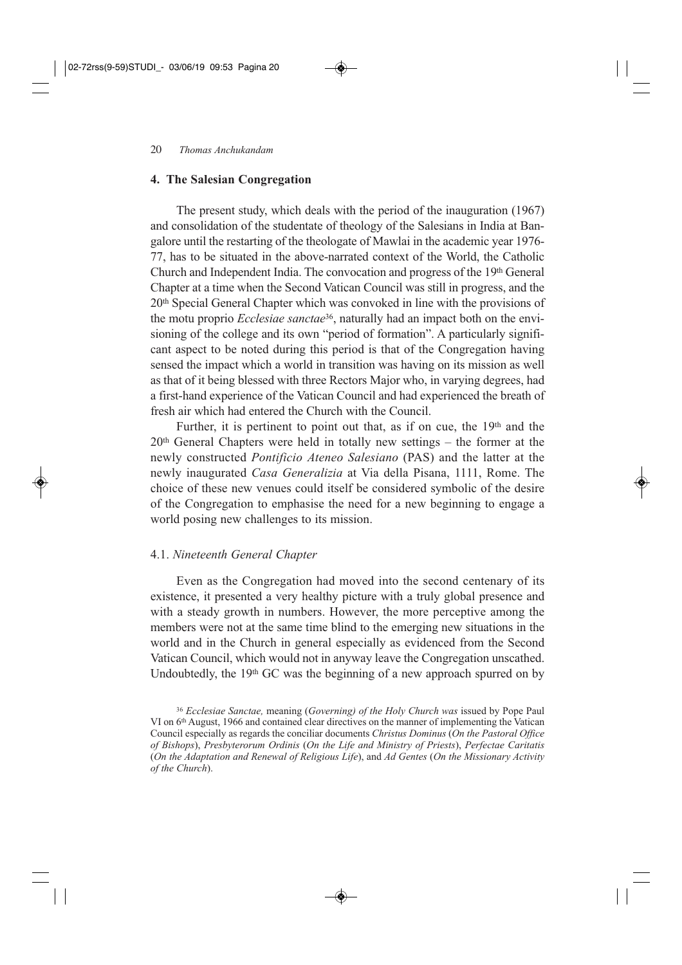#### **4. The Salesian Congregation**

The present study, which deals with the period of the inauguration (1967) and consolidation of the studentate of theology of the Salesians in India at Bangalore until the restarting of the theologate of Mawlai in the academic year 1976- 77, has to be situated in the above-narrated context of the World, the Catholic Church and Independent India. The convocation and progress of the 19th General Chapter at a time when the Second Vatican Council was still in progress, and the 20th Special General Chapter which was convoked in line with the provisions of the motu proprio *Ecclesiae sanctae*36, naturally had an impact both on the envisioning of the college and its own "period of formation". A particularly significant aspect to be noted during this period is that of the Congregation having sensed the impact which a world in transition was having on its mission as well as that of it being blessed with three Rectors Major who, in varying degrees, had a first-hand experience of the Vatican Council and had experienced the breath of fresh air which had entered the Church with the Council.

Further, it is pertinent to point out that, as if on cue, the 19<sup>th</sup> and the  $20<sup>th</sup>$  General Chapters were held in totally new settings – the former at the newly constructed *Pontificio Ateneo Salesiano* (PAS) and the latter at the newly inaugurated *Casa Generalizia* at Via della Pisana, 1111, Rome. The choice of these new venues could itself be considered symbolic of the desire of the Congregation to emphasise the need for a new beginning to engage a world posing new challenges to its mission.

#### 4.1. *Nineteenth General Chapter*

Even as the Congregation had moved into the second centenary of its existence, it presented a very healthy picture with a truly global presence and with a steady growth in numbers. However, the more perceptive among the members were not at the same time blind to the emerging new situations in the world and in the Church in general especially as evidenced from the Second Vatican Council, which would not in anyway leave the Congregation unscathed. Undoubtedly, the 19th GC was the beginning of a new approach spurred on by

<sup>36</sup> *Ecclesiae Sanctae,* meaning (*Governing) of the Holy Church was* issued by Pope Paul VI on 6th August, 1966 and contained clear directives on the manner of implementing the Vatican Council especially as regards the conciliar documents *Christus Dominus* (*On the Pastoral Office of Bishops*), *Presbyterorum Ordinis* (*On the Life and Ministry of Priests*), *Perfectae Caritatis* (*On the Adaptation and Renewal of Religious Life*), and *Ad Gentes* (*On the Missionary Activity of the Church*).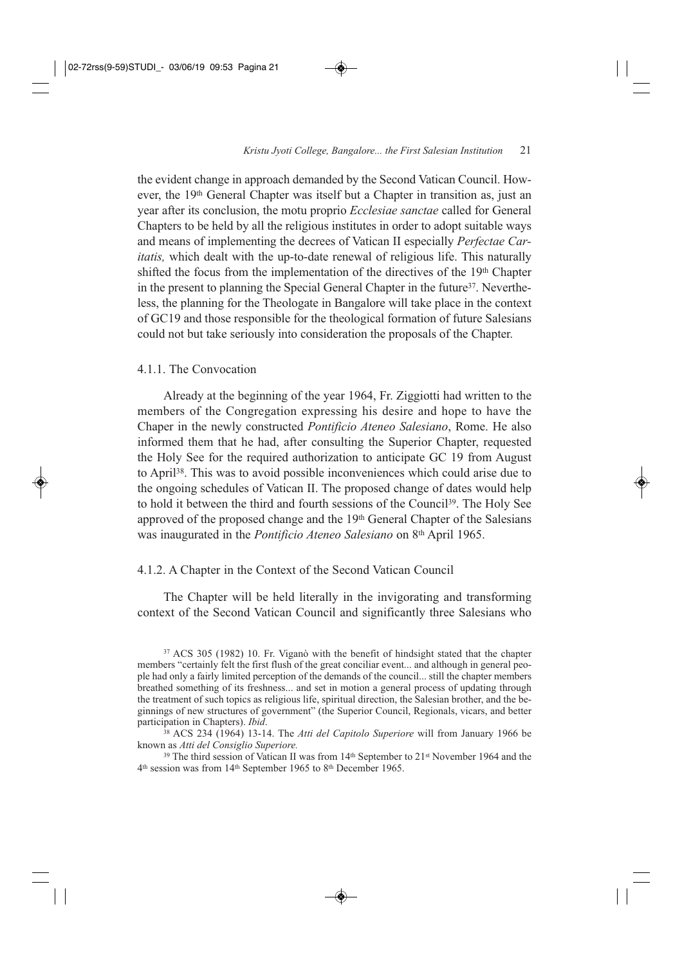the evident change in approach demanded by the Second Vatican Council. However, the 19<sup>th</sup> General Chapter was itself but a Chapter in transition as, just an year after its conclusion, the motu proprio *Ecclesiae sanctae* called for General Chapters to be held by all the religious institutes in order to adopt suitable ways and means of implementing the decrees of Vatican II especially *Perfectae Caritatis,* which dealt with the up-to-date renewal of religious life. This naturally shifted the focus from the implementation of the directives of the 19th Chapter in the present to planning the Special General Chapter in the future<sup>37</sup>. Nevertheless, the planning for the Theologate in Bangalore will take place in the context of GC19 and those responsible for the theological formation of future Salesians could not but take seriously into consideration the proposals of the Chapter.

#### 4.1.1. The Convocation

Already at the beginning of the year 1964, Fr. Ziggiotti had written to the members of the Congregation expressing his desire and hope to have the Chaper in the newly constructed *Pontificio Ateneo Salesiano*, Rome. He also informed them that he had, after consulting the Superior Chapter, requested the Holy See for the required authorization to anticipate GC 19 from August to April38. This was to avoid possible inconveniences which could arise due to the ongoing schedules of Vatican II. The proposed change of dates would help to hold it between the third and fourth sessions of the Council<sup>39</sup>. The Holy See approved of the proposed change and the 19th General Chapter of the Salesians was inaugurated in the *Pontificio Ateneo Salesiano* on 8th April 1965.

#### 4.1.2. A Chapter in the Context of the Second Vatican Council

The Chapter will be held literally in the invigorating and transforming context of the Second Vatican Council and significantly three Salesians who

<sup>38</sup> ACS 234 (1964) 13-14. The *Atti del Capitolo Superiore* will from January 1966 be known as *Atti del Consiglio Superiore.*

 $39$  The third session of Vatican II was from 14<sup>th</sup> September to 21<sup>st</sup> November 1964 and the 4th session was from 14th September 1965 to 8th December 1965.

<sup>37</sup> ACS 305 (1982) 10. Fr. Viganò with the benefit of hindsight stated that the chapter members "certainly felt the first flush of the great conciliar event... and although in general people had only a fairly limited perception of the demands of the council... still the chapter members breathed something of its freshness... and set in motion a general process of updating through the treatment of such topics as religious life, spiritual direction, the Salesian brother, and the beginnings of new structures of government" (the Superior Council, Regionals, vicars, and better participation in Chapters). *Ibid*.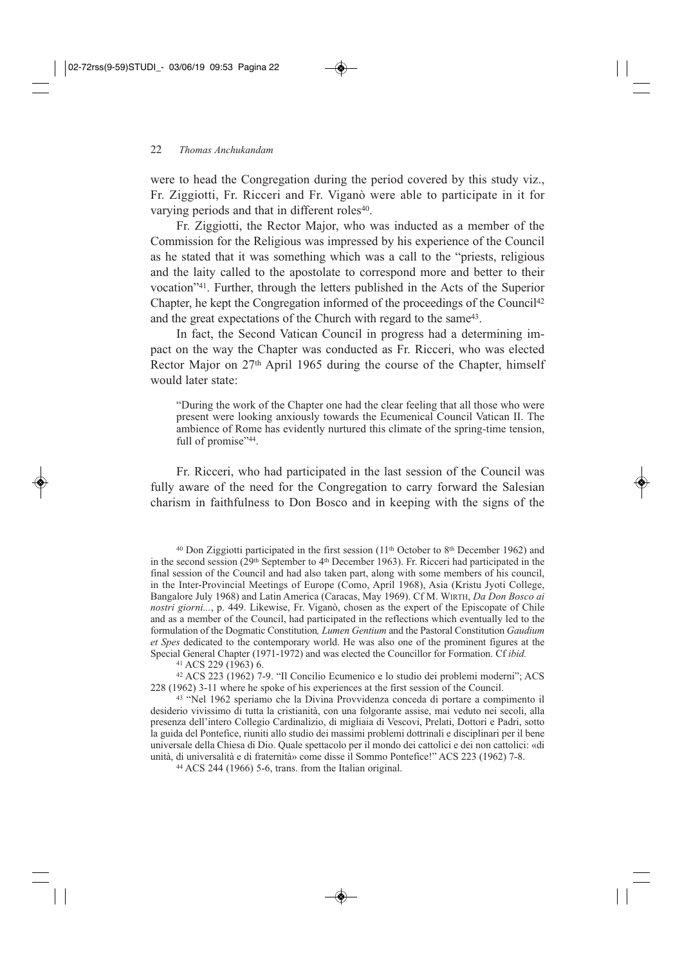were to head the Congregation during the period covered by this study viz., Fr. Ziggiotti, Fr. Ricceri and Fr. Viganò were able to participate in it for varying periods and that in different roles<sup>40</sup>.

Fr. Ziggiotti, the Rector Major, who was inducted as a member of the Commission for the Religious was impressed by his experience of the Council as he stated that it was something which was a call to the "priests, religious and the laity called to the apostolate to correspond more and better to their vocation"41. Further, through the letters published in the Acts of the Superior Chapter, he kept the Congregation informed of the proceedings of the Council<sup>42</sup> and the great expectations of the Church with regard to the same<sup>43</sup>.

In fact, the Second Vatican Council in progress had a determining impact on the way the Chapter was conducted as Fr. Ricceri, who was elected Rector Major on 27th April 1965 during the course of the Chapter, himself would later state:

"During the work of the Chapter one had the clear feeling that all those who were present were looking anxiously towards the Ecumenical Council Vatican II. The ambience of Rome has evidently nurtured this climate of the spring-time tension, full of promise"<sup>44</sup>.

Fr. Ricceri, who had participated in the last session of the Council was fully aware of the need for the Congregation to carry forward the Salesian charism in faithfulness to Don Bosco and in keeping with the signs of the

<sup>41</sup> ACS 229 (1963) 6.

<sup>42</sup> ACS 223 (1962) 7-9. "Il Concilio Ecumenico e lo studio dei problemi moderni"; ACS 228 (1962) 3-11 where he spoke of his experiences at the first session of the Council.

<sup>43</sup> "Nel 1962 speriamo che la Divina Provvidenza conceda di portare a compimento il desiderio vivissimo di tutta la cristianità, con una folgorante assise, mai veduto nei secoli, alla presenza dell'intero Collegio Cardinalizio, di migliaia di Vescovi, Prelati, Dottori e Padri, sotto la guida del Pontefice, riuniti allo studio dei massimi problemi dottrinali e disciplinari per il bene universale della Chiesa di Dio. Quale spettacolo per il mondo dei cattolici e dei non cattolici: «di unità, di universalità e di fraternità» come disse il Sommo Pontefice!" ACS 223 (1962) 7-8.

<sup>44</sup> ACS 244 (1966) 5-6, trans. from the Italian original.

 $40$  Don Ziggiotti participated in the first session (11<sup>th</sup> October to 8<sup>th</sup> December 1962) and in the second session (29<sup>th</sup> September to  $4<sup>th</sup>$  December 1963). Fr. Ricceri had participated in the final session of the Council and had also taken part, along with some members of his council, in the Inter-Provincial Meetings of Europe (Como, April 1968), Asia (Kristu Jyoti College, Bangalore July 1968) and Latin America (Caracas, May 1969). Cf M. WIRTH, *Da Don Bosco ai nostri giorni...*, p. 449. Likewise, Fr. Viganò, chosen as the expert of the Episcopate of Chile and as a member of the Council, had participated in the reflections which eventually led to the formulation of the Dogmatic Constitution*, Lumen Gentium* and the Pastoral Constitution *Gaudium et Spes* dedicated to the contemporary world. He was also one of the prominent figures at the Special General Chapter (1971-1972) and was elected the Councillor for Formation. Cf *ibid.*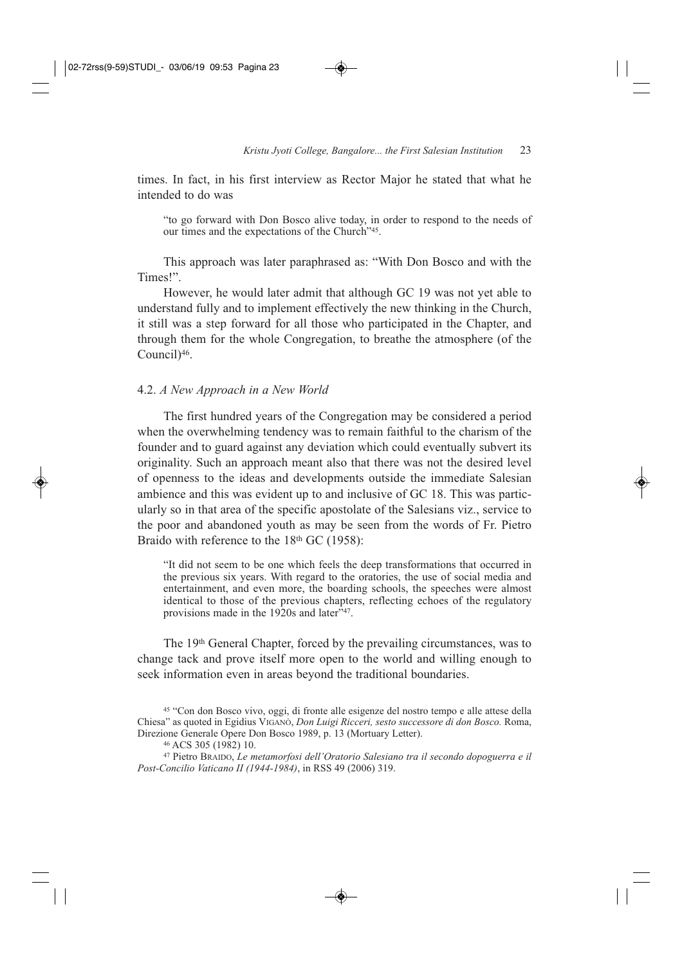times. In fact, in his first interview as Rector Major he stated that what he intended to do was

"to go forward with Don Bosco alive today, in order to respond to the needs of our times and the expectations of the Church"45.

This approach was later paraphrased as: "With Don Bosco and with the Times!".

However, he would later admit that although GC 19 was not yet able to understand fully and to implement effectively the new thinking in the Church, it still was a step forward for all those who participated in the Chapter, and through them for the whole Congregation, to breathe the atmosphere (of the Council)46.

#### 4.2. *A New Approach in a New World*

The first hundred years of the Congregation may be considered a period when the overwhelming tendency was to remain faithful to the charism of the founder and to guard against any deviation which could eventually subvert its originality. Such an approach meant also that there was not the desired level of openness to the ideas and developments outside the immediate Salesian ambience and this was evident up to and inclusive of GC 18. This was particularly so in that area of the specific apostolate of the Salesians viz., service to the poor and abandoned youth as may be seen from the words of Fr. Pietro Braido with reference to the  $18<sup>th</sup>$  GC (1958):

"It did not seem to be one which feels the deep transformations that occurred in the previous six years. With regard to the oratories, the use of social media and entertainment, and even more, the boarding schools, the speeches were almost identical to those of the previous chapters, reflecting echoes of the regulatory provisions made in the  $1920s$  and later<sup> $\frac{547}{100}$ </sup>.

The 19th General Chapter, forced by the prevailing circumstances, was to change tack and prove itself more open to the world and willing enough to seek information even in areas beyond the traditional boundaries.

<sup>45</sup> "Con don Bosco vivo, oggi, di fronte alle esigenze del nostro tempo e alle attese della Chiesa" as quoted in Egidius VIGANÒ, *Don Luigi Ricceri, sesto successore di don Bosco.* Roma, Direzione Generale Opere Don Bosco 1989, p. 13 (Mortuary Letter).

<sup>46</sup> ACS 305 (1982) 10.

<sup>47</sup> Pietro BRAIDO, *Le metamorfosi dell'Oratorio Salesiano tra il secondo dopoguerra e il Post-Concilio Vaticano II (1944-1984)*, in RSS 49 (2006) 319.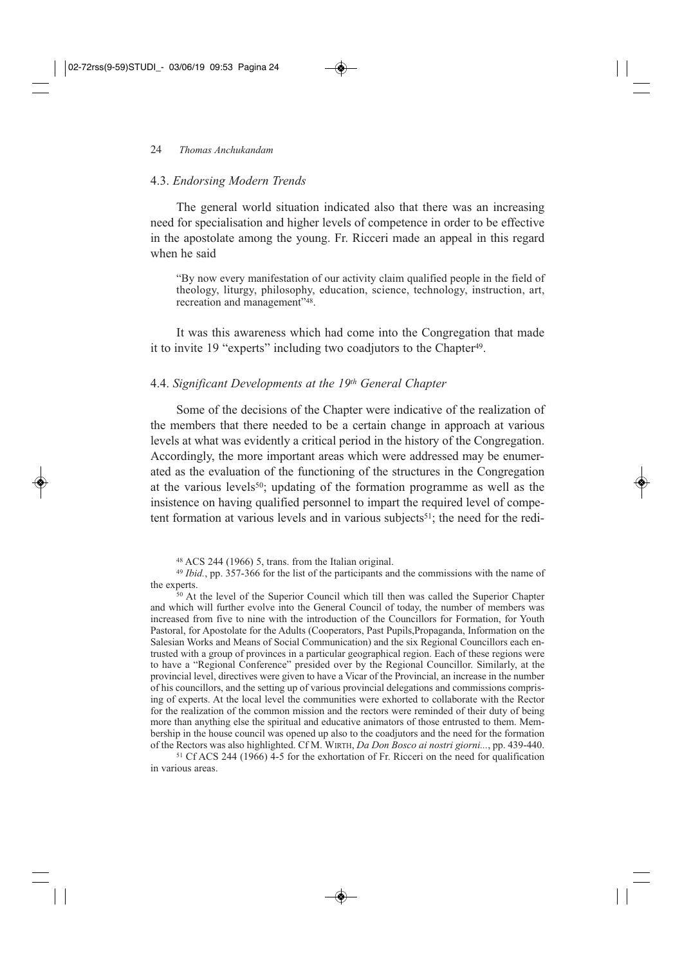#### 4.3. *Endorsing Modern Trends*

The general world situation indicated also that there was an increasing need for specialisation and higher levels of competence in order to be effective in the apostolate among the young. Fr. Ricceri made an appeal in this regard when he said

"By now every manifestation of our activity claim qualified people in the field of theology, liturgy, philosophy, education, science, technology, instruction, art, recreation and management"48.

It was this awareness which had come into the Congregation that made it to invite 19 "experts" including two coadjutors to the Chapter<sup>49</sup>.

### 4.4. *Significant Developments at the 19th General Chapter*

Some of the decisions of the Chapter were indicative of the realization of the members that there needed to be a certain change in approach at various levels at what was evidently a critical period in the history of the Congregation. Accordingly, the more important areas which were addressed may be enumerated as the evaluation of the functioning of the structures in the Congregation at the various levels<sup>50</sup>; updating of the formation programme as well as the insistence on having qualified personnel to impart the required level of competent formation at various levels and in various subjects<sup>51</sup>; the need for the redi-

<sup>50</sup> At the level of the Superior Council which till then was called the Superior Chapter and which will further evolve into the General Council of today, the number of members was increased from five to nine with the introduction of the Councillors for Formation, for Youth Pastoral, for Apostolate for the Adults (Cooperators, Past Pupils,Propaganda, Information on the Salesian Works and Means of Social Communication) and the six Regional Councillors each entrusted with a group of provinces in a particular geographical region. Each of these regions were to have a "Regional Conference" presided over by the Regional Councillor. Similarly, at the provincial level, directives were given to have a Vicar of the Provincial, an increase in the number of his councillors, and the setting up of various provincial delegations and commissions comprising of experts. At the local level the communities were exhorted to collaborate with the Rector for the realization of the common mission and the rectors were reminded of their duty of being more than anything else the spiritual and educative animators of those entrusted to them. Membership in the house council was opened up also to the coadjutors and the need for the formation of the Rectors was also highlighted. Cf M. WIRTH, *Da Don Bosco ai nostri giorni...*, pp. 439-440.

<sup>51</sup> Cf ACS 244 (1966) 4-5 for the exhortation of Fr. Ricceri on the need for qualification in various areas.

<sup>48</sup> ACS 244 (1966) 5, trans. from the Italian original.

<sup>49</sup> *Ibid.*, pp. 357-366 for the list of the participants and the commissions with the name of the experts.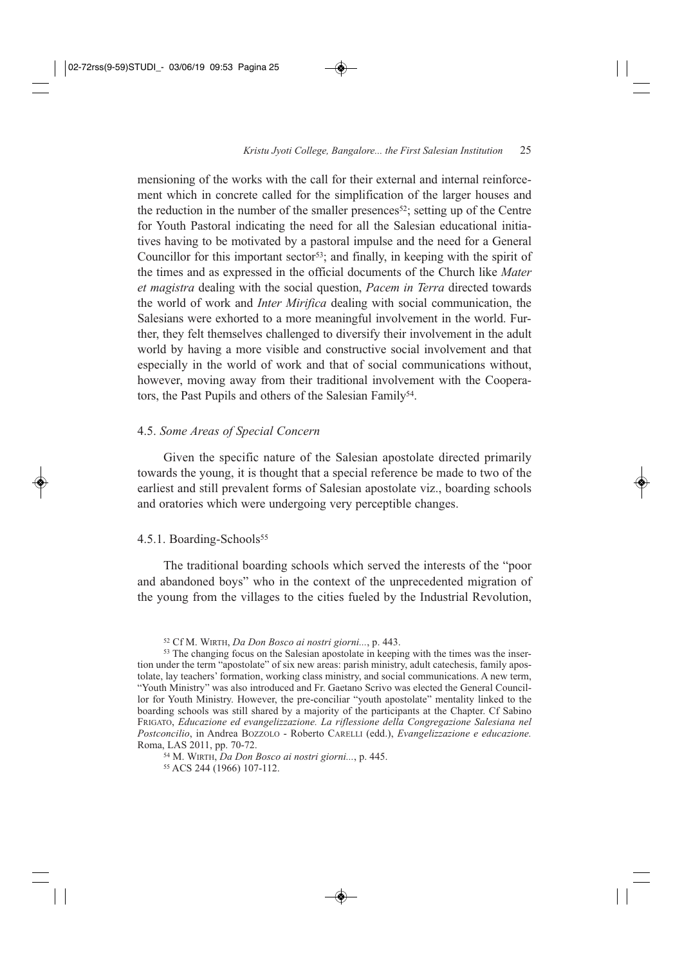mensioning of the works with the call for their external and internal reinforcement which in concrete called for the simplification of the larger houses and the reduction in the number of the smaller presences<sup>52</sup>; setting up of the Centre for Youth Pastoral indicating the need for all the Salesian educational initiatives having to be motivated by a pastoral impulse and the need for a General Councillor for this important sector<sup>53</sup>; and finally, in keeping with the spirit of the times and as expressed in the official documents of the Church like *Mater et magistra* dealing with the social question, *Pacem in Terra* directed towards the world of work and *Inter Mirifica* dealing with social communication, the Salesians were exhorted to a more meaningful involvement in the world. Further, they felt themselves challenged to diversify their involvement in the adult world by having a more visible and constructive social involvement and that especially in the world of work and that of social communications without, however, moving away from their traditional involvement with the Cooperators, the Past Pupils and others of the Salesian Family<sup>54</sup>.

#### 4.5. *Some Areas of Special Concern*

Given the specific nature of the Salesian apostolate directed primarily towards the young, it is thought that a special reference be made to two of the earliest and still prevalent forms of Salesian apostolate viz., boarding schools and oratories which were undergoing very perceptible changes.

#### 4.5.1. Boarding-Schools<sup>55</sup>

The traditional boarding schools which served the interests of the "poor and abandoned boys" who in the context of the unprecedented migration of the young from the villages to the cities fueled by the Industrial Revolution,

<sup>54</sup> M. WIRTH, *Da Don Bosco ai nostri giorni...*, p. 445.

<sup>55</sup> ACS 244 (1966) 107-112.

<sup>52</sup> Cf M. WIRTH, *Da Don Bosco ai nostri giorni...*, p. 443.

<sup>&</sup>lt;sup>53</sup> The changing focus on the Salesian apostolate in keeping with the times was the insertion under the term "apostolate" of six new areas: parish ministry, adult catechesis, family apostolate, lay teachers' formation, working class ministry, and social communications. A new term, "Youth Ministry" was also introduced and Fr. Gaetano Scrivo was elected the General Councillor for Youth Ministry. However, the pre-conciliar "youth apostolate" mentality linked to the boarding schools was still shared by a majority of the participants at the Chapter. Cf Sabino FRIGATO, *Educazione ed evangelizzazione. La riflessione della Congregazione Salesiana nel Postconcilio*, in Andrea BOZZOLO - Roberto CARELLI (edd.), *Evangelizzazione e educazione.* Roma, LAS 2011, pp. 70-72.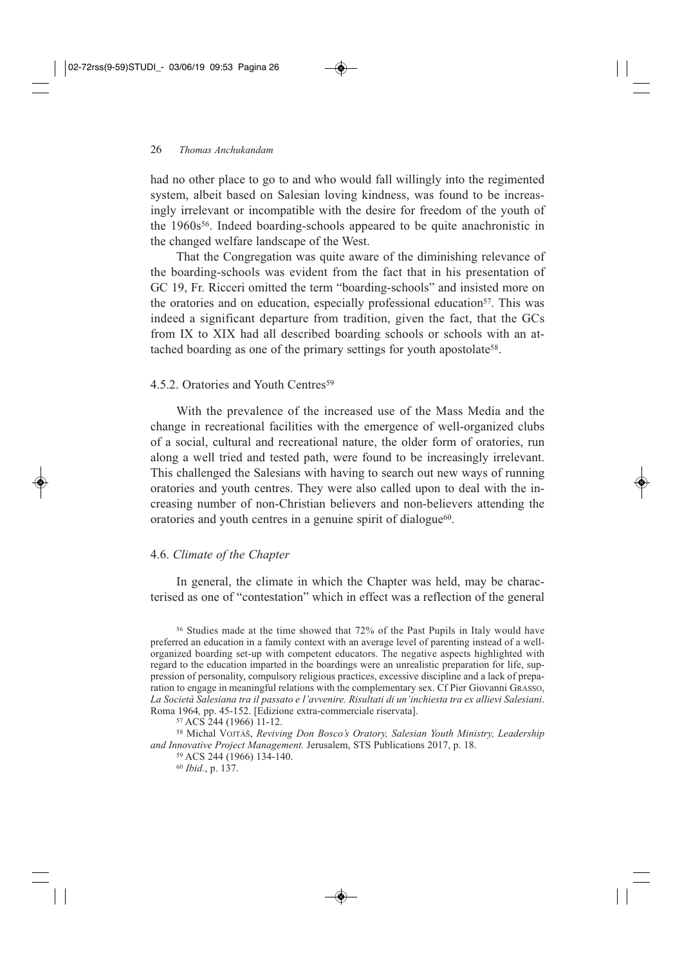had no other place to go to and who would fall willingly into the regimented system, albeit based on Salesian loving kindness, was found to be increasingly irrelevant or incompatible with the desire for freedom of the youth of the 1960s<sup>56</sup>. Indeed boarding-schools appeared to be quite anachronistic in the changed welfare landscape of the West.

That the Congregation was quite aware of the diminishing relevance of the boarding-schools was evident from the fact that in his presentation of GC 19, Fr. Ricceri omitted the term "boarding-schools" and insisted more on the oratories and on education, especially professional education<sup>57</sup>. This was indeed a significant departure from tradition, given the fact, that the GCs from IX to XIX had all described boarding schools or schools with an attached boarding as one of the primary settings for youth apostolate<sup>58</sup>.

### 4.5.2. Oratories and Youth Centres<sup>59</sup>

With the prevalence of the increased use of the Mass Media and the change in recreational facilities with the emergence of well-organized clubs of a social, cultural and recreational nature, the older form of oratories, run along a well tried and tested path, were found to be increasingly irrelevant. This challenged the Salesians with having to search out new ways of running oratories and youth centres. They were also called upon to deal with the increasing number of non-Christian believers and non-believers attending the oratories and youth centres in a genuine spirit of dialogue<sup>60</sup>.

## 4.6. *Climate of the Chapter*

In general, the climate in which the Chapter was held, may be characterised as one of "contestation" which in effect was a reflection of the general

<sup>56</sup> Studies made at the time showed that 72% of the Past Pupils in Italy would have preferred an education in a family context with an average level of parenting instead of a wellorganized boarding set-up with competent educators. The negative aspects highlighted with regard to the education imparted in the boardings were an unrealistic preparation for life, suppression of personality, compulsory religious practices, excessive discipline and a lack of preparation to engage in meaningful relations with the complementary sex. Cf Pier Giovanni GRASSO, *La Società Salesiana tra il passato e l'avvenire. Risultati di un'inchiesta tra ex allievi Salesiani*. Roma 1964*,* pp. 45-152. [Edizione extra-commerciale riservata].

<sup>57</sup> ACS 244 (1966) 11-12.

<sup>58</sup> Michal VOJTÁŠ, *Reviving Don Bosco's Oratory, Salesian Youth Ministry, Leadership and Innovative Project Management.* Jerusalem, STS Publications 2017, p. 18.

<sup>59</sup> ACS 244 (1966) 134-140.

<sup>60</sup> *Ibid.*, p. 137.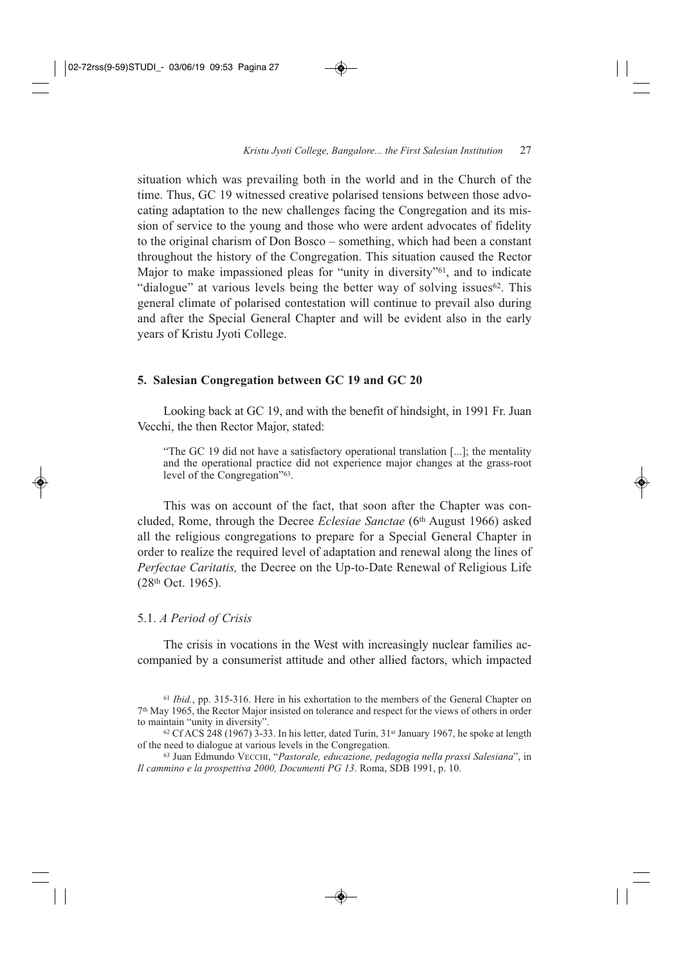situation which was prevailing both in the world and in the Church of the time. Thus, GC 19 witnessed creative polarised tensions between those advocating adaptation to the new challenges facing the Congregation and its mission of service to the young and those who were ardent advocates of fidelity to the original charism of Don Bosco – something, which had been a constant throughout the history of the Congregation. This situation caused the Rector Major to make impassioned pleas for "unity in diversity"61, and to indicate "dialogue" at various levels being the better way of solving issues<sup>62</sup>. This general climate of polarised contestation will continue to prevail also during and after the Special General Chapter and will be evident also in the early years of Kristu Jyoti College.

#### **5. Salesian Congregation between GC 19 and GC 20**

Looking back at GC 19, and with the benefit of hindsight, in 1991 Fr. Juan Vecchi, the then Rector Major, stated:

"The GC 19 did not have a satisfactory operational translation [...]; the mentality and the operational practice did not experience major changes at the grass-root level of the Congregation"63.

This was on account of the fact, that soon after the Chapter was concluded, Rome, through the Decree *Eclesiae Sanctae* (6th August 1966) asked all the religious congregations to prepare for a Special General Chapter in order to realize the required level of adaptation and renewal along the lines of *Perfectae Caritatis,* the Decree on the Up-to-Date Renewal of Religious Life (28th Oct. 1965).

#### 5.1. *A Period of Crisis*

The crisis in vocations in the West with increasingly nuclear families accompanied by a consumerist attitude and other allied factors, which impacted

<sup>61</sup> *Ibid.*, pp. 315-316. Here in his exhortation to the members of the General Chapter on 7th May 1965, the Rector Major insisted on tolerance and respect for the views of others in order to maintain "unity in diversity".

 $62$  Cf ACS 248 (1967) 3-33. In his letter, dated Turin,  $31$ <sup>st</sup> January 1967, he spoke at length of the need to dialogue at various levels in the Congregation.

<sup>63</sup> Juan Edmundo VECCHI, "*Pastorale, educazione, pedagogia nella prassi Salesiana*", in *Il cammino e la prospettiva 2000, Documenti PG 13*. Roma, SDB 1991, p. 10.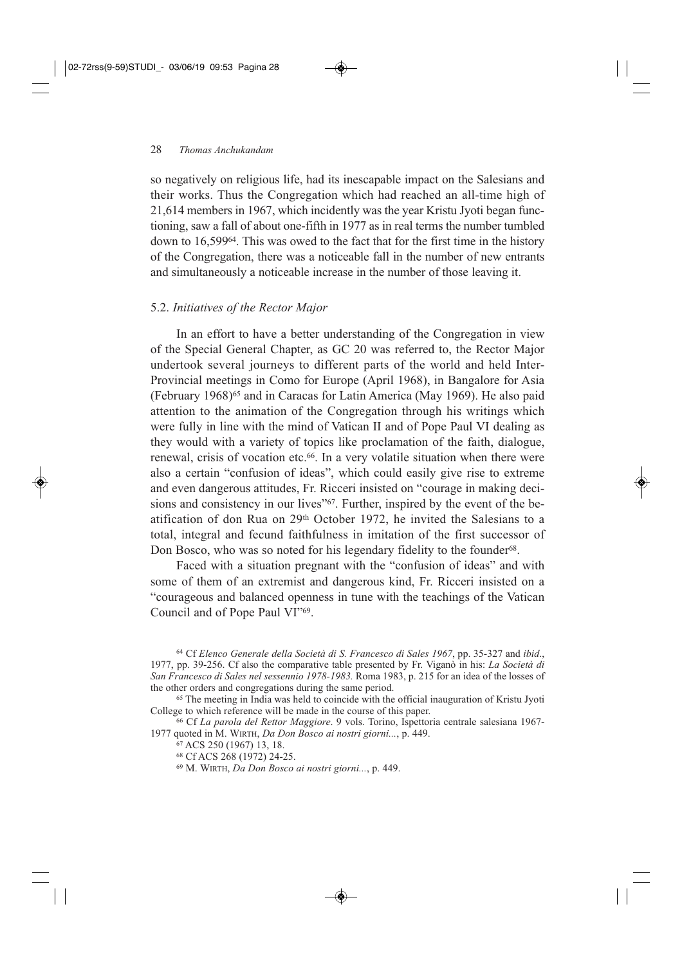so negatively on religious life, had its inescapable impact on the Salesians and their works. Thus the Congregation which had reached an all-time high of 21,614 members in 1967, which incidently was the year Kristu Jyoti began functioning, saw a fall of about one-fifth in 1977 as in real terms the number tumbled down to 16,59964. This was owed to the fact that for the first time in the history of the Congregation, there was a noticeable fall in the number of new entrants and simultaneously a noticeable increase in the number of those leaving it.

#### 5.2. *Initiatives of the Rector Major*

In an effort to have a better understanding of the Congregation in view of the Special General Chapter, as GC 20 was referred to, the Rector Major undertook several journeys to different parts of the world and held Inter-Provincial meetings in Como for Europe (April 1968), in Bangalore for Asia (February 1968)65 and in Caracas for Latin America (May 1969). He also paid attention to the animation of the Congregation through his writings which were fully in line with the mind of Vatican II and of Pope Paul VI dealing as they would with a variety of topics like proclamation of the faith, dialogue, renewal, crisis of vocation etc.<sup>66</sup>. In a very volatile situation when there were also a certain "confusion of ideas", which could easily give rise to extreme and even dangerous attitudes, Fr. Ricceri insisted on "courage in making decisions and consistency in our lives"<sup>67</sup>. Further, inspired by the event of the beatification of don Rua on 29th October 1972, he invited the Salesians to a total, integral and fecund faithfulness in imitation of the first successor of Don Bosco, who was so noted for his legendary fidelity to the founder<sup>68</sup>.

Faced with a situation pregnant with the "confusion of ideas" and with some of them of an extremist and dangerous kind, Fr. Ricceri insisted on a "courageous and balanced openness in tune with the teachings of the Vatican Council and of Pope Paul VI"69.

<sup>64</sup> Cf *Elenco Generale della Società di S. Francesco di Sales 1967*, pp. 35-327 and *ibid*., 1977, pp. 39-256. Cf also the comparative table presented by Fr. Viganò in his: *La Società di San Francesco di Sales nel sessennio 1978-1983.* Roma 1983, p. 215 for an idea of the losses of the other orders and congregations during the same period.

<sup>65</sup> The meeting in India was held to coincide with the official inauguration of Kristu Jyoti College to which reference will be made in the course of this paper.

<sup>66</sup> Cf *La parola del Rettor Maggiore*. 9 vols. Torino, Ispettoria centrale salesiana 1967- 1977 quoted in M. WIRTH, *Da Don Bosco ai nostri giorni...*, p. 449.

<sup>67</sup> ACS 250 (1967) 13, 18.

<sup>68</sup> Cf ACS 268 (1972) 24-25.

<sup>69</sup> M. WIRTH, *Da Don Bosco ai nostri giorni...*, p. 449.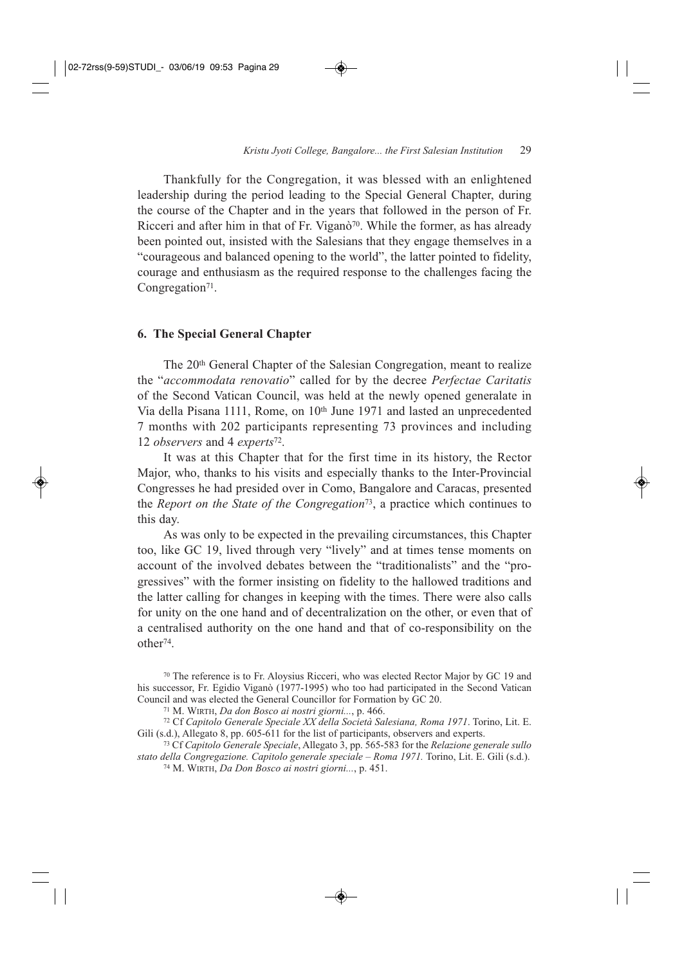Thankfully for the Congregation, it was blessed with an enlightened leadership during the period leading to the Special General Chapter, during the course of the Chapter and in the years that followed in the person of Fr. Ricceri and after him in that of Fr. Vigan $\delta^{70}$ . While the former, as has already been pointed out, insisted with the Salesians that they engage themselves in a "courageous and balanced opening to the world", the latter pointed to fidelity, courage and enthusiasm as the required response to the challenges facing the Congregation<sup>71</sup>.

#### **6. The Special General Chapter**

The 20th General Chapter of the Salesian Congregation, meant to realize the "*accommodata renovatio*" called for by the decree *Perfectae Caritatis* of the Second Vatican Council, was held at the newly opened generalate in Via della Pisana 1111, Rome, on 10<sup>th</sup> June 1971 and lasted an unprecedented 7 months with 202 participants representing 73 provinces and including 12 *observers* and 4 *experts*72.

It was at this Chapter that for the first time in its history, the Rector Major, who, thanks to his visits and especially thanks to the Inter-Provincial Congresses he had presided over in Como, Bangalore and Caracas, presented the *Report on the State of the Congregation*73, a practice which continues to this day.

As was only to be expected in the prevailing circumstances, this Chapter too, like GC 19, lived through very "lively" and at times tense moments on account of the involved debates between the "traditionalists" and the "progressives" with the former insisting on fidelity to the hallowed traditions and the latter calling for changes in keeping with the times. There were also calls for unity on the one hand and of decentralization on the other, or even that of a centralised authority on the one hand and that of co-responsibility on the other74.

<sup>73</sup> Cf *Capitolo Generale Speciale*, Allegato 3, pp. 565-583 for the *Relazione generale sullo stato della Congregazione. Capitolo generale speciale* – *Roma 1971.* Torino, Lit. E. Gili (s.d.).

<sup>70</sup> The reference is to Fr. Aloysius Ricceri, who was elected Rector Major by GC 19 and his successor, Fr. Egidio Viganò (1977-1995) who too had participated in the Second Vatican Council and was elected the General Councillor for Formation by GC 20.

<sup>71</sup> M. WIRTH, *Da don Bosco ai nostri giorni...*, p. 466.

<sup>72</sup> Cf *Capitolo Generale Speciale XX della Società Salesiana, Roma 1971*. Torino, Lit. E. Gili (s.d.), Allegato 8, pp. 605-611 for the list of participants, observers and experts.

<sup>74</sup> M. WIRTH, *Da Don Bosco ai nostri giorni...*, p. 451.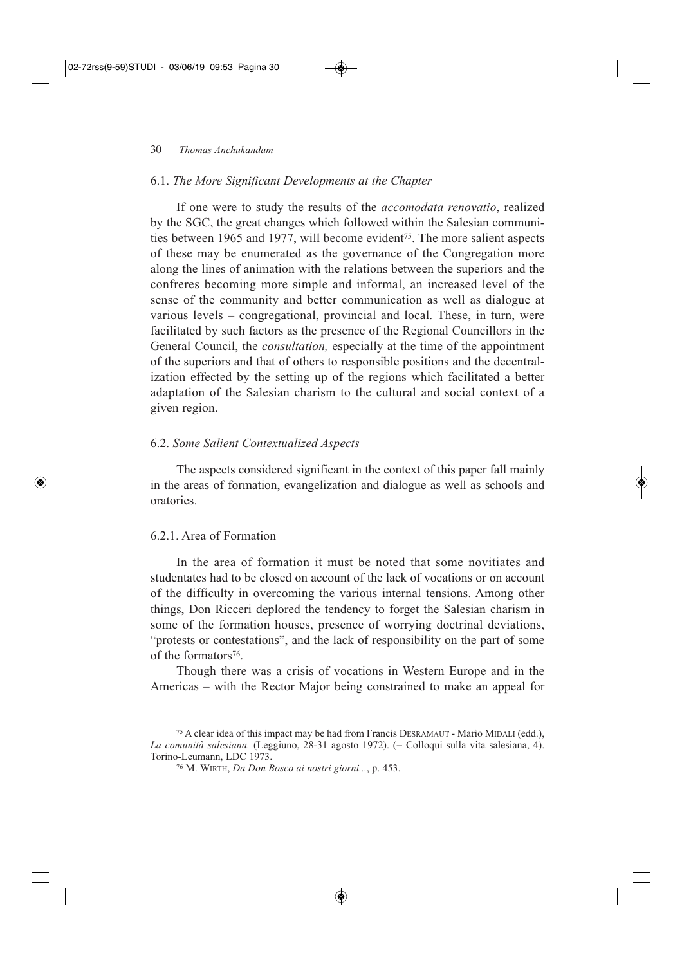#### 6.1. *The More Significant Developments at the Chapter*

If one were to study the results of the *accomodata renovatio*, realized by the SGC, the great changes which followed within the Salesian communities between 1965 and 1977, will become evident<sup>75</sup>. The more salient aspects of these may be enumerated as the governance of the Congregation more along the lines of animation with the relations between the superiors and the confreres becoming more simple and informal, an increased level of the sense of the community and better communication as well as dialogue at various levels – congregational, provincial and local. These, in turn, were facilitated by such factors as the presence of the Regional Councillors in the General Council, the *consultation,* especially at the time of the appointment of the superiors and that of others to responsible positions and the decentralization effected by the setting up of the regions which facilitated a better adaptation of the Salesian charism to the cultural and social context of a given region.

#### 6.2. *Some Salient Contextualized Aspects*

The aspects considered significant in the context of this paper fall mainly in the areas of formation, evangelization and dialogue as well as schools and oratories.

### 6.2.1. Area of Formation

In the area of formation it must be noted that some novitiates and studentates had to be closed on account of the lack of vocations or on account of the difficulty in overcoming the various internal tensions. Among other things, Don Ricceri deplored the tendency to forget the Salesian charism in some of the formation houses, presence of worrying doctrinal deviations, "protests or contestations", and the lack of responsibility on the part of some of the formators76.

Though there was a crisis of vocations in Western Europe and in the Americas – with the Rector Major being constrained to make an appeal for

<sup>75</sup> A clear idea of this impact may be had from Francis DESRAMAUT - Mario MIDALI (edd.), *La comunità salesiana.* (Leggiuno, 28-31 agosto 1972). (= Colloqui sulla vita salesiana, 4). Torino-Leumann, LDC 1973.

<sup>76</sup> M. WIRTH, *Da Don Bosco ai nostri giorni...*, p. 453.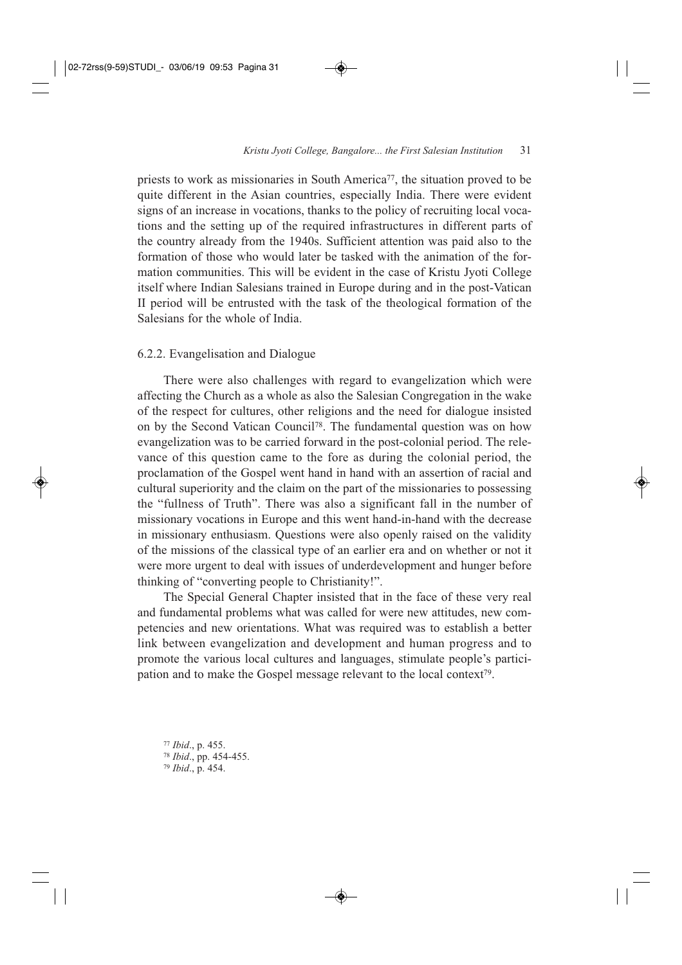priests to work as missionaries in South America77, the situation proved to be quite different in the Asian countries, especially India. There were evident signs of an increase in vocations, thanks to the policy of recruiting local vocations and the setting up of the required infrastructures in different parts of the country already from the 1940s. Sufficient attention was paid also to the formation of those who would later be tasked with the animation of the formation communities. This will be evident in the case of Kristu Jyoti College itself where Indian Salesians trained in Europe during and in the post-Vatican II period will be entrusted with the task of the theological formation of the Salesians for the whole of India.

#### 6.2.2. Evangelisation and Dialogue

There were also challenges with regard to evangelization which were affecting the Church as a whole as also the Salesian Congregation in the wake of the respect for cultures, other religions and the need for dialogue insisted on by the Second Vatican Council78. The fundamental question was on how evangelization was to be carried forward in the post-colonial period. The relevance of this question came to the fore as during the colonial period, the proclamation of the Gospel went hand in hand with an assertion of racial and cultural superiority and the claim on the part of the missionaries to possessing the "fullness of Truth". There was also a significant fall in the number of missionary vocations in Europe and this went hand-in-hand with the decrease in missionary enthusiasm. Questions were also openly raised on the validity of the missions of the classical type of an earlier era and on whether or not it were more urgent to deal with issues of underdevelopment and hunger before thinking of "converting people to Christianity!".

The Special General Chapter insisted that in the face of these very real and fundamental problems what was called for were new attitudes, new competencies and new orientations. What was required was to establish a better link between evangelization and development and human progress and to promote the various local cultures and languages, stimulate people's participation and to make the Gospel message relevant to the local context<sup>79</sup>.

<sup>77</sup> *Ibid*., p. 455. <sup>78</sup> *Ibid*., pp. 454-455. <sup>79</sup> *Ibid*., p. 454.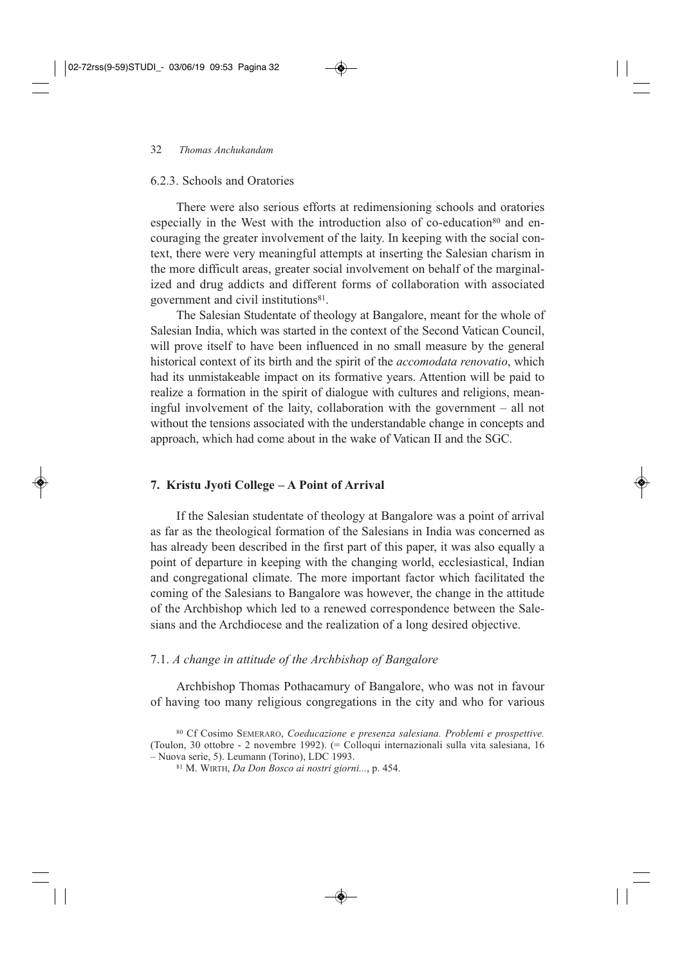### 6.2.3. Schools and Oratories

There were also serious efforts at redimensioning schools and oratories especially in the West with the introduction also of co-education<sup>80</sup> and encouraging the greater involvement of the laity. In keeping with the social context, there were very meaningful attempts at inserting the Salesian charism in the more difficult areas, greater social involvement on behalf of the marginalized and drug addicts and different forms of collaboration with associated government and civil institutions<sup>81</sup>.

The Salesian Studentate of theology at Bangalore, meant for the whole of Salesian India, which was started in the context of the Second Vatican Council, will prove itself to have been influenced in no small measure by the general historical context of its birth and the spirit of the *accomodata renovatio*, which had its unmistakeable impact on its formative years. Attention will be paid to realize a formation in the spirit of dialogue with cultures and religions, meaningful involvement of the laity, collaboration with the government – all not without the tensions associated with the understandable change in concepts and approach, which had come about in the wake of Vatican II and the SGC.

#### **7. Kristu Jyoti College – A Point of Arrival**

If the Salesian studentate of theology at Bangalore was a point of arrival as far as the theological formation of the Salesians in India was concerned as has already been described in the first part of this paper, it was also equally a point of departure in keeping with the changing world, ecclesiastical, Indian and congregational climate. The more important factor which facilitated the coming of the Salesians to Bangalore was however, the change in the attitude of the Archbishop which led to a renewed correspondence between the Salesians and the Archdiocese and the realization of a long desired objective.

#### 7.1. *A change in attitude of the Archbishop of Bangalore*

Archbishop Thomas Pothacamury of Bangalore, who was not in favour of having too many religious congregations in the city and who for various

<sup>80</sup> Cf Cosimo SEMERARO, *Coeducazione e presenza salesiana. Problemi e prospettive.* (Toulon, 30 ottobre - 2 novembre 1992). (= Colloqui internazionali sulla vita salesiana, 16 – Nuova serie, 5). Leumann (Torino), LDC 1993.

<sup>81</sup> M. WIRTH, *Da Don Bosco ai nostri giorni...*, p. 454.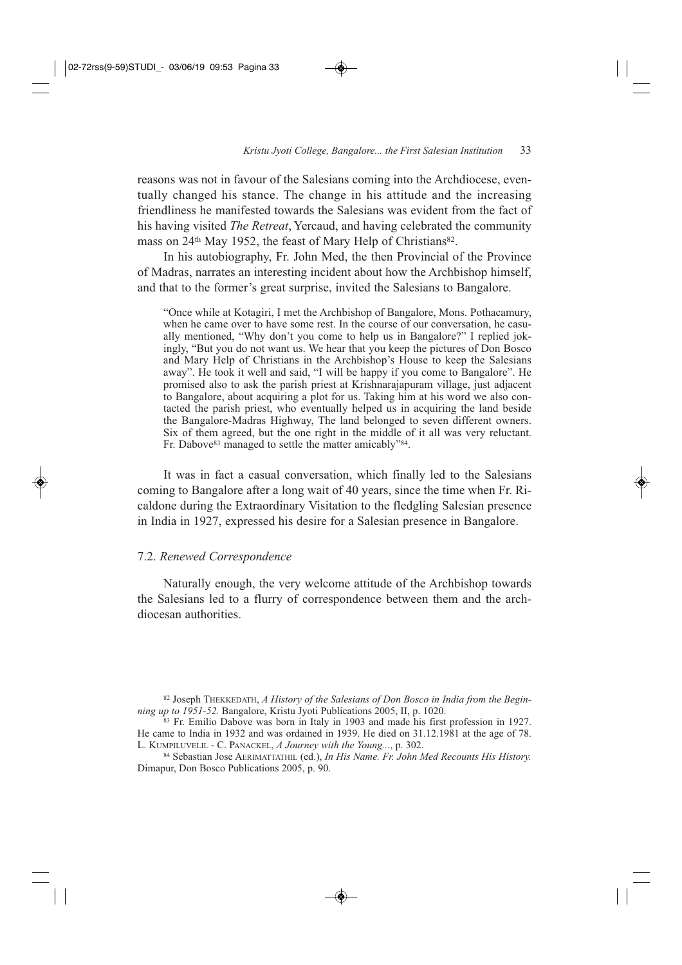reasons was not in favour of the Salesians coming into the Archdiocese, eventually changed his stance. The change in his attitude and the increasing friendliness he manifested towards the Salesians was evident from the fact of his having visited *The Retreat*, Yercaud, and having celebrated the community mass on 24<sup>th</sup> May 1952, the feast of Mary Help of Christians<sup>82</sup>.

In his autobiography, Fr. John Med, the then Provincial of the Province of Madras, narrates an interesting incident about how the Archbishop himself, and that to the former's great surprise, invited the Salesians to Bangalore.

"Once while at Kotagiri, I met the Archbishop of Bangalore, Mons. Pothacamury, when he came over to have some rest. In the course of our conversation, he casually mentioned, "Why don't you come to help us in Bangalore?" I replied jokingly, "But you do not want us. We hear that you keep the pictures of Don Bosco and Mary Help of Christians in the Archbishop's House to keep the Salesians away". He took it well and said, "I will be happy if you come to Bangalore". He promised also to ask the parish priest at Krishnarajapuram village, just adjacent to Bangalore, about acquiring a plot for us. Taking him at his word we also contacted the parish priest, who eventually helped us in acquiring the land beside the Bangalore-Madras Highway, The land belonged to seven different owners. Six of them agreed, but the one right in the middle of it all was very reluctant. Fr. Dabove<sup>83</sup> managed to settle the matter amicably"<sup>84</sup>.

It was in fact a casual conversation, which finally led to the Salesians coming to Bangalore after a long wait of 40 years, since the time when Fr. Ricaldone during the Extraordinary Visitation to the fledgling Salesian presence in India in 1927, expressed his desire for a Salesian presence in Bangalore.

#### 7.2. *Renewed Correspondence*

Naturally enough, the very welcome attitude of the Archbishop towards the Salesians led to a flurry of correspondence between them and the archdiocesan authorities.

<sup>82</sup> Joseph THEKKEDATH, *A History of the Salesians of Don Bosco in India from the Beginning up to 1951-52.* Bangalore, Kristu Jyoti Publications 2005, II, p. 1020.

<sup>&</sup>lt;sup>83</sup> Fr. Emilio Dabove was born in Italy in 1903 and made his first profession in 1927. He came to India in 1932 and was ordained in 1939. He died on 31.12.1981 at the age of 78. L. KUMPILUVELIL - C. PANACKEL, *A Journey with the Young...*, p. 302.

<sup>84</sup> Sebastian Jose AERIMATTATHIL (ed.), *In His Name. Fr. John Med Recounts His History.* Dimapur, Don Bosco Publications 2005, p. 90.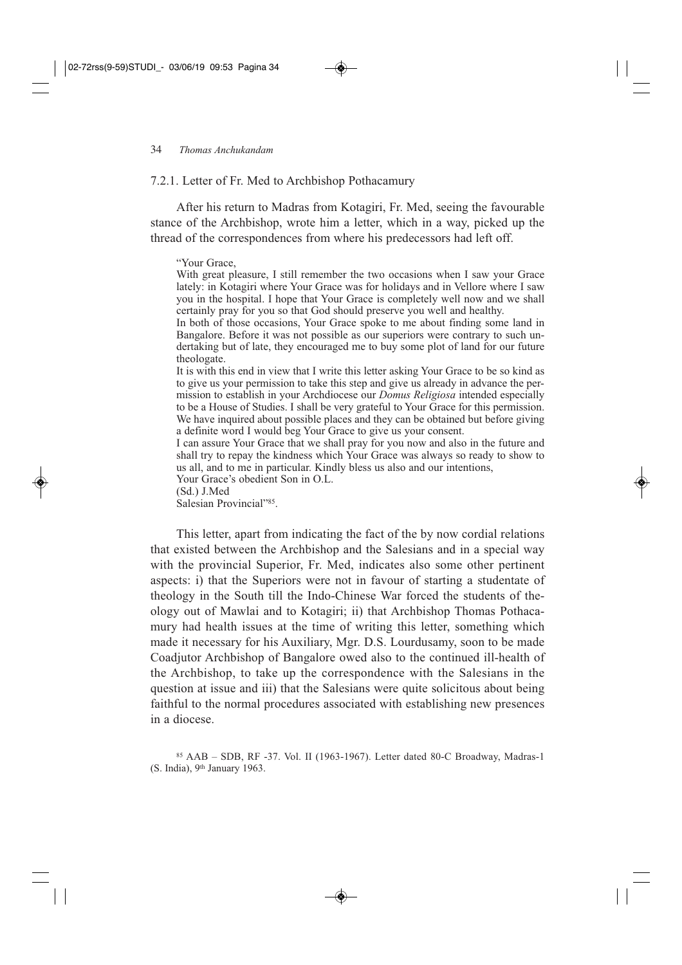7.2.1. Letter of Fr. Med to Archbishop Pothacamury

After his return to Madras from Kotagiri, Fr. Med, seeing the favourable stance of the Archbishop, wrote him a letter, which in a way, picked up the thread of the correspondences from where his predecessors had left off.

#### "Your Grace,

With great pleasure, I still remember the two occasions when I saw your Grace lately: in Kotagiri where Your Grace was for holidays and in Vellore where I saw you in the hospital. I hope that Your Grace is completely well now and we shall certainly pray for you so that God should preserve you well and healthy.

In both of those occasions, Your Grace spoke to me about finding some land in Bangalore. Before it was not possible as our superiors were contrary to such undertaking but of late, they encouraged me to buy some plot of land for our future theologate.

It is with this end in view that I write this letter asking Your Grace to be so kind as to give us your permission to take this step and give us already in advance the permission to establish in your Archdiocese our *Domus Religiosa* intended especially to be a House of Studies. I shall be very grateful to Your Grace for this permission. We have inquired about possible places and they can be obtained but before giving a definite word I would beg Your Grace to give us your consent.

I can assure Your Grace that we shall pray for you now and also in the future and shall try to repay the kindness which Your Grace was always so ready to show to us all, and to me in particular. Kindly bless us also and our intentions,

Your Grace's obedient Son in O.L.

(Sd.) J.Med

Salesian Provincial"85.

This letter, apart from indicating the fact of the by now cordial relations that existed between the Archbishop and the Salesians and in a special way with the provincial Superior, Fr. Med, indicates also some other pertinent aspects: i) that the Superiors were not in favour of starting a studentate of theology in the South till the Indo-Chinese War forced the students of theology out of Mawlai and to Kotagiri; ii) that Archbishop Thomas Pothacamury had health issues at the time of writing this letter, something which made it necessary for his Auxiliary, Mgr. D.S. Lourdusamy, soon to be made Coadjutor Archbishop of Bangalore owed also to the continued ill-health of the Archbishop, to take up the correspondence with the Salesians in the question at issue and iii) that the Salesians were quite solicitous about being faithful to the normal procedures associated with establishing new presences in a diocese.

<sup>85</sup> AAB – SDB, RF -37. Vol. II (1963-1967). Letter dated 80-C Broadway, Madras-1 (S. India), 9th January 1963.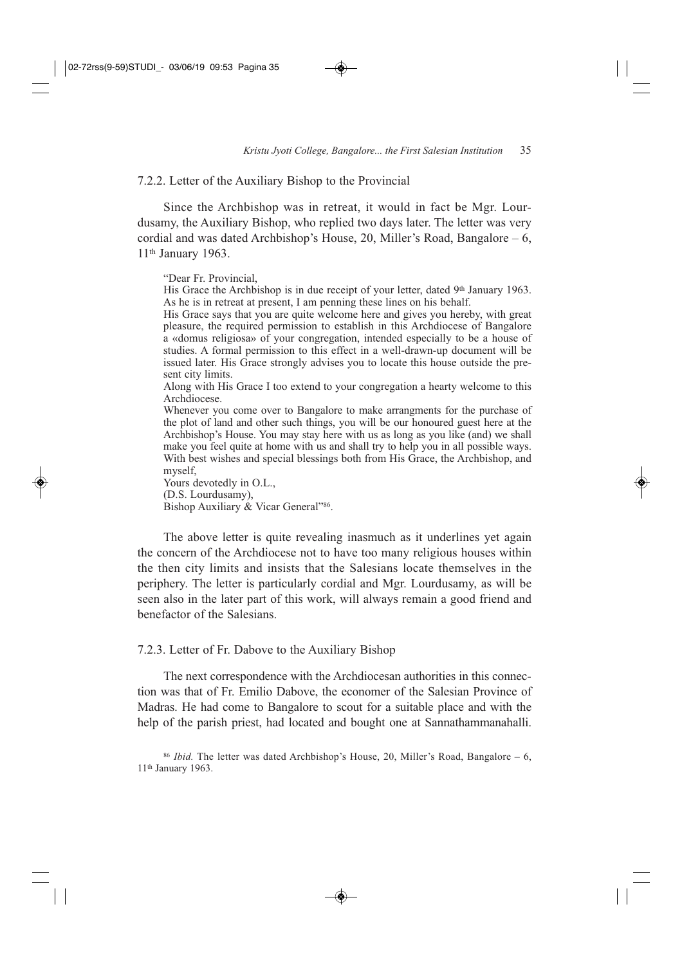#### 7.2.2. Letter of the Auxiliary Bishop to the Provincial

Since the Archbishop was in retreat, it would in fact be Mgr. Lourdusamy, the Auxiliary Bishop, who replied two days later. The letter was very cordial and was dated Archbishop's House, 20, Miller's Road, Bangalore – 6, 11th January 1963.

"Dear Fr. Provincial,

His Grace the Archbishop is in due receipt of your letter, dated 9th January 1963. As he is in retreat at present, I am penning these lines on his behalf.

His Grace says that you are quite welcome here and gives you hereby, with great pleasure, the required permission to establish in this Archdiocese of Bangalore a «domus religiosa» of your congregation, intended especially to be a house of studies. A formal permission to this effect in a well-drawn-up document will be issued later. His Grace strongly advises you to locate this house outside the present city limits.

Along with His Grace I too extend to your congregation a hearty welcome to this Archdiocese.

Whenever you come over to Bangalore to make arrangments for the purchase of the plot of land and other such things, you will be our honoured guest here at the Archbishop's House. You may stay here with us as long as you like (and) we shall make you feel quite at home with us and shall try to help you in all possible ways. With best wishes and special blessings both from His Grace, the Archbishop, and myself,

Yours devotedly in O.L., (D.S. Lourdusamy), Bishop Auxiliary & Vicar General"86.

The above letter is quite revealing inasmuch as it underlines yet again the concern of the Archdiocese not to have too many religious houses within the then city limits and insists that the Salesians locate themselves in the periphery. The letter is particularly cordial and Mgr. Lourdusamy, as will be seen also in the later part of this work, will always remain a good friend and benefactor of the Salesians.

#### 7.2.3. Letter of Fr. Dabove to the Auxiliary Bishop

The next correspondence with the Archdiocesan authorities in this connection was that of Fr. Emilio Dabove, the economer of the Salesian Province of Madras. He had come to Bangalore to scout for a suitable place and with the help of the parish priest, had located and bought one at Sannathammana halli.

 $86$  *Ibid.* The letter was dated Archbishop's House, 20, Miller's Road, Bangalore – 6, 11th January 1963.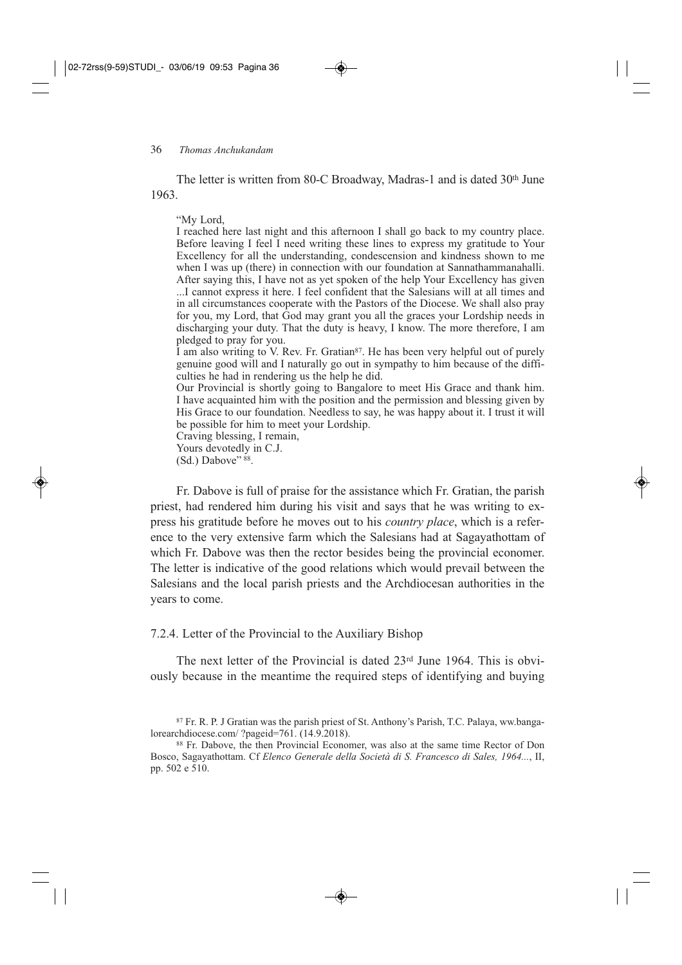The letter is written from 80-C Broadway, Madras-1 and is dated 30<sup>th</sup> June 1963.

"My Lord,

I reached here last night and this afternoon I shall go back to my country place. Before leaving I feel I need writing these lines to express my gratitude to Your Excellency for all the understanding, condescension and kindness shown to me when I was up (there) in connection with our foundation at Sannathammanahalli. After saying this, I have not as yet spoken of the help Your Excellency has given ...I cannot express it here. I feel confident that the Salesians will at all times and in all circumstances cooperate with the Pastors of the Diocese. We shall also pray for you, my Lord, that God may grant you all the graces your Lordship needs in discharging your duty. That the duty is heavy, I know. The more therefore, I am pledged to pray for you.

I am also writing to V. Rev. Fr. Gratian<sup>87</sup>. He has been very helpful out of purely genuine good will and I naturally go out in sympathy to him because of the difficulties he had in rendering us the help he did.

Our Provincial is shortly going to Bangalore to meet His Grace and thank him. I have acquainted him with the position and the permission and blessing given by His Grace to our foundation. Needless to say, he was happy about it. I trust it will be possible for him to meet your Lordship.

Craving blessing, I remain, Yours devotedly in C.J.

 $(Sd.)$  Dabove"  $88$ .

Fr. Dabove is full of praise for the assistance which Fr. Gratian, the parish priest, had rendered him during his visit and says that he was writing to express his gratitude before he moves out to his *country place*, which is a reference to the very extensive farm which the Salesians had at Sagayathottam of which Fr. Dabove was then the rector besides being the provincial economer. The letter is indicative of the good relations which would prevail between the Salesians and the local parish priests and the Archdiocesan authorities in the years to come.

#### 7.2.4. Letter of the Provincial to the Auxiliary Bishop

The next letter of the Provincial is dated 23rd June 1964. This is obviously because in the meantime the required steps of identifying and buying

<sup>87</sup> Fr. R. P. J Gratian was the parish priest of St. Anthony's Parish, T.C. Palaya, ww.bangalorearchdiocese.com/ ?pageid=761. (14.9.2018).

<sup>88</sup> Fr. Dabove, the then Provincial Economer, was also at the same time Rector of Don Bosco, Sagayathottam. Cf *Elenco Generale della Società di S. Francesco di Sales, 1964...*, II, pp. 502 e 510.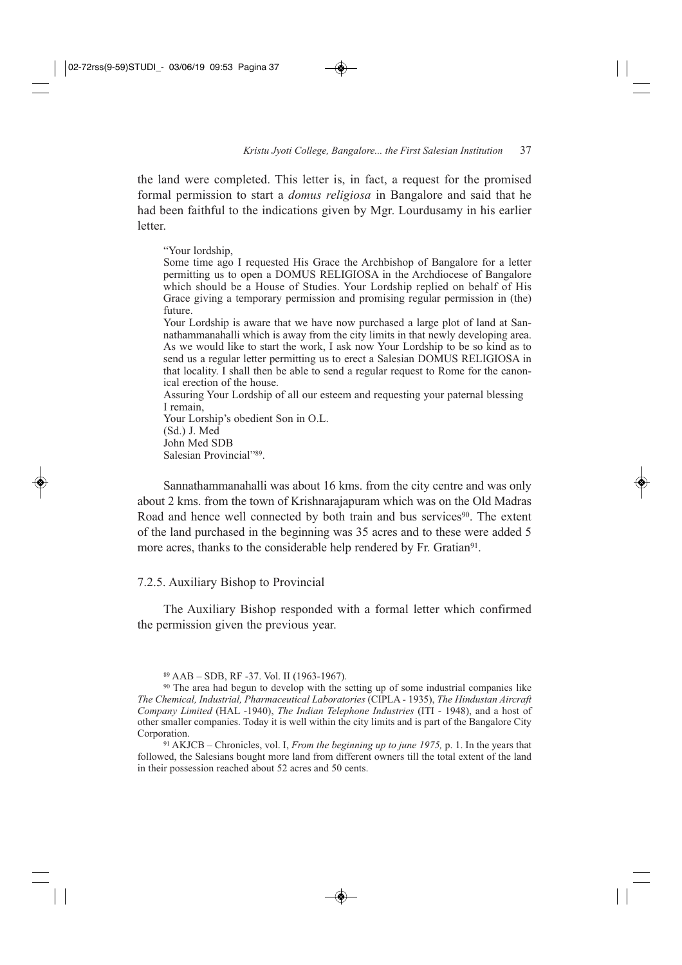the land were completed. This letter is, in fact, a request for the promised formal permission to start a *domus religiosa* in Bangalore and said that he had been faithful to the indications given by Mgr. Lourdusamy in his earlier letter.

"Your lordship,

Some time ago I requested His Grace the Archbishop of Bangalore for a letter permitting us to open a DOMUS RELIGIOSA in the Archdiocese of Bangalore which should be a House of Studies. Your Lordship replied on behalf of His Grace giving a temporary permission and promising regular permission in (the) future.

Your Lordship is aware that we have now purchased a large plot of land at Sannathammanahalli which is away from the city limits in that newly developing area. As we would like to start the work, I ask now Your Lordship to be so kind as to send us a regular letter permitting us to erect a Salesian DOMUS RELIGIOSA in that locality. I shall then be able to send a regular request to Rome for the canonical erection of the house.

Assuring Your Lordship of all our esteem and requesting your paternal blessing I remain,

Your Lorship's obedient Son in O.L. (Sd.) J. Med John Med SDB Salesian Provincial"89.

Sannathammanahalli was about 16 kms. from the city centre and was only about 2 kms. from the town of Krishnarajapuram which was on the Old Madras Road and hence well connected by both train and bus services<sup>90</sup>. The extent of the land purchased in the beginning was 35 acres and to these were added 5 more acres, thanks to the considerable help rendered by Fr. Gratian<sup>91</sup>.

### 7.2.5. Auxiliary Bishop to Provincial

The Auxiliary Bishop responded with a formal letter which confirmed the permission given the previous year.

<sup>91</sup> AKJCB – Chronicles, vol. I, *From the beginning up to june 1975,* p. 1. In the years that followed, the Salesians bought more land from different owners till the total extent of the land in their possession reached about 52 acres and 50 cents.

<sup>89</sup> AAB – SDB, RF -37. Vol. II (1963-1967).

<sup>90</sup> The area had begun to develop with the setting up of some industrial companies like *The Chemical, Industrial, Pharmaceutical Laboratories* (CIPLA - 1935), *The Hindustan Aircraft Company Limited* (HAL -1940), *The Indian Telephone Industries* (ITI - 1948), and a host of other smaller companies. Today it is well within the city limits and is part of the Bangalore City Corporation.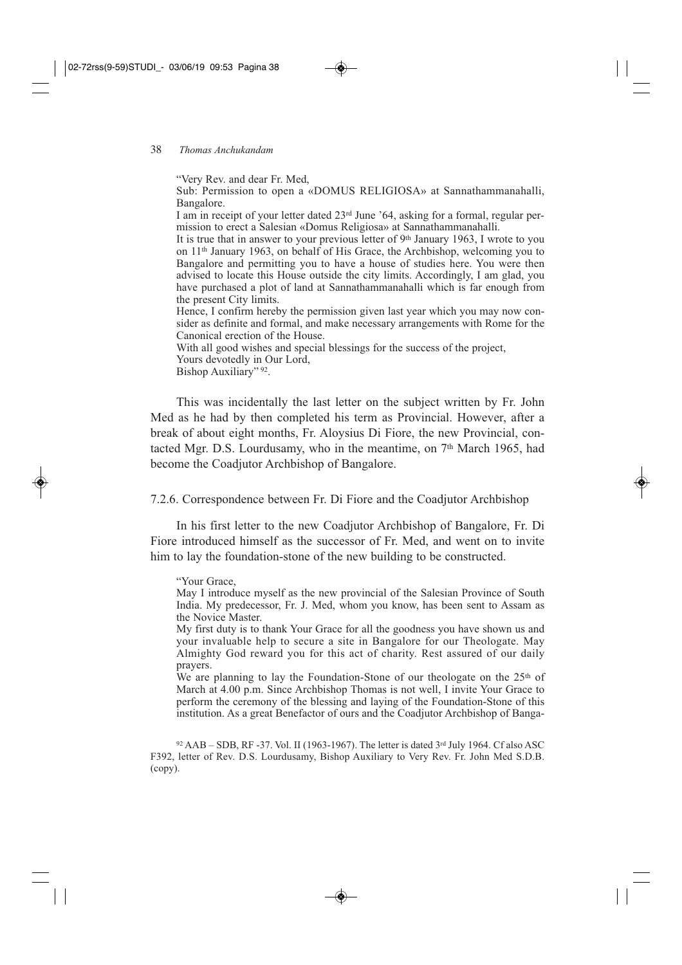#### 38 *Thomas Anchukandam*

"Very Rev. and dear Fr. Med,

Sub: Permission to open a «DOMUS RELIGIOSA» at Sannathammanahalli, Bangalore.

I am in receipt of your letter dated 23rd June '64, asking for a formal, regular permission to erect a Salesian «Domus Religiosa» at Sannathammanahalli.

It is true that in answer to your previous letter of  $9<sup>th</sup>$  January 1963, I wrote to you on 11th January 1963, on behalf of His Grace, the Archbishop, welcoming you to Bangalore and permitting you to have a house of studies here. You were then advised to locate this House outside the city limits. Accordingly, I am glad, you have purchased a plot of land at Sannathammanahalli which is far enough from the present City limits.

Hence, I confirm hereby the permission given last year which you may now consider as definite and formal, and make necessary arrangements with Rome for the Canonical erection of the House.

With all good wishes and special blessings for the success of the project,

Yours devotedly in Our Lord,

Bishop Auxiliary" 92.

This was incidentally the last letter on the subject written by Fr. John Med as he had by then completed his term as Provincial. However, after a break of about eight months, Fr. Aloysius Di Fiore, the new Provincial, contacted Mgr. D.S. Lourdusamy, who in the meantime, on 7<sup>th</sup> March 1965, had become the Coadjutor Archbishop of Bangalore.

7.2.6. Correspondence between Fr. Di Fiore and the Coadjutor Archbishop

In his first letter to the new Coadjutor Archbishop of Bangalore, Fr. Di Fiore introduced himself as the successor of Fr. Med, and went on to invite him to lay the foundation-stone of the new building to be constructed.

#### "Your Grace,

May I introduce myself as the new provincial of the Salesian Province of South India. My predecessor, Fr. J. Med, whom you know, has been sent to Assam as the Novice Master.

My first duty is to thank Your Grace for all the goodness you have shown us and your invaluable help to secure a site in Bangalore for our Theologate. May Almighty God reward you for this act of charity. Rest assured of our daily prayers.

We are planning to lay the Foundation-Stone of our theologate on the 25<sup>th</sup> of March at 4.00 p.m. Since Archbishop Thomas is not well, I invite Your Grace to perform the ceremony of the blessing and laying of the Foundation-Stone of this institution. As a great Benefactor of ours and the Coadjutor Archbishop of Banga-

 $92$  AAB – SDB, RF -37. Vol. II (1963-1967). The letter is dated  $3<sup>rd</sup>$  July 1964. Cf also ASC F392, letter of Rev. D.S. Lourdusamy, Bishop Auxiliary to Very Rev. Fr. John Med S.D.B. (copy).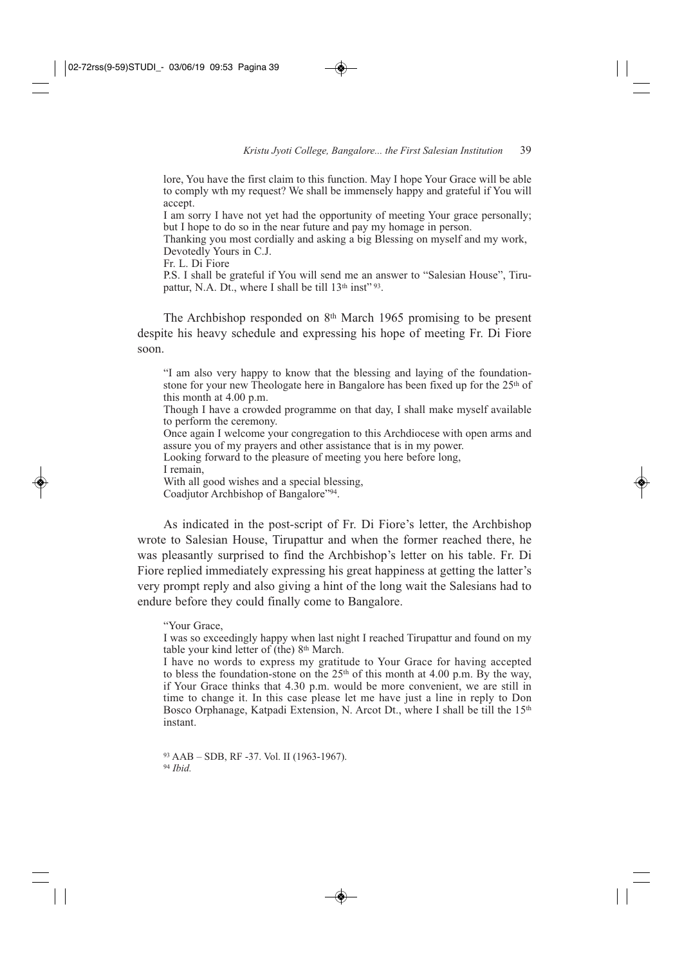lore, You have the first claim to this function. May I hope Your Grace will be able to comply wth my request? We shall be immensely happy and grateful if You will accept.

I am sorry I have not yet had the opportunity of meeting Your grace personally; but I hope to do so in the near future and pay my homage in person.

Thanking you most cordially and asking a big Blessing on myself and my work, Devotedly Yours in C.J.

Fr. L. Di Fiore

P.S. I shall be grateful if You will send me an answer to "Salesian House", Tirupattur, N.A. Dt., where I shall be till  $13<sup>th</sup>$  inst<sup> $" 93$ </sup>.

The Archbishop responded on 8th March 1965 promising to be present despite his heavy schedule and expressing his hope of meeting Fr. Di Fiore soon.

"I am also very happy to know that the blessing and laying of the foundationstone for your new Theologate here in Bangalore has been fixed up for the 25<sup>th</sup> of this month at 4.00 p.m.

Though I have a crowded programme on that day, I shall make myself available to perform the ceremony.

Once again I welcome your congregation to this Archdiocese with open arms and assure you of my prayers and other assistance that is in my power.

Looking forward to the pleasure of meeting you here before long, I remain,

With all good wishes and a special blessing,

Coadjutor Archbishop of Bangalore"94.

As indicated in the post-script of Fr. Di Fiore's letter, the Archbishop wrote to Salesian House, Tirupattur and when the former reached there, he was pleasantly surprised to find the Archbishop's letter on his table. Fr. Di Fiore replied immediately expressing his great happiness at getting the latter's very prompt reply and also giving a hint of the long wait the Salesians had to endure before they could finally come to Bangalore.

#### "Your Grace,

I was so exceedingly happy when last night I reached Tirupattur and found on my table your kind letter of (the) 8<sup>th</sup> March.

I have no words to express my gratitude to Your Grace for having accepted to bless the foundation-stone on the 25<sup>th</sup> of this month at 4.00 p.m. By the way, if Your Grace thinks that 4.30 p.m. would be more convenient, we are still in time to change it. In this case please let me have just a line in reply to Don Bosco Orphanage, Katpadi Extension, N. Arcot Dt., where I shall be till the 15<sup>th</sup> instant.

<sup>93</sup> AAB – SDB, RF -37. Vol. II (1963-1967). <sup>94</sup> *Ibid.*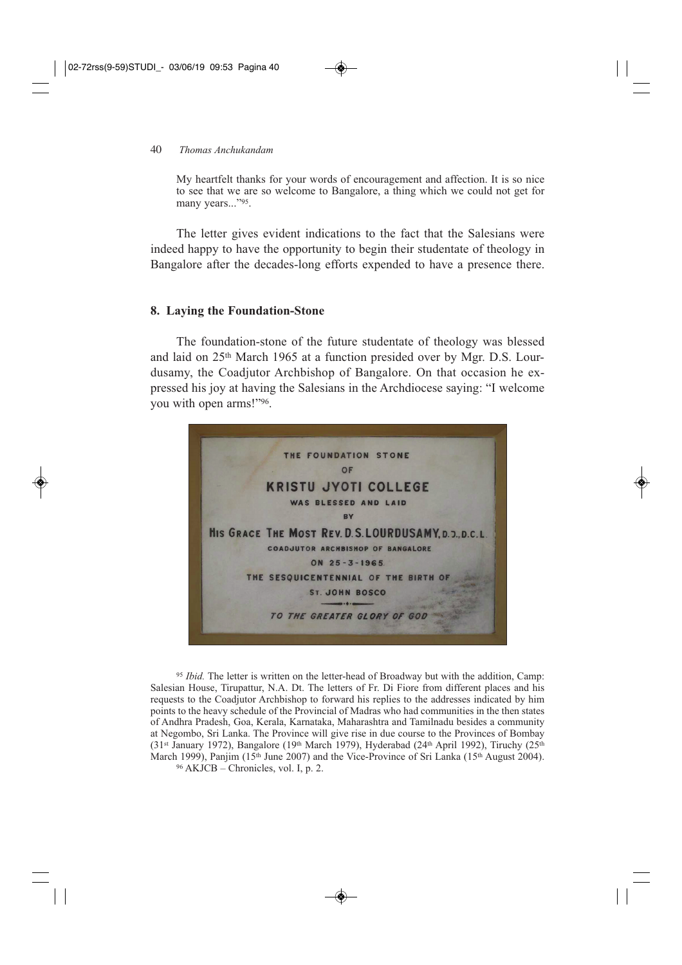#### 40 *Thomas Anchukandam*

My heartfelt thanks for your words of encouragement and affection. It is so nice to see that we are so welcome to Bangalore, a thing which we could not get for many years..."<sup>95</sup>.

The letter gives evident indications to the fact that the Salesians were indeed happy to have the opportunity to begin their studentate of theology in Bangalore after the decades-long efforts expended to have a presence there.

## **8. Laying the Foundation-Stone**

The foundation-stone of the future studentate of theology was blessed and laid on 25th March 1965 at a function presided over by Mgr. D.S. Lourdusamy, the Coadjutor Archbishop of Bangalore. On that occasion he expressed his joy at having the Salesians in the Archdiocese saying: "I welcome you with open arms!"96.



<sup>95</sup> *Ibid.* The letter is written on the letter-head of Broadway but with the addition, Camp: Salesian House, Tirupattur, N.A. Dt. The letters of Fr. Di Fiore from different places and his requests to the Coadjutor Archbishop to forward his replies to the addresses indicated by him points to the heavy schedule of the Provincial of Madras who had communities in the then states of Andhra Pradesh, Goa, Kerala, Karnataka, Maharashtra and Tamilnadu besides a community at Negombo, Sri Lanka. The Province will give rise in due course to the Provinces of Bombay  $(31<sup>st</sup> January 1972)$ , Bangalore (19<sup>th</sup> March 1979), Hyderabad (24<sup>th</sup> April 1992), Tiruchy (25<sup>th</sup> March 1999), Panjim (15<sup>th</sup> June 2007) and the Vice-Province of Sri Lanka (15<sup>th</sup> August 2004).

 $96$  AKJCB – Chronicles, vol. I, p. 2.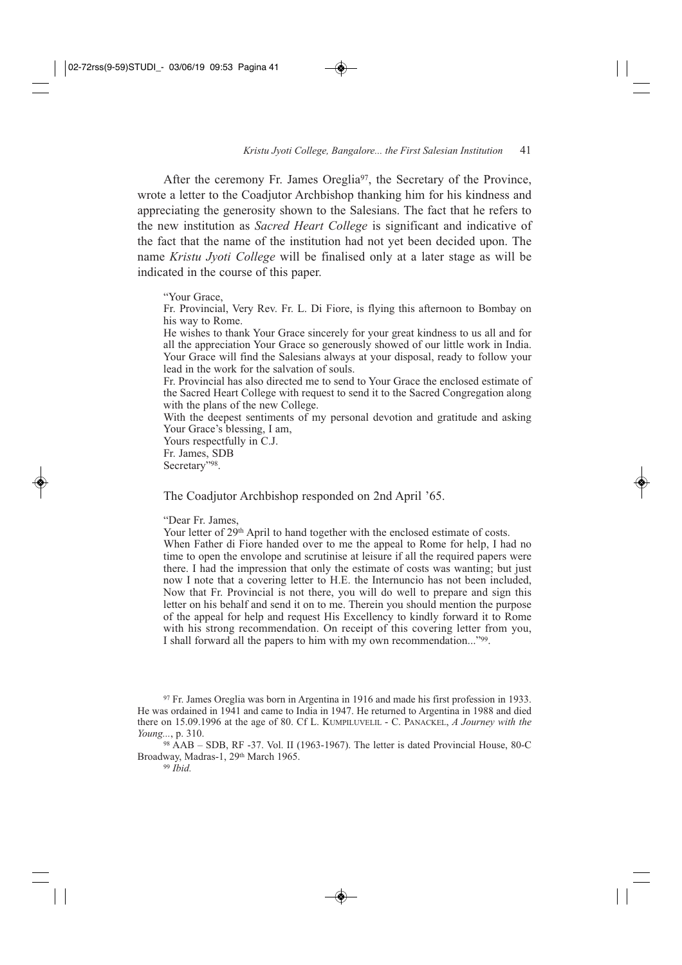After the ceremony Fr. James Oreglia<sup>97</sup>, the Secretary of the Province, wrote a letter to the Coadjutor Archbishop thanking him for his kindness and appreciating the generosity shown to the Salesians. The fact that he refers to the new institution as *Sacred Heart College* is significant and indicative of the fact that the name of the institution had not yet been decided upon. The name *Kristu Jyoti College* will be finalised only at a later stage as will be indicated in the course of this paper.

#### "Your Grace,

Fr. Provincial, Very Rev. Fr. L. Di Fiore, is flying this afternoon to Bombay on his way to Rome.

He wishes to thank Your Grace sincerely for your great kindness to us all and for all the appreciation Your Grace so generously showed of our little work in India. Your Grace will find the Salesians always at your disposal, ready to follow your lead in the work for the salvation of souls.

Fr. Provincial has also directed me to send to Your Grace the enclosed estimate of the Sacred Heart College with request to send it to the Sacred Congregation along with the plans of the new College.

With the deepest sentiments of my personal devotion and gratitude and asking Your Grace's blessing, I am,

Yours respectfully in C.J. Fr. James, SDB Secretary"98.

The Coadjutor Archbishop responded on 2nd April '65.

"Dear Fr. James,

Your letter of 29<sup>th</sup> April to hand together with the enclosed estimate of costs. When Father di Fiore handed over to me the appeal to Rome for help. I had no time to open the envolope and scrutinise at leisure if all the required papers were there. I had the impression that only the estimate of costs was wanting; but just now I note that a covering letter to H.E. the Internuncio has not been included, Now that Fr. Provincial is not there, you will do well to prepare and sign this letter on his behalf and send it on to me. Therein you should mention the purpose of the appeal for help and request His Excellency to kindly forward it to Rome with his strong recommendation. On receipt of this covering letter from you, I shall forward all the papers to him with my own recommendation..."99.

<sup>97</sup> Fr. James Oreglia was born in Argentina in 1916 and made his first profession in 1933. He was ordained in 1941 and came to India in 1947. He returned to Argentina in 1988 and died there on 15.09.1996 at the age of 80. Cf L. KUMPILUVELIL - C. PANACKEL, *A Journey with the Young...*, p. 310.

<sup>98</sup> AAB – SDB, RF -37. Vol. II (1963-1967). The letter is dated Provincial House, 80-C Broadway, Madras-1, 29<sup>th</sup> March 1965.

<sup>99</sup> *Ibid.*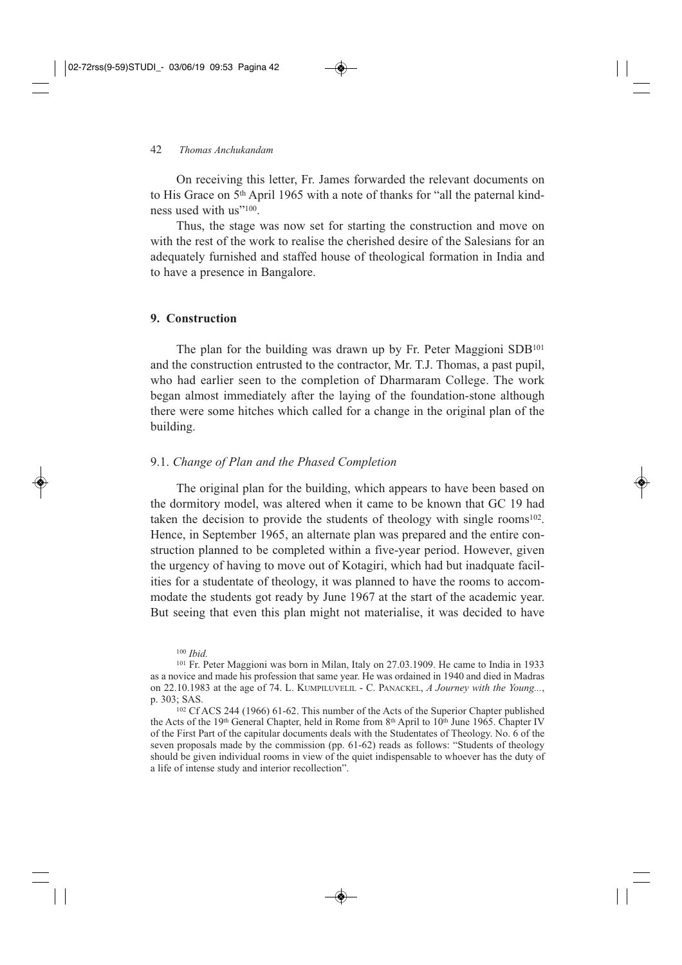On receiving this letter, Fr. James forwarded the relevant documents on to His Grace on 5th April 1965 with a note of thanks for "all the paternal kindness used with us"100.

Thus, the stage was now set for starting the construction and move on with the rest of the work to realise the cherished desire of the Salesians for an adequately furnished and staffed house of theological formation in India and to have a presence in Bangalore.

#### **9. Construction**

The plan for the building was drawn up by Fr. Peter Maggioni SDB101 and the construction entrusted to the contractor, Mr. T.J. Thomas, a past pupil, who had earlier seen to the completion of Dharmaram College. The work began almost immediately after the laying of the foundation-stone although there were some hitches which called for a change in the original plan of the building.

#### 9.1. *Change of Plan and the Phased Completion*

The original plan for the building, which appears to have been based on the dormitory model, was altered when it came to be known that GC 19 had taken the decision to provide the students of theology with single rooms<sup>102</sup>. Hence, in September 1965, an alternate plan was prepared and the entire construction planned to be completed within a five-year period. However, given the urgency of having to move out of Kotagiri, which had but inadquate facilities for a studentate of theology, it was planned to have the rooms to accommodate the students got ready by June 1967 at the start of the academic year. But seeing that even this plan might not materialise, it was decided to have

<sup>100</sup> *Ibid.*

<sup>101</sup> Fr. Peter Maggioni was born in Milan, Italy on 27.03.1909. He came to India in 1933 as a novice and made his profession that same year. He was ordained in 1940 and died in Madras on 22.10.1983 at the age of 74. L. KUMPILUVELIL - C. PANACKEL, *A Journey with the Young...*, p. 303; SAS.

<sup>102</sup> Cf ACS 244 (1966) 61-62. This number of the Acts of the Superior Chapter published the Acts of the 19<sup>th</sup> General Chapter, held in Rome from 8<sup>th</sup> April to 10<sup>th</sup> June 1965. Chapter IV of the First Part of the capitular documents deals with the Studentates of Theology. No. 6 of the seven proposals made by the commission (pp. 61-62) reads as follows: "Students of theology should be given individual rooms in view of the quiet indispensable to whoever has the duty of a life of intense study and interior recollection".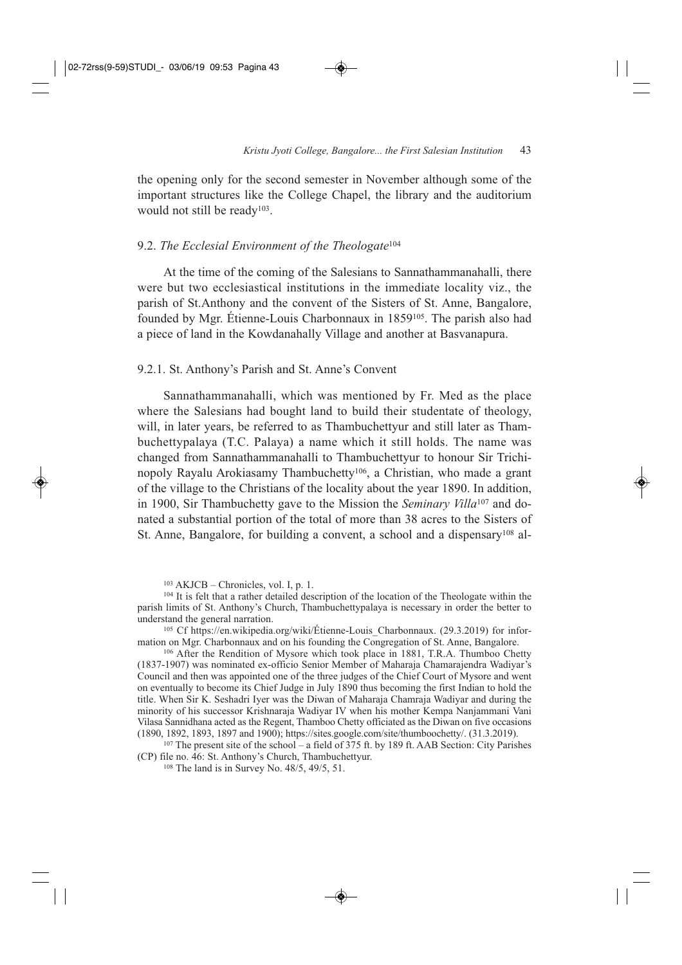the opening only for the second semester in November although some of the important structures like the College Chapel, the library and the auditorium would not still be ready<sup>103</sup>.

#### 9.2. *The Ecclesial Environment of the Theologate*<sup>104</sup>

At the time of the coming of the Salesians to Sannathammanahalli, there were but two ecclesiastical institutions in the immediate locality viz., the parish of St.Anthony and the convent of the Sisters of St. Anne, Bangalore, founded by Mgr. Étienne-Louis Charbonnaux in 1859105. The parish also had a piece of land in the Kowdanahally Village and another at Basvanapura.

#### 9.2.1. St. Anthony's Parish and St. Anne's Convent

Sannathammanahalli, which was mentioned by Fr. Med as the place where the Salesians had bought land to build their studentate of theology, will, in later years, be referred to as Thambuchettyur and still later as Thambuchettypalaya (T.C. Palaya) a name which it still holds. The name was changed from Sannathammanahalli to Thambuchettyur to honour Sir Trichinopoly Rayalu Arokiasamy Thambuchetty106, a Christian, who made a grant of the village to the Christians of the locality about the year 1890. In addition, in 1900, Sir Thambuchetty gave to the Mission the *Seminary Villa*<sup>107</sup> and donated a substantial portion of the total of more than 38 acres to the Sisters of St. Anne, Bangalore, for building a convent, a school and a dispensary<sup>108</sup> al-

<sup>105</sup> Cf https://en.wikipedia.org/wiki/Étienne-Louis\_Charbonnaux. (29.3.2019) for information on Mgr. Charbonnaux and on his founding the Congregation of St. Anne, Bangalore.

<sup>106</sup> After the Rendition of Mysore which took place in 1881, T.R.A. Thumboo Chetty (1837-1907) was nominated ex-officio Senior Member of Maharaja Chamarajendra Wadiyar's Council and then was appointed one of the three judges of the Chief Court of Mysore and went on eventually to become its Chief Judge in July 1890 thus becoming the first Indian to hold the title. When Sir K. Seshadri Iyer was the Diwan of Maharaja Chamraja Wadiyar and during the minority of his successor Krishnaraja Wadiyar IV when his mother Kempa Nanjammani Vani Vilasa Sannidhana acted as the Regent, Thamboo Chetty officiated as the Diwan on five occasions (1890, 1892, 1893, 1897 and 1900); https://sites.google.com/site/thumboochetty/. (31.3.2019).

<sup>107</sup> The present site of the school – a field of 375 ft. by 189 ft. AAB Section: City Parishes (CP) file no. 46: St. Anthony's Church, Thambuchettyur.

<sup>108</sup> The land is in Survey No. 48/5, 49/5, 51.

<sup>103</sup> AKJCB – Chronicles, vol. I, p. 1.

<sup>104</sup> It is felt that a rather detailed description of the location of the Theologate within the parish limits of St. Anthony's Church, Thambuchettypalaya is necessary in order the better to understand the general narration.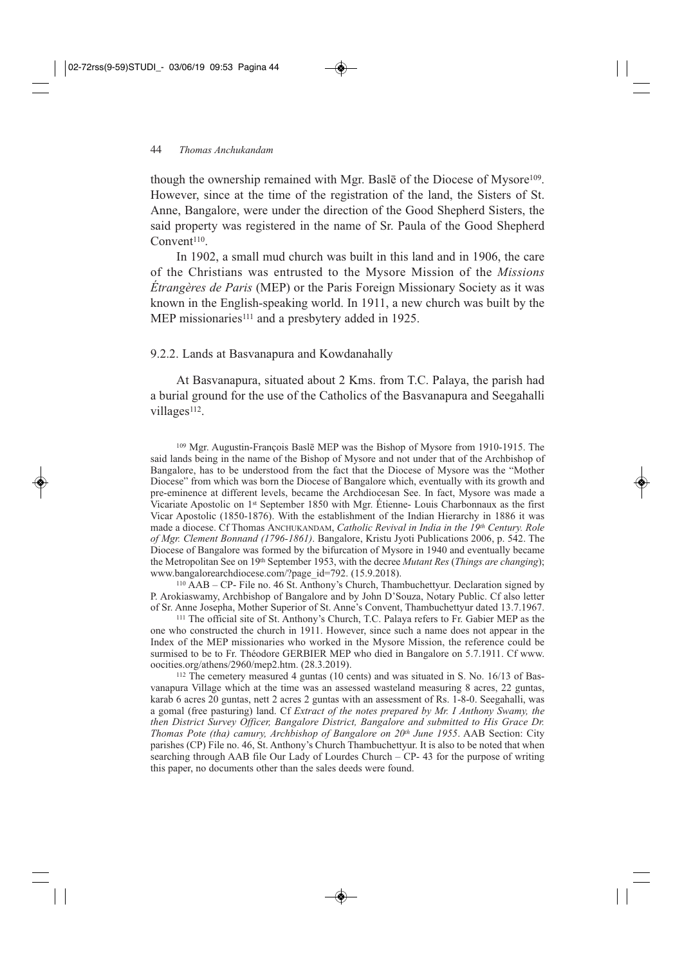though the ownership remained with Mgr. Basle of the Diocese of Mysore<sup>109</sup>. However, since at the time of the registration of the land, the Sisters of St. Anne, Bangalore, were under the direction of the Good Shepherd Sisters, the said property was registered in the name of Sr. Paula of the Good Shepherd Convent<sup>110</sup>.

In 1902, a small mud church was built in this land and in 1906, the care of the Christians was entrusted to the Mysore Mission of the *Missions Étrangères de Paris* (MEP) or the Paris Foreign Missionary Society as it was known in the English-speaking world. In 1911, a new church was built by the MEP missionaries<sup>111</sup> and a presbytery added in 1925.

#### 9.2.2. Lands at Basvanapura and Kowdanahally

At Basvanapura, situated about 2 Kms. from T.C. Palaya, the parish had a burial ground for the use of the Catholics of the Basvanapura and Seegahalli villages<sup>112</sup>.

<sup>109</sup> Mgr. Augustin-François Baslē MEP was the Bishop of Mysore from 1910-1915. The said lands being in the name of the Bishop of Mysore and not under that of the Archbishop of Bangalore, has to be understood from the fact that the Diocese of Mysore was the "Mother Diocese" from which was born the Diocese of Bangalore which, eventually with its growth and pre-eminence at different levels, became the Archdiocesan See. In fact, Mysore was made a Vicariate Apostolic on 1st September 1850 with Mgr. Étienne- Louis Charbonnaux as the first Vicar Apostolic (1850-1876). With the establishment of the Indian Hierarchy in 1886 it was made a diocese. Cf Thomas ANCHUKANDAM, *Catholic Revival in India in the 19th Century. Role of Mgr. Clement Bonnand (1796-1861)*. Bangalore, Kristu Jyoti Publications 2006, p. 542. The Diocese of Bangalore was formed by the bifurcation of Mysore in 1940 and eventually became the Metropolitan See on 19th September 1953, with the decree *Mutant Res* (*Things are changing*); www.bangalorearchdiocese.com/?page\_id=792. (15.9.2018).

<sup>110</sup> AAB – CP- File no. 46 St. Anthony's Church, Thambuchettyur. Declaration signed by P. Arokiaswamy, Archbishop of Bangalore and by John D'Souza, Notary Public. Cf also letter of Sr. Anne Josepha, Mother Superior of St. Anne's Convent, Thambuchettyur dated 13.7.1967.

<sup>111</sup> The official site of St. Anthony's Church, T.C. Palaya refers to Fr. Gabier MEP as the one who constructed the church in 1911. However, since such a name does not appear in the Index of the MEP missionaries who worked in the Mysore Mission, the reference could be surmised to be to Fr. Théodore GERBIER MEP who died in Bangalore on 5.7.1911. Cf www. oocities.org/athens/2960/mep2.htm. (28.3.2019).

<sup>112</sup> The cemetery measured 4 guntas (10 cents) and was situated in S. No. 16/13 of Basvanapura Village which at the time was an assessed wasteland measuring 8 acres, 22 guntas, karab 6 acres 20 guntas, nett 2 acres 2 guntas with an assessment of Rs. 1-8-0. Seegahalli, was a gomal (free pasturing) land. Cf *Extract of the notes prepared by Mr. I Anthony Swamy, the then District Survey Officer, Bangalore District, Bangalore and submitted to His Grace Dr. Thomas Pote (tha) camury, Archbishop of Bangalore on 20th June 1955*. AAB Section: City parishes (CP) File no. 46, St. Anthony's Church Thambuchettyur. It is also to be noted that when searching through AAB file Our Lady of Lourdes Church – CP- 43 for the purpose of writing this paper, no documents other than the sales deeds were found.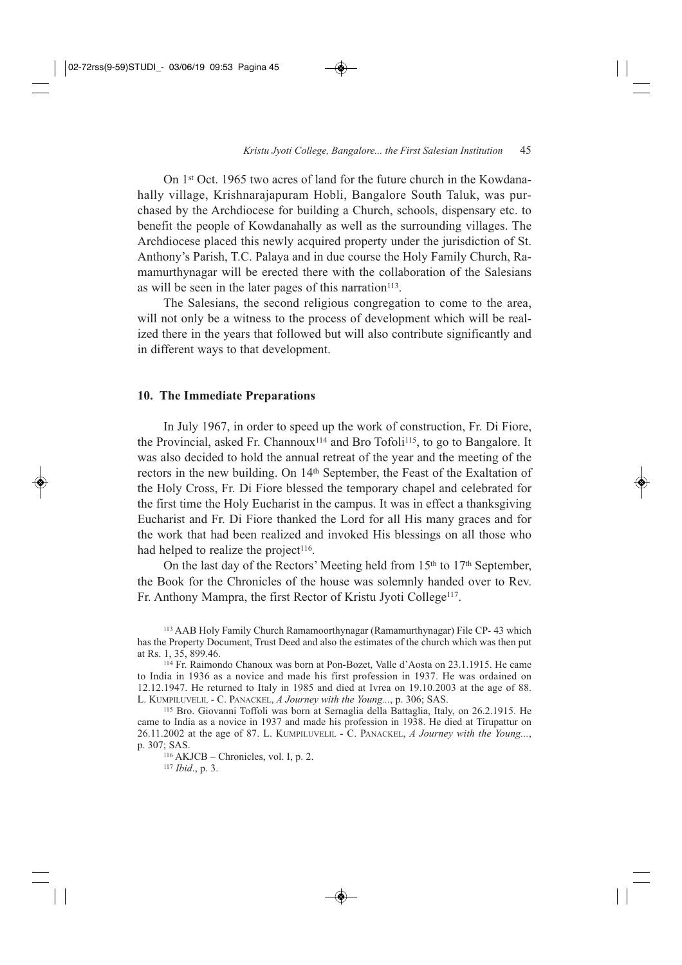On 1st Oct. 1965 two acres of land for the future church in the Kowdanahally village, Krishnarajapuram Hobli, Bangalore South Taluk, was purchased by the Archdiocese for building a Church, schools, dispensary etc. to benefit the people of Kowdanahally as well as the surrounding villages. The Archdiocese placed this newly acquired property under the jurisdiction of St. Anthony's Parish, T.C. Palaya and in due course the Holy Family Church, Ramamurthynagar will be erected there with the collaboration of the Salesians as will be seen in the later pages of this narration<sup>113</sup>.

The Salesians, the second religious congregation to come to the area, will not only be a witness to the process of development which will be realized there in the years that followed but will also contribute significantly and in different ways to that development.

#### **10. The Immediate Preparations**

In July 1967, in order to speed up the work of construction, Fr. Di Fiore, the Provincial, asked Fr. Channoux114 and Bro Tofoli115, to go to Bangalore. It was also decided to hold the annual retreat of the year and the meeting of the rectors in the new building. On 14<sup>th</sup> September, the Feast of the Exaltation of the Holy Cross, Fr. Di Fiore blessed the temporary chapel and celebrated for the first time the Holy Eucharist in the campus. It was in effect a thanksgiving Eucharist and Fr. Di Fiore thanked the Lord for all His many graces and for the work that had been realized and invoked His blessings on all those who had helped to realize the project<sup>116</sup>.

On the last day of the Rectors' Meeting held from  $15<sup>th</sup>$  to  $17<sup>th</sup>$  September, the Book for the Chronicles of the house was solemnly handed over to Rev. Fr. Anthony Mampra, the first Rector of Kristu Jyoti College<sup>117</sup>.

<sup>113</sup> AAB Holy Family Church Ramamoorthynagar (Ramamurthynagar) File CP- 43 which has the Property Document, Trust Deed and also the estimates of the church which was then put at Rs. 1, 35, 899.46.

<sup>114</sup> Fr. Raimondo Chanoux was born at Pon-Bozet, Valle d'Aosta on 23.1.1915. He came to India in 1936 as a novice and made his first profession in 1937. He was ordained on 12.12.1947. He returned to Italy in 1985 and died at Ivrea on 19.10.2003 at the age of 88. L. KUMPILUVELIL - C. PANACKEL, *A Journey with the Young...*, p. 306; SAS.

<sup>115</sup> Bro. Giovanni Toffoli was born at Sernaglia della Battaglia, Italy, on 26.2.1915. He came to India as a novice in 1937 and made his profession in 1938. He died at Tirupattur on 26.11.2002 at the age of 87. L. KUMPILUVELIL - C. PANACKEL, *A Journey with the Young...*, p. 307; SAS.

<sup>116</sup> AKJCB – Chronicles, vol. I, p. 2. <sup>117</sup> *Ibid*., p. 3.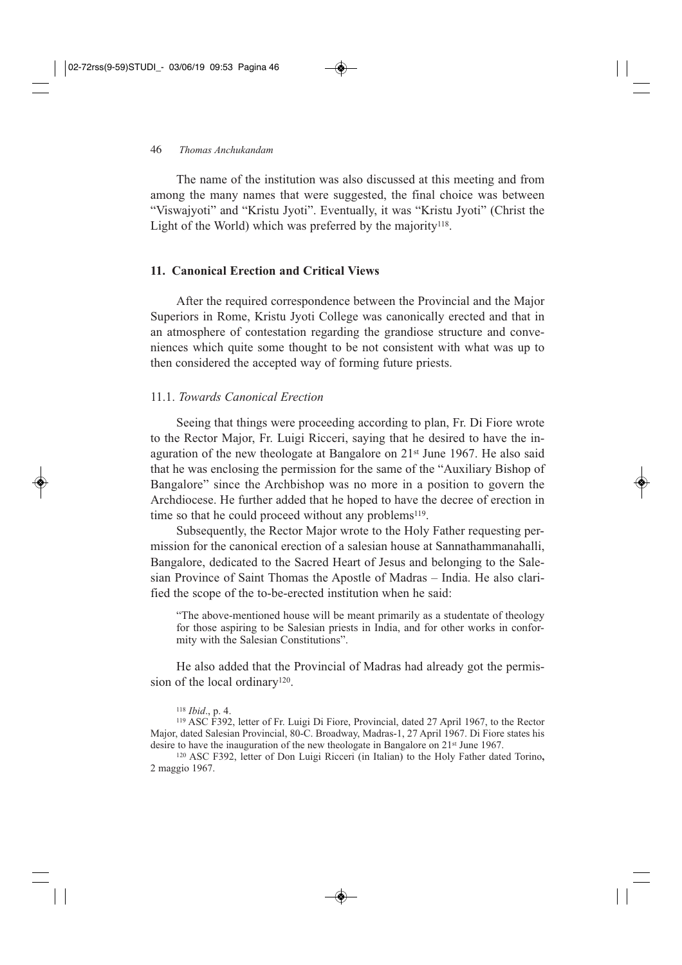The name of the institution was also discussed at this meeting and from among the many names that were suggested, the final choice was between "Viswajyoti" and "Kristu Jyoti". Eventually, it was "Kristu Jyoti" (Christ the Light of the World) which was preferred by the majority<sup>118</sup>.

## **11. Canonical Erection and Critical Views**

After the required correspondence between the Provincial and the Major Superiors in Rome, Kristu Jyoti College was canonically erected and that in an atmosphere of contestation regarding the grandiose structure and conveniences which quite some thought to be not consistent with what was up to then considered the accepted way of forming future priests.

## 11.1. *Towards Canonical Erection*

Seeing that things were proceeding according to plan, Fr. Di Fiore wrote to the Rector Major, Fr. Luigi Ricceri, saying that he desired to have the inaguration of the new theologate at Bangalore on  $21<sup>st</sup>$  June 1967. He also said that he was enclosing the permission for the same of the "Auxiliary Bishop of Bangalore" since the Archbishop was no more in a position to govern the Archdiocese. He further added that he hoped to have the decree of erection in time so that he could proceed without any problems<sup>119</sup>.

Subsequently, the Rector Major wrote to the Holy Father requesting permission for the canonical erection of a salesian house at Sannathammanahalli, Bangalore, dedicated to the Sacred Heart of Jesus and belonging to the Salesian Province of Saint Thomas the Apostle of Madras – India. He also clarified the scope of the to-be-erected institution when he said:

"The above-mentioned house will be meant primarily as a studentate of theology for those aspiring to be Salesian priests in India, and for other works in conformity with the Salesian Constitutions".

He also added that the Provincial of Madras had already got the permission of the local ordinary<sup>120</sup>.

<sup>119</sup> ASC F392, letter of Fr. Luigi Di Fiore, Provincial, dated 27 April 1967, to the Rector Major, dated Salesian Provincial, 80-C. Broadway, Madras-1, 27 April 1967. Di Fiore states his desire to have the inauguration of the new theologate in Bangalore on 21st June 1967.

<sup>120</sup> ASC F392, letter of Don Luigi Ricceri (in Italian) to the Holy Father dated Torino**,**  2 maggio 1967.

<sup>118</sup> *Ibid*., p. 4.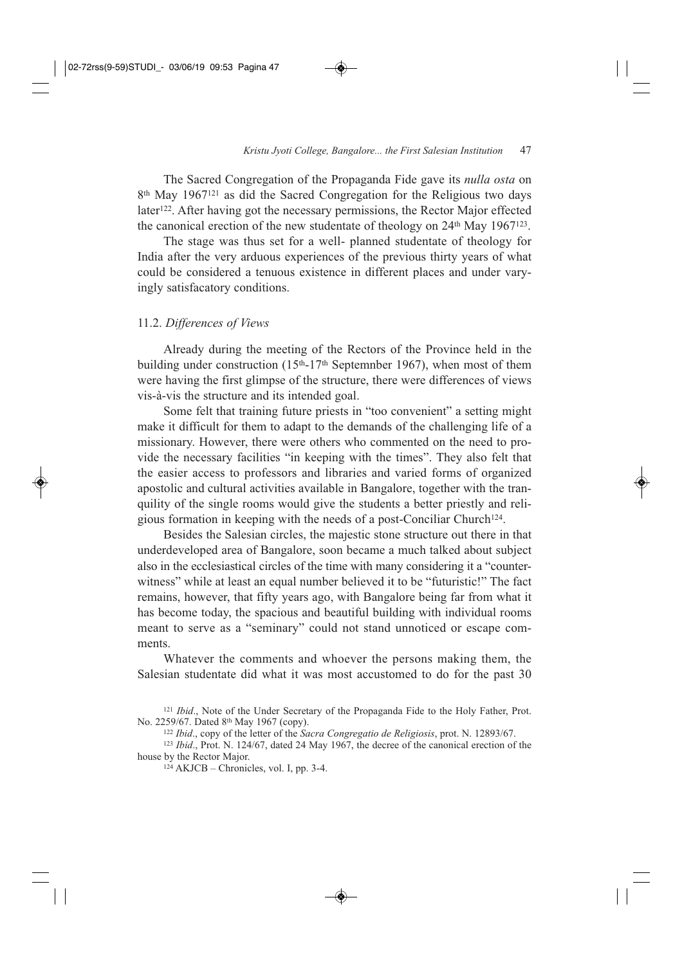The Sacred Congregation of the Propaganda Fide gave its *nulla osta* on 8th May 1967121 as did the Sacred Congregation for the Religious two days later<sup>122</sup>. After having got the necessary permissions, the Rector Major effected the canonical erection of the new studentate of theology on 24th May 1967123.

The stage was thus set for a well- planned studentate of theology for India after the very arduous experiences of the previous thirty years of what could be considered a tenuous existence in different places and under varyingly satisfacatory conditions.

#### 11.2. *Differences of Views*

Already during the meeting of the Rectors of the Province held in the building under construction  $(15<sup>th</sup>-17<sup>th</sup>$  Septemnber 1967), when most of them were having the first glimpse of the structure, there were differences of views vis-à-vis the structure and its intended goal.

Some felt that training future priests in "too convenient" a setting might make it difficult for them to adapt to the demands of the challenging life of a missionary. However, there were others who commented on the need to provide the necessary facilities "in keeping with the times". They also felt that the easier access to professors and libraries and varied forms of organized apostolic and cultural activities available in Bangalore, together with the tranquility of the single rooms would give the students a better priestly and religious formation in keeping with the needs of a post-Conciliar Church124.

Besides the Salesian circles, the majestic stone structure out there in that underdeveloped area of Bangalore, soon became a much talked about subject also in the ecclesiastical circles of the time with many considering it a "counterwitness" while at least an equal number believed it to be "futuristic!" The fact remains, however, that fifty years ago, with Bangalore being far from what it has become today, the spacious and beautiful building with individual rooms meant to serve as a "seminary" could not stand unnoticed or escape comments.

Whatever the comments and whoever the persons making them, the Salesian studentate did what it was most accustomed to do for the past 30

<sup>&</sup>lt;sup>121</sup> *Ibid.*, Note of the Under Secretary of the Propaganda Fide to the Holy Father, Prot. No. 2259/67. Dated 8th May 1967 (copy).

<sup>122</sup> *Ibid*., copy of the letter of the *Sacra Congregatio de Religiosis*, prot. N. 12893/67.

<sup>123</sup> *Ibid*., Prot. N. 124/67, dated 24 May 1967, the decree of the canonical erection of the house by the Rector Major.

 $124$  AKJCB – Chronicles, vol. I, pp. 3-4.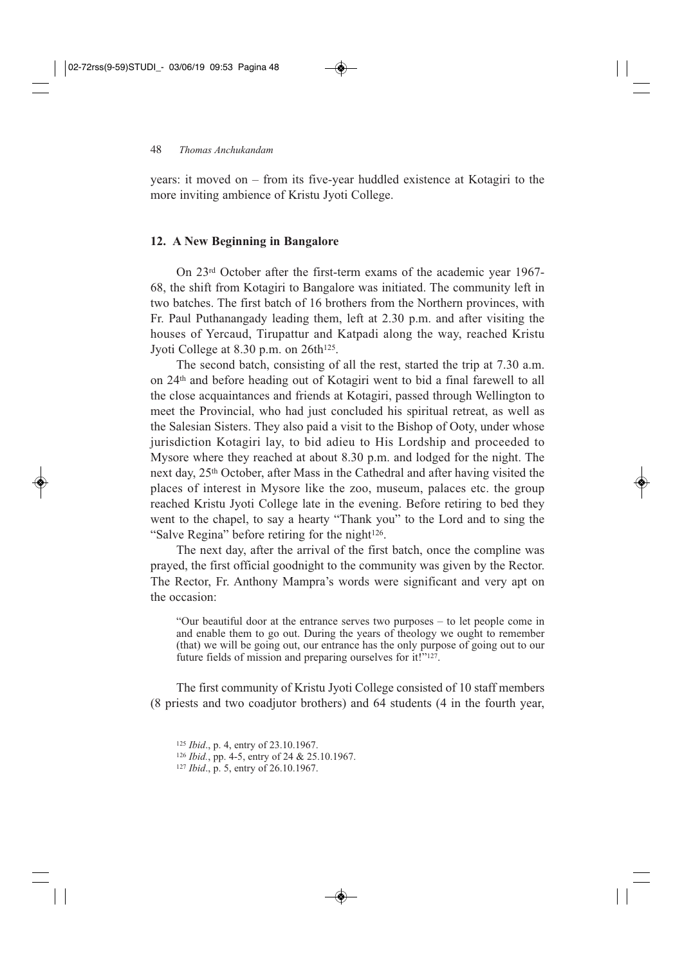years: it moved on – from its five-year huddled existence at Kotagiri to the more inviting ambience of Kristu Jyoti College.

#### **12. A New Beginning in Bangalore**

On 23rd October after the first-term exams of the academic year 1967- 68, the shift from Kotagiri to Bangalore was initiated. The community left in two batches. The first batch of 16 brothers from the Northern provinces, with Fr. Paul Puthanangady leading them, left at 2.30 p.m. and after visiting the houses of Yercaud, Tirupattur and Katpadi along the way, reached Kristu Jyoti College at 8.30 p.m. on 26th<sup>125</sup>.

The second batch, consisting of all the rest, started the trip at 7.30 a.m. on 24th and before heading out of Kotagiri went to bid a final farewell to all the close acquaintances and friends at Kotagiri, passed through Wellington to meet the Provincial, who had just concluded his spiritual retreat, as well as the Salesian Sisters. They also paid a visit to the Bishop of Ooty, under whose jurisdiction Kotagiri lay, to bid adieu to His Lordship and proceeded to Mysore where they reached at about 8.30 p.m. and lodged for the night. The next day, 25th October, after Mass in the Cathedral and after having visited the places of interest in Mysore like the zoo, museum, palaces etc. the group reached Kristu Jyoti College late in the evening. Before retiring to bed they went to the chapel, to say a hearty "Thank you" to the Lord and to sing the "Salve Regina" before retiring for the night<sup>126</sup>.

The next day, after the arrival of the first batch, once the compline was prayed, the first official goodnight to the community was given by the Rector. The Rector, Fr. Anthony Mampra's words were significant and very apt on the occasion:

"Our beautiful door at the entrance serves two purposes – to let people come in and enable them to go out. During the years of theology we ought to remember (that) we will be going out, our entrance has the only purpose of going out to our future fields of mission and preparing ourselves for it! $"^{127}$ .

The first community of Kristu Jyoti College consisted of 10 staff members (8 priests and two coadjutor brothers) and 64 students (4 in the fourth year,

<sup>125</sup> *Ibid*., p. 4, entry of 23.10.1967.

<sup>126</sup> *Ibid.*, pp. 4-5, entry of 24 & 25.10.1967.

<sup>127</sup> *Ibid*., p. 5, entry of 26.10.1967.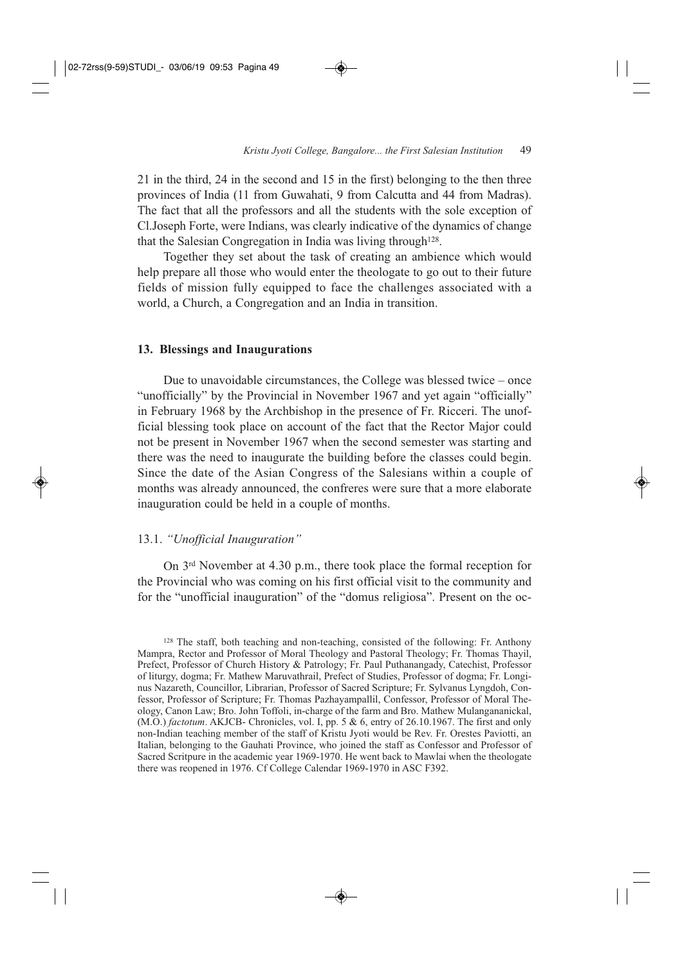21 in the third, 24 in the second and 15 in the first) belonging to the then three provinces of India (11 from Guwahati, 9 from Calcutta and 44 from Madras). The fact that all the professors and all the students with the sole exception of Cl.Joseph Forte, were Indians, was clearly indicative of the dynamics of change that the Salesian Congregation in India was living through<sup>128</sup>.

Together they set about the task of creating an ambience which would help prepare all those who would enter the theologate to go out to their future fields of mission fully equipped to face the challenges associated with a world, a Church, a Congregation and an India in transition.

#### **13. Blessings and Inaugurations**

Due to unavoidable circumstances, the College was blessed twice – once "unofficially" by the Provincial in November 1967 and yet again "officially" in February 1968 by the Archbishop in the presence of Fr. Ricceri. The unofficial blessing took place on account of the fact that the Rector Major could not be present in November 1967 when the second semester was starting and there was the need to inaugurate the building before the classes could begin. Since the date of the Asian Congress of the Salesians within a couple of months was already announced, the confreres were sure that a more elaborate inauguration could be held in a couple of months.

## 13.1. *"Unofficial Inauguration"*

On 3rd November at 4.30 p.m., there took place the formal reception for the Provincial who was coming on his first official visit to the community and for the "unofficial inauguration" of the "domus religiosa". Present on the oc-

<sup>128</sup> The staff, both teaching and non-teaching, consisted of the following: Fr. Anthony Mampra, Rector and Professor of Moral Theology and Pastoral Theology; Fr. Thomas Thayil, Prefect, Professor of Church History & Patrology; Fr. Paul Puthanangady, Catechist, Professor of liturgy, dogma; Fr. Mathew Maruvathrail, Prefect of Studies, Professor of dogma; Fr. Longinus Nazareth, Councillor, Librarian, Professor of Sacred Scripture; Fr. Sylvanus Lyngdoh, Confessor, Professor of Scripture; Fr. Thomas Pazhayampallil, Confessor, Professor of Moral Theology, Canon Law; Bro. John Toffoli, in-charge of the farm and Bro. Mathew Mulangananickal, (M.O.) *factotum*. AKJCB- Chronicles, vol. I, pp. 5 & 6, entry of 26.10.1967. The first and only non-Indian teaching member of the staff of Kristu Jyoti would be Rev. Fr. Orestes Paviotti, an Italian, belonging to the Gauhati Province, who joined the staff as Confessor and Professor of Sacred Scritpure in the academic year 1969-1970. He went back to Mawlai when the theologate there was reopened in 1976. Cf College Calendar 1969-1970 in ASC F392.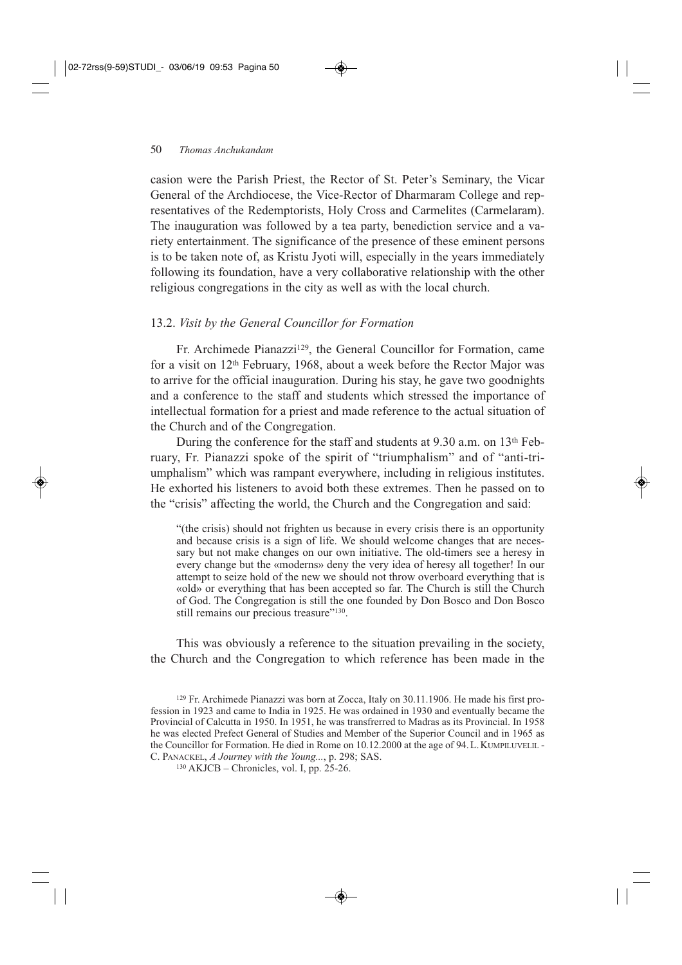casion were the Parish Priest, the Rector of St. Peter's Seminary, the Vicar General of the Archdiocese, the Vice-Rector of Dharmaram College and representatives of the Redemptorists, Holy Cross and Carmelites (Carmelaram). The inauguration was followed by a tea party, benediction service and a variety entertainment. The significance of the presence of these eminent persons is to be taken note of, as Kristu Jyoti will, especially in the years immediately following its foundation, have a very collaborative relationship with the other religious congregations in the city as well as with the local church.

## 13.2. *Visit by the General Councillor for Formation*

Fr. Archimede Pianazzi129, the General Councillor for Formation, came for a visit on 12th February, 1968, about a week before the Rector Major was to arrive for the official inauguration. During his stay, he gave two goodnights and a conference to the staff and students which stressed the importance of intellectual formation for a priest and made reference to the actual situation of the Church and of the Congregation.

During the conference for the staff and students at 9.30 a.m. on 13th February, Fr. Pianazzi spoke of the spirit of "triumphalism" and of "anti-triumphalism" which was rampant everywhere, including in religious institutes. He exhorted his listeners to avoid both these extremes. Then he passed on to the "crisis" affecting the world, the Church and the Congregation and said:

"(the crisis) should not frighten us because in every crisis there is an opportunity and because crisis is a sign of life. We should welcome changes that are necessary but not make changes on our own initiative. The old-timers see a heresy in every change but the «moderns» deny the very idea of heresy all together! In our attempt to seize hold of the new we should not throw overboard everything that is «old» or everything that has been accepted so far. The Church is still the Church of God. The Congregation is still the one founded by Don Bosco and Don Bosco still remains our precious treasure"<sup>130</sup>.

This was obviously a reference to the situation prevailing in the society, the Church and the Congregation to which reference has been made in the

<sup>129</sup> Fr. Archimede Pianazzi was born at Zocca, Italy on 30.11.1906. He made his first profession in 1923 and came to India in 1925. He was ordained in 1930 and eventually became the Provincial of Calcutta in 1950. In 1951, he was transfrerred to Madras as its Provincial. In 1958 he was elected Prefect General of Studies and Member of the Superior Council and in 1965 as the Councillor for Formation. He died in Rome on 10.12.2000 at the age of 94. L. KUMPILUVELIL - C. PANACKEL, *A Journey with the Young...*, p. 298; SAS.

<sup>130</sup> AKJCB – Chronicles, vol. I, pp. 25-26.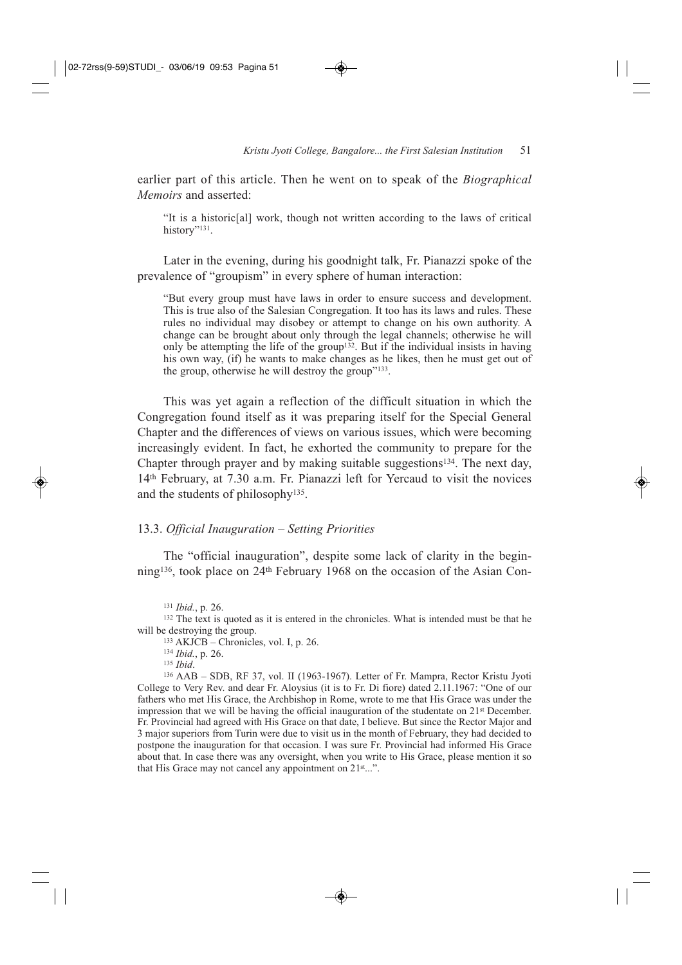earlier part of this article. Then he went on to speak of the *Biographical Memoirs* and asserted:

"It is a historic[al] work, though not written according to the laws of critical history"<sup>131</sup>.

Later in the evening, during his goodnight talk, Fr. Pianazzi spoke of the prevalence of "groupism" in every sphere of human interaction:

"But every group must have laws in order to ensure success and development. This is true also of the Salesian Congregation. It too has its laws and rules. These rules no individual may disobey or attempt to change on his own authority. A change can be brought about only through the legal channels; otherwise he will only be attempting the life of the group<sup>132</sup>. But if the individual insists in having his own way, (if) he wants to make changes as he likes, then he must get out of the group, otherwise he will destroy the group"133.

This was yet again a reflection of the difficult situation in which the Congregation found itself as it was preparing itself for the Special General Chapter and the differences of views on various issues, which were becoming increasingly evident. In fact, he exhorted the community to prepare for the Chapter through prayer and by making suitable suggestions134. The next day, 14th February, at 7.30 a.m. Fr. Pianazzi left for Yercaud to visit the novices and the students of philosophy135.

#### 13.3. *Official Inauguration – Setting Priorities*

The "official inauguration", despite some lack of clarity in the beginning136, took place on 24th February 1968 on the occasion of the Asian Con-

<sup>132</sup> The text is quoted as it is entered in the chronicles. What is intended must be that he will be destroying the group.

<sup>133</sup> AKJCB – Chronicles, vol. I, p. 26.

<sup>134</sup> *Ibid.*, p. 26.

<sup>136</sup> AAB – SDB, RF 37, vol. II (1963-1967). Letter of Fr. Mampra, Rector Kristu Jyoti College to Very Rev. and dear Fr. Aloysius (it is to Fr. Di fiore) dated 2.11.1967: "One of our fathers who met His Grace, the Archbishop in Rome, wrote to me that His Grace was under the impression that we will be having the official inauguration of the studentate on  $21<sup>st</sup>$  December. Fr. Provincial had agreed with His Grace on that date, I believe. But since the Rector Major and 3 major superiors from Turin were due to visit us in the month of February, they had decided to postpone the inauguration for that occasion. I was sure Fr. Provincial had informed His Grace about that. In case there was any oversight, when you write to His Grace, please mention it so that His Grace may not cancel any appointment on  $21<sup>st</sup>...$ ".

<sup>131</sup> *Ibid.*, p. 26.

<sup>135</sup> *Ibid*.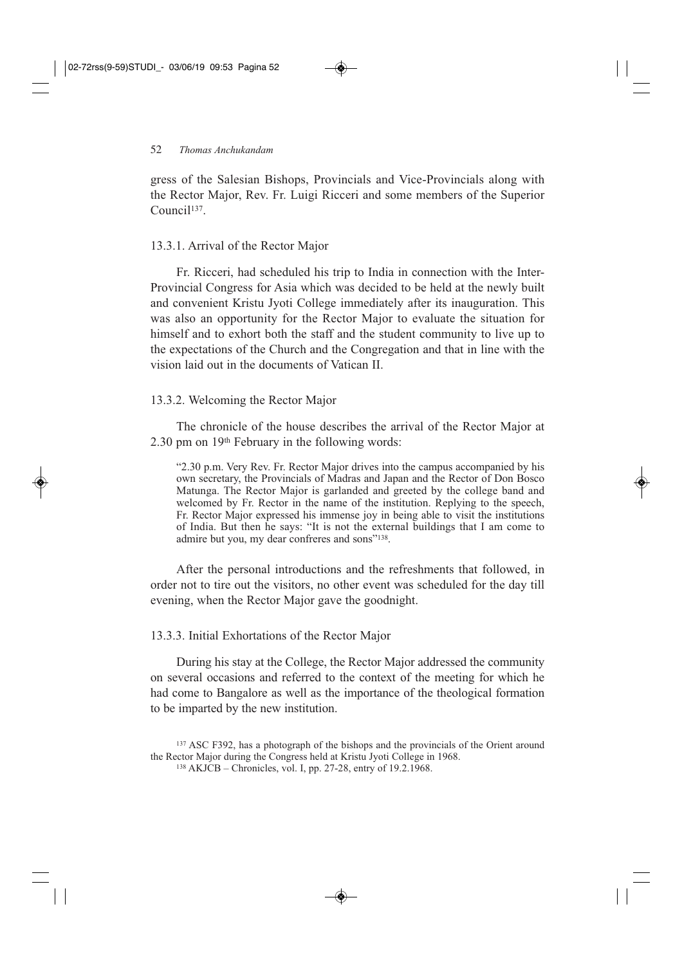gress of the Salesian Bishops, Provincials and Vice-Provincials along with the Rector Major, Rev. Fr. Luigi Ricceri and some members of the Superior Council<sup>137</sup>

## 13.3.1. Arrival of the Rector Major

Fr. Ricceri, had scheduled his trip to India in connection with the Inter-Provincial Congress for Asia which was decided to be held at the newly built and convenient Kristu Jyoti College immediately after its inauguration. This was also an opportunity for the Rector Major to evaluate the situation for himself and to exhort both the staff and the student community to live up to the expectations of the Church and the Congregation and that in line with the vision laid out in the documents of Vatican II.

## 13.3.2. Welcoming the Rector Major

The chronicle of the house describes the arrival of the Rector Major at 2.30 pm on 19th February in the following words:

"2.30 p.m. Very Rev. Fr. Rector Major drives into the campus accompanied by his own secretary, the Provincials of Madras and Japan and the Rector of Don Bosco Matunga. The Rector Major is garlanded and greeted by the college band and welcomed by Fr. Rector in the name of the institution. Replying to the speech, Fr. Rector Major expressed his immense joy in being able to visit the institutions of India. But then he says: "It is not the external buildings that I am come to admire but you, my dear confreres and sons"138.

After the personal introductions and the refreshments that followed, in order not to tire out the visitors, no other event was scheduled for the day till evening, when the Rector Major gave the goodnight.

13.3.3. Initial Exhortations of the Rector Major

During his stay at the College, the Rector Major addressed the community on several occasions and referred to the context of the meeting for which he had come to Bangalore as well as the importance of the theological formation to be imparted by the new institution.

<sup>137</sup> ASC F392, has a photograph of the bishops and the provincials of the Orient around the Rector Major during the Congress held at Kristu Jyoti College in 1968.

<sup>138</sup> AKJCB – Chronicles, vol. I, pp. 27-28, entry of 19.2.1968.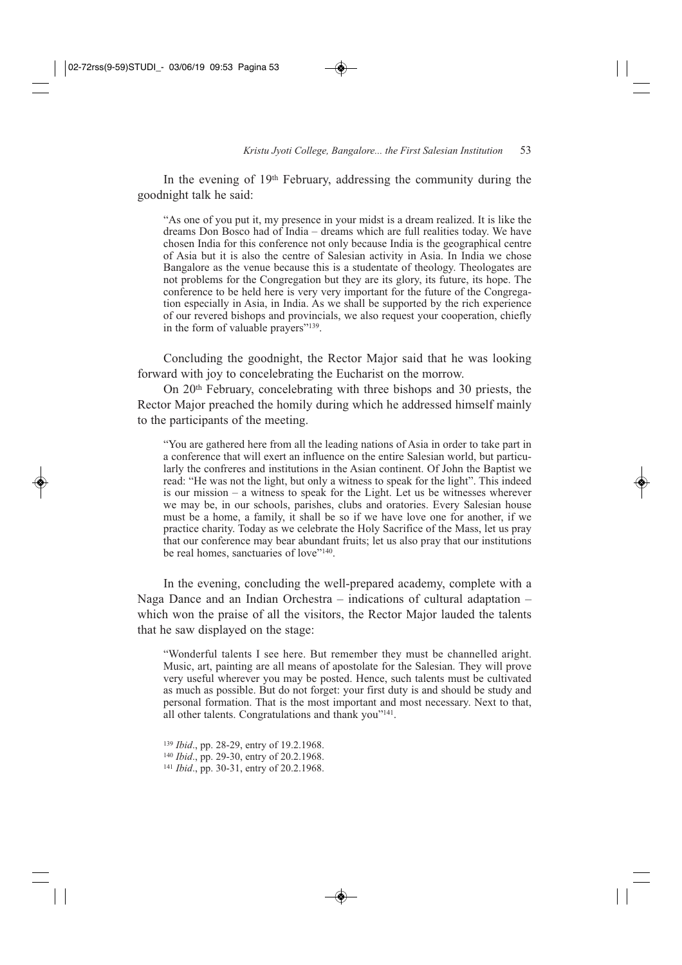In the evening of 19<sup>th</sup> February, addressing the community during the goodnight talk he said:

"As one of you put it, my presence in your midst is a dream realized. It is like the dreams Don Bosco had of India – dreams which are full realities today. We have chosen India for this conference not only because India is the geographical centre of Asia but it is also the centre of Salesian activity in Asia. In India we chose Bangalore as the venue because this is a studentate of theology. Theologates are not problems for the Congregation but they are its glory, its future, its hope. The conference to be held here is very very important for the future of the Congregation especially in Asia, in India. As we shall be supported by the rich experience of our revered bishops and provincials, we also request your cooperation, chiefly in the form of valuable prayers"139.

Concluding the goodnight, the Rector Major said that he was looking forward with joy to concelebrating the Eucharist on the morrow.

On 20th February, concelebrating with three bishops and 30 priests, the Rector Major preached the homily during which he addressed himself mainly to the participants of the meeting.

"You are gathered here from all the leading nations of Asia in order to take part in a conference that will exert an influence on the entire Salesian world, but particularly the confreres and institutions in the Asian continent. Of John the Baptist we read: "He was not the light, but only a witness to speak for the light". This indeed is our mission – a witness to speak for the Light. Let us be witnesses wherever we may be, in our schools, parishes, clubs and oratories. Every Salesian house must be a home, a family, it shall be so if we have love one for another, if we practice charity. Today as we celebrate the Holy Sacrifice of the Mass, let us pray that our conference may bear abundant fruits; let us also pray that our institutions be real homes, sanctuaries of love"<sup>140</sup>.

In the evening, concluding the well-prepared academy, complete with a Naga Dance and an Indian Orchestra – indications of cultural adaptation – which won the praise of all the visitors, the Rector Major lauded the talents that he saw displayed on the stage:

"Wonderful talents I see here. But remember they must be channelled aright. Music, art, painting are all means of apostolate for the Salesian. They will prove very useful wherever you may be posted. Hence, such talents must be cultivated as much as possible. But do not forget: your first duty is and should be study and personal formation. That is the most important and most necessary. Next to that, all other talents. Congratulations and thank you"<sup>141</sup>.

<sup>139</sup> *Ibid*., pp. 28-29, entry of 19.2.1968. <sup>140</sup> *Ibid*., pp. 29-30, entry of 20.2.1968. <sup>141</sup> *Ibid*., pp. 30-31, entry of 20.2.1968.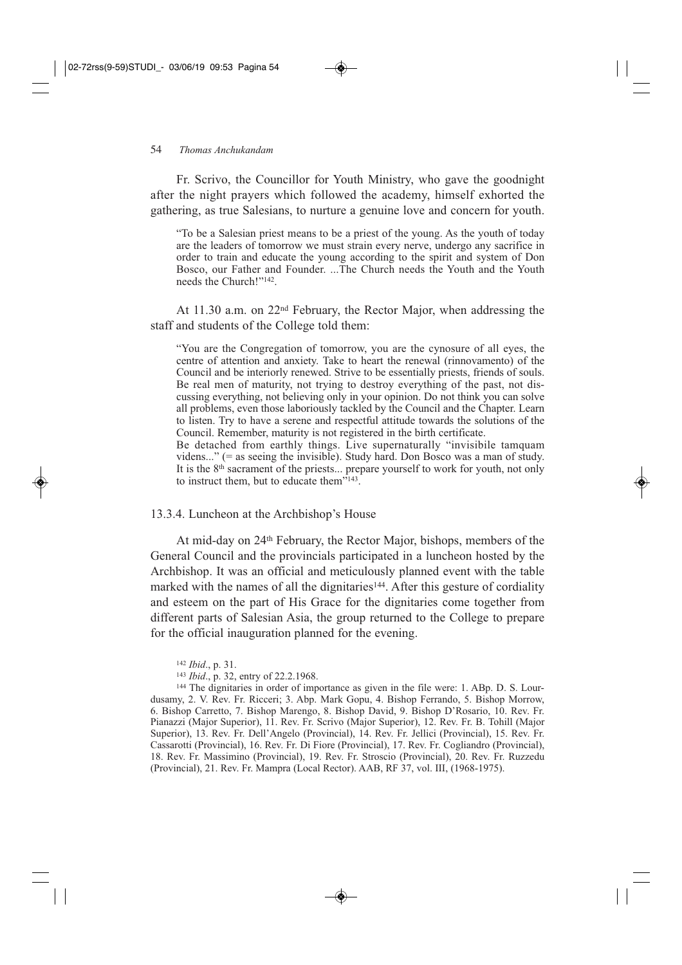#### 54 *Thomas Anchukandam*

Fr. Scrivo, the Councillor for Youth Ministry, who gave the goodnight after the night prayers which followed the academy, himself exhorted the gathering, as true Salesians, to nurture a genuine love and concern for youth.

"To be a Salesian priest means to be a priest of the young. As the youth of today are the leaders of tomorrow we must strain every nerve, undergo any sacrifice in order to train and educate the young according to the spirit and system of Don Bosco, our Father and Founder. ...The Church needs the Youth and the Youth needs the Church!"142.

At 11.30 a.m. on 22nd February, the Rector Major, when addressing the staff and students of the College told them:

"You are the Congregation of tomorrow, you are the cynosure of all eyes, the centre of attention and anxiety. Take to heart the renewal (rinnovamento) of the Council and be interiorly renewed. Strive to be essentially priests, friends of souls. Be real men of maturity, not trying to destroy everything of the past, not discussing everything, not believing only in your opinion. Do not think you can solve all problems, even those laboriously tackled by the Council and the Chapter. Learn to listen. Try to have a serene and respectful attitude towards the solutions of the Council. Remember, maturity is not registered in the birth certificate.

Be detached from earthly things. Live supernaturally "invisibile tamquam videns..." (= as seeing the invisible). Study hard. Don Bosco was a man of study. It is the  $8<sup>th</sup>$  sacrament of the priests... prepare yourself to work for youth, not only to instruct them, but to educate them $^{\cdot\cdot\cdot\cdot143}$ .

13.3.4. Luncheon at the Archbishop's House

At mid-day on 24th February, the Rector Major, bishops, members of the General Council and the provincials participated in a luncheon hosted by the Archbishop. It was an official and meticulously planned event with the table marked with the names of all the dignitaries<sup>144</sup>. After this gesture of cordiality and esteem on the part of His Grace for the dignitaries come together from different parts of Salesian Asia, the group returned to the College to prepare for the official inauguration planned for the evening.

<sup>144</sup> The dignitaries in order of importance as given in the file were: 1. ABp. D. S. Lourdusamy, 2. V. Rev. Fr. Ricceri; 3. Abp. Mark Gopu, 4. Bishop Ferrando, 5. Bishop Morrow, 6. Bishop Carretto, 7. Bishop Marengo, 8. Bishop David, 9. Bishop D'Rosario, 10. Rev. Fr. Pianazzi (Major Superior), 11. Rev. Fr. Scrivo (Major Superior), 12. Rev. Fr. B. Tohill (Major Superior), 13. Rev. Fr. Dell'Angelo (Provincial), 14. Rev. Fr. Jellici (Provincial), 15. Rev. Fr. Cassarotti (Provincial), 16. Rev. Fr. Di Fiore (Provincial), 17. Rev. Fr. Cogliandro (Provincial), 18. Rev. Fr. Massimino (Provincial), 19. Rev. Fr. Stroscio (Provincial), 20. Rev. Fr. Ruzzedu (Provincial), 21. Rev. Fr. Mampra (Local Rector). AAB, RF 37, vol. III, (1968-1975).

<sup>142</sup> *Ibid*., p. 31.

<sup>143</sup> *Ibid*., p. 32, entry of 22.2.1968.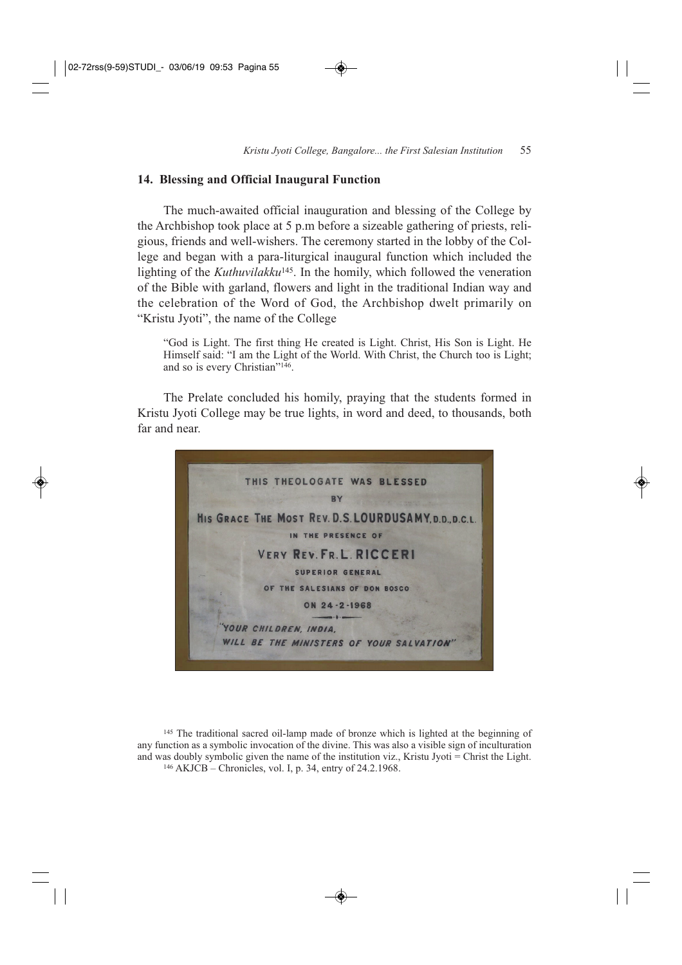#### **14. Blessing and Official Inaugural Function**

The much-awaited official inauguration and blessing of the College by the Archbishop took place at 5 p.m before a sizeable gathering of priests, religious, friends and well-wishers. The ceremony started in the lobby of the College and began with a para-liturgical inaugural function which included the lighting of the *Kuthuvilakku*145. In the homily, which followed the veneration of the Bible with garland, flowers and light in the traditional Indian way and the celebration of the Word of God, the Archbishop dwelt primarily on "Kristu Jyoti", the name of the College

"God is Light. The first thing He created is Light. Christ, His Son is Light. He Himself said: "I am the Light of the World. With Christ, the Church too is Light; and so is every Christian"146.

The Prelate concluded his homily, praying that the students formed in Kristu Jyoti College may be true lights, in word and deed, to thousands, both far and near.



<sup>145</sup> The traditional sacred oil-lamp made of bronze which is lighted at the beginning of any function as a symbolic invocation of the divine. This was also a visible sign of inculturation and was doubly symbolic given the name of the institution viz., Kristu Jyoti = Christ the Light. <sup>146</sup> AKJCB – Chronicles, vol. I, p. 34, entry of 24.2.1968.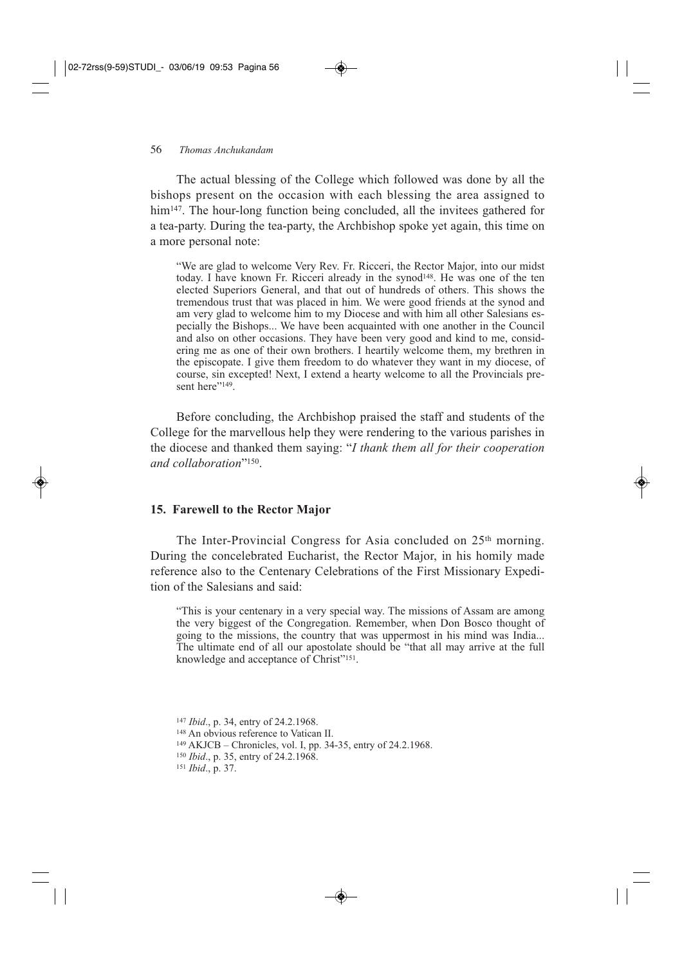#### 56 *Thomas Anchukandam*

The actual blessing of the College which followed was done by all the bishops present on the occasion with each blessing the area assigned to him<sup>147</sup>. The hour-long function being concluded, all the invitees gathered for a tea-party. During the tea-party, the Archbishop spoke yet again, this time on a more personal note:

"We are glad to welcome Very Rev. Fr. Ricceri, the Rector Major, into our midst today. I have known Fr. Ricceri already in the synod<sup>148</sup>. He was one of the ten elected Superiors General, and that out of hundreds of others. This shows the tremendous trust that was placed in him. We were good friends at the synod and am very glad to welcome him to my Diocese and with him all other Salesians especially the Bishops... We have been acquainted with one another in the Council and also on other occasions. They have been very good and kind to me, considering me as one of their own brothers. I heartily welcome them, my brethren in the episcopate. I give them freedom to do whatever they want in my diocese, of course, sin excepted! Next, I extend a hearty welcome to all the Provincials present here"<sup>149</sup>.

Before concluding, the Archbishop praised the staff and students of the College for the marvellous help they were rendering to the various parishes in the diocese and thanked them saying: "*I thank them all for their cooperation and collaboration*"150.

#### **15. Farewell to the Rector Major**

The Inter-Provincial Congress for Asia concluded on 25<sup>th</sup> morning. During the concelebrated Eucharist, the Rector Major, in his homily made reference also to the Centenary Celebrations of the First Missionary Expedition of the Salesians and said:

"This is your centenary in a very special way. The missions of Assam are among the very biggest of the Congregation. Remember, when Don Bosco thought of going to the missions, the country that was uppermost in his mind was India... The ultimate end of all our apostolate should be "that all may arrive at the full knowledge and acceptance of Christ"151.

<sup>147</sup> *Ibid*., p. 34, entry of 24.2.1968.

<sup>148</sup> An obvious reference to Vatican II.

<sup>149</sup> AKJCB – Chronicles, vol. I, pp. 34-35, entry of 24.2.1968.

<sup>150</sup> *Ibid*., p. 35, entry of 24.2.1968.

<sup>151</sup> *Ibid*., p. 37.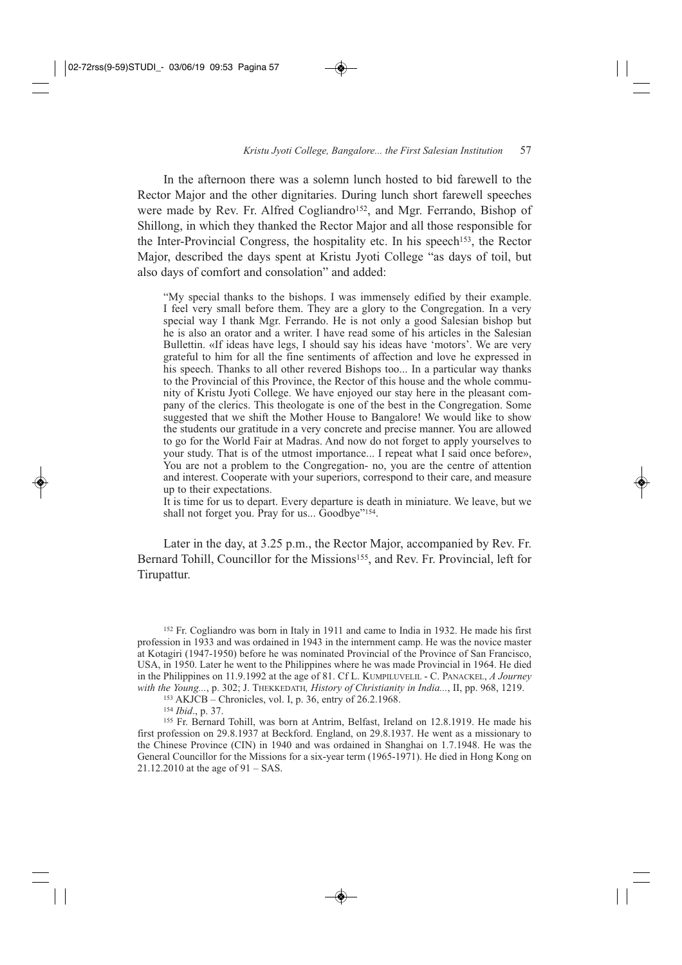In the afternoon there was a solemn lunch hosted to bid farewell to the Rector Major and the other dignitaries. During lunch short farewell speeches were made by Rev. Fr. Alfred Cogliandro<sup>152</sup>, and Mgr. Ferrando, Bishop of Shillong, in which they thanked the Rector Major and all those responsible for the Inter-Provincial Congress, the hospitality etc. In his speech153, the Rector Major, described the days spent at Kristu Jyoti College "as days of toil, but also days of comfort and consolation" and added:

"My special thanks to the bishops. I was immensely edified by their example. I feel very small before them. They are a glory to the Congregation. In a very special way I thank Mgr. Ferrando. He is not only a good Salesian bishop but he is also an orator and a writer. I have read some of his articles in the Salesian Bullettin. «If ideas have legs, I should say his ideas have 'motors'. We are very grateful to him for all the fine sentiments of affection and love he expressed in his speech. Thanks to all other revered Bishops too... In a particular way thanks to the Provincial of this Province, the Rector of this house and the whole community of Kristu Jyoti College. We have enjoyed our stay here in the pleasant company of the clerics. This theologate is one of the best in the Congregation. Some suggested that we shift the Mother House to Bangalore! We would like to show the students our gratitude in a very concrete and precise manner. You are allowed to go for the World Fair at Madras. And now do not forget to apply yourselves to your study. That is of the utmost importance... I repeat what I said once before», You are not a problem to the Congregation- no, you are the centre of attention and interest. Cooperate with your superiors, correspond to their care, and measure up to their expectations.

It is time for us to depart. Every departure is death in miniature. We leave, but we shall not forget you. Pray for us... Goodbye"<sup>154</sup>.

Later in the day, at 3.25 p.m., the Rector Major, accompanied by Rev. Fr. Bernard Tohill, Councillor for the Missions<sup>155</sup>, and Rev. Fr. Provincial, left for Tirupattur.

<sup>152</sup> Fr. Cogliandro was born in Italy in 1911 and came to India in 1932. He made his first profession in 1933 and was ordained in 1943 in the internment camp. He was the novice master at Kotagiri (1947-1950) before he was nominated Provincial of the Province of San Francisco, USA, in 1950. Later he went to the Philippines where he was made Provincial in 1964. He died in the Philippines on 11.9.1992 at the age of 81. Cf L. KUMPILUVELIL - C. PANACKEL, *A Journey with the Young...*, p. 302; J. THEKKEDATH*, History of Christianity in India...*, II, pp. 968, 1219.

<sup>153</sup> AKJCB – Chronicles, vol. I, p. 36, entry of 26.2.1968.

<sup>154</sup> *Ibid*., p. 37.

<sup>155</sup> Fr. Bernard Tohill, was born at Antrim, Belfast, Ireland on 12.8.1919. He made his first profession on 29.8.1937 at Beckford. England, on 29.8.1937. He went as a missionary to the Chinese Province (CIN) in 1940 and was ordained in Shanghai on 1.7.1948. He was the General Councillor for the Missions for a six-year term (1965-1971). He died in Hong Kong on 21.12.2010 at the age of 91 – SAS.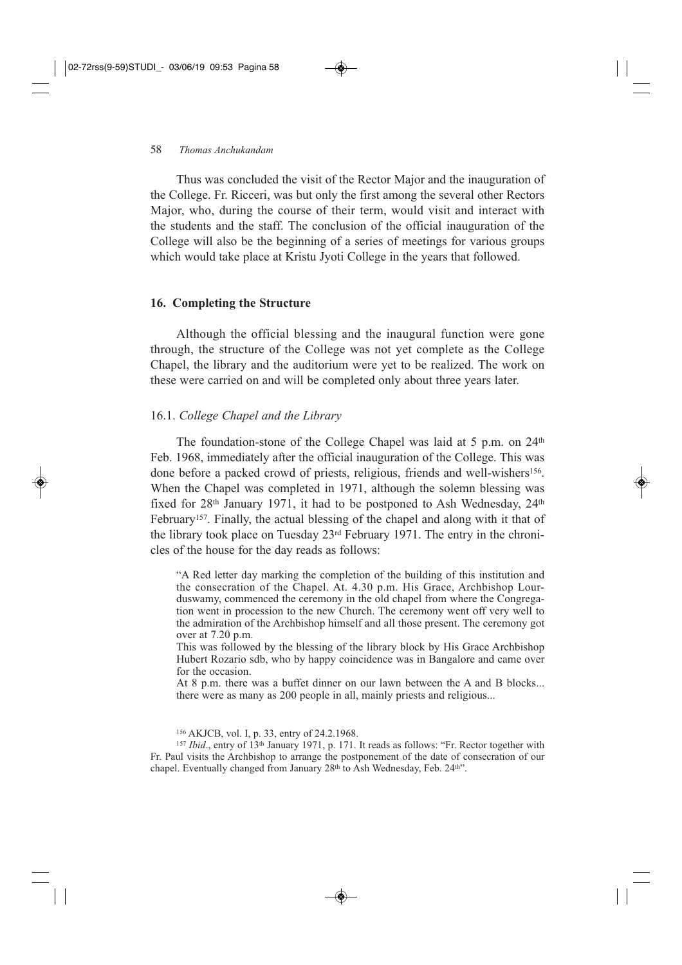Thus was concluded the visit of the Rector Major and the inauguration of the College. Fr. Ricceri, was but only the first among the several other Rectors Major, who, during the course of their term, would visit and interact with the students and the staff. The conclusion of the official inauguration of the College will also be the beginning of a series of meetings for various groups which would take place at Kristu Jyoti College in the years that followed.

#### **16. Completing the Structure**

Although the official blessing and the inaugural function were gone through, the structure of the College was not yet complete as the College Chapel, the library and the auditorium were yet to be realized. The work on these were carried on and will be completed only about three years later.

#### 16.1. *College Chapel and the Library*

The foundation-stone of the College Chapel was laid at 5 p.m. on 24<sup>th</sup> Feb. 1968, immediately after the official inauguration of the College. This was done before a packed crowd of priests, religious, friends and well-wishers<sup>156</sup>. When the Chapel was completed in 1971, although the solemn blessing was fixed for  $28<sup>th</sup>$  January 1971, it had to be postponed to Ash Wednesday,  $24<sup>th</sup>$ February<sup>157</sup>. Finally, the actual blessing of the chapel and along with it that of the library took place on Tuesday 23rd February 1971. The entry in the chronicles of the house for the day reads as follows:

"A Red letter day marking the completion of the building of this institution and the consecration of the Chapel. At. 4.30 p.m. His Grace, Archbishop Lourduswamy, commenced the ceremony in the old chapel from where the Congregation went in procession to the new Church. The ceremony went off very well to the admiration of the Archbishop himself and all those present. The ceremony got over at 7.20 p.m.

This was followed by the blessing of the library block by His Grace Archbishop Hubert Rozario sdb, who by happy coincidence was in Bangalore and came over for the occasion.

At 8 p.m. there was a buffet dinner on our lawn between the A and B blocks... there were as many as 200 people in all, mainly priests and religious...

<sup>156</sup> AKJCB, vol. I, p. 33, entry of 24.2.1968.

<sup>157</sup> *Ibid*., entry of 13th January 1971, p. 171. It reads as follows: "Fr. Rector together with Fr. Paul visits the Archbishop to arrange the postponement of the date of consecration of our chapel. Eventually changed from January 28<sup>th</sup> to Ash Wednesday, Feb. 24<sup>th</sup>".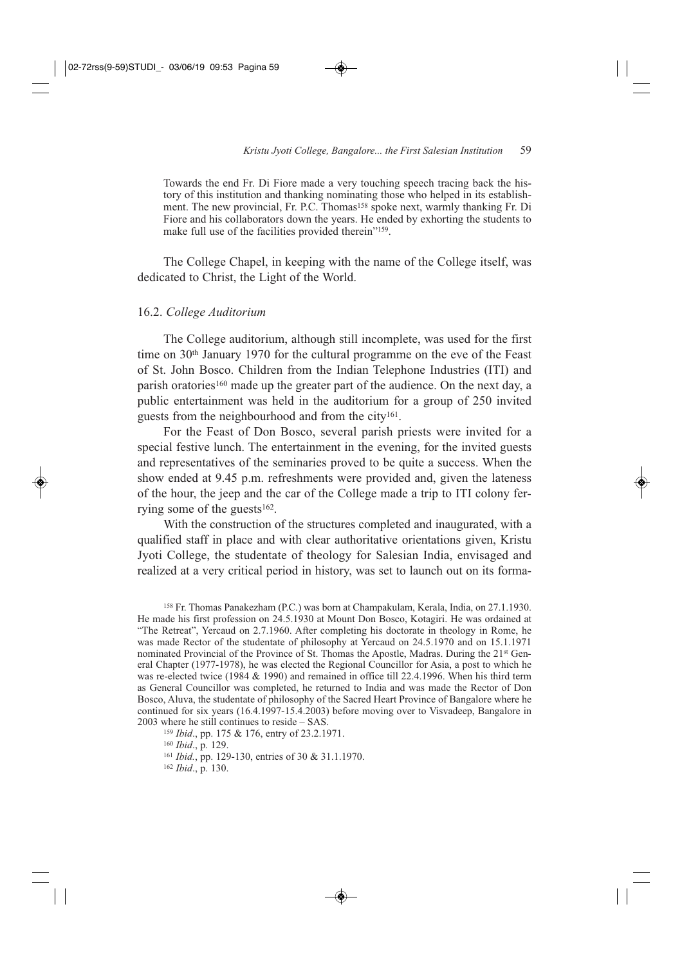Towards the end Fr. Di Fiore made a very touching speech tracing back the history of this institution and thanking nominating those who helped in its establishment. The new provincial, Fr. P.C. Thomas<sup>158</sup> spoke next, warmly thanking Fr. Di Fiore and his collaborators down the years. He ended by exhorting the students to make full use of the facilities provided therein"159.

The College Chapel, in keeping with the name of the College itself, was dedicated to Christ, the Light of the World.

#### 16.2. *College Auditorium*

The College auditorium, although still incomplete, was used for the first time on 30th January 1970 for the cultural programme on the eve of the Feast of St. John Bosco. Children from the Indian Telephone Industries (ITI) and parish oratories<sup>160</sup> made up the greater part of the audience. On the next day, a public entertainment was held in the auditorium for a group of 250 invited guests from the neighbourhood and from the city161.

For the Feast of Don Bosco, several parish priests were invited for a special festive lunch. The entertainment in the evening, for the invited guests and representatives of the seminaries proved to be quite a success. When the show ended at 9.45 p.m. refreshments were provided and, given the lateness of the hour, the jeep and the car of the College made a trip to ITI colony ferrying some of the guests $162$ .

With the construction of the structures completed and inaugurated, with a qualified staff in place and with clear authoritative orientations given, Kristu Jyoti College, the studentate of theology for Salesian India, envisaged and realized at a very critical period in history, was set to launch out on its forma-

<sup>158</sup> Fr. Thomas Panakezham (P.C.) was born at Champakulam, Kerala, India, on 27.1.1930. He made his first profession on 24.5.1930 at Mount Don Bosco, Kotagiri. He was ordained at "The Retreat", Yercaud on 2.7.1960. After completing his doctorate in theology in Rome, he was made Rector of the studentate of philosophy at Yercaud on 24.5.1970 and on 15.1.1971 nominated Provincial of the Province of St. Thomas the Apostle, Madras. During the 21st General Chapter (1977-1978), he was elected the Regional Councillor for Asia, a post to which he was re-elected twice (1984  $&$  1990) and remained in office till 22.4.1996. When his third term as General Councillor was completed, he returned to India and was made the Rector of Don Bosco, Aluva, the studentate of philosophy of the Sacred Heart Province of Bangalore where he continued for six years (16.4.1997-15.4.2003) before moving over to Visvadeep, Bangalore in 2003 where he still continues to reside – SAS.

<sup>159</sup> *Ibid*., pp. 175 & 176, entry of 23.2.1971.

<sup>160</sup> *Ibid*., p. 129.

<sup>161</sup> *Ibid.*, pp. 129-130, entries of 30 & 31.1.1970.

<sup>162</sup> *Ibid*., p. 130.